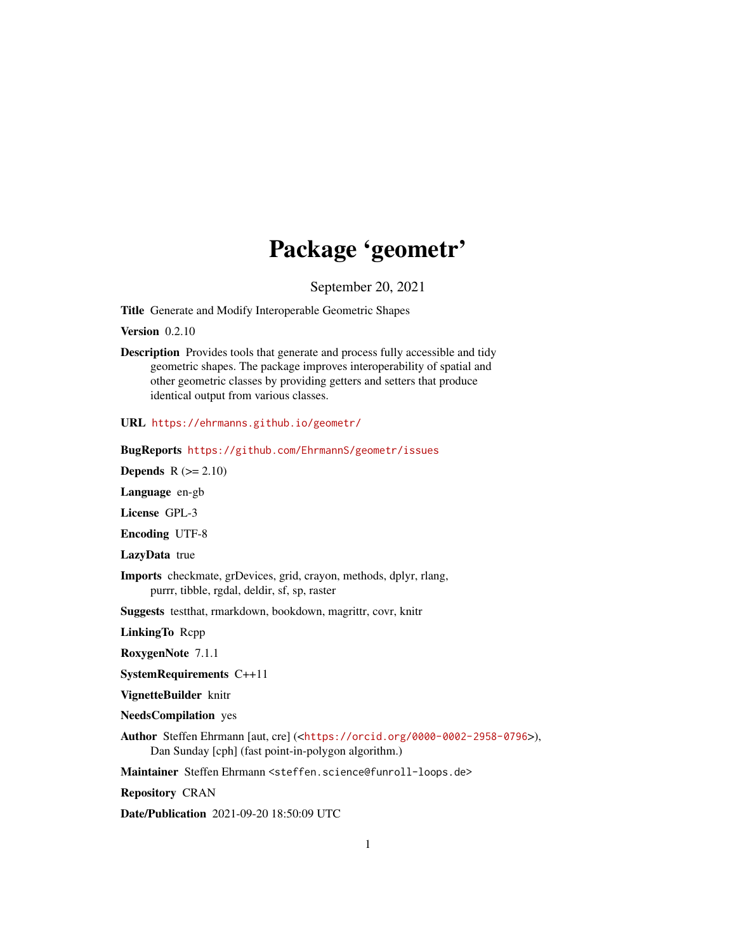# Package 'geometr'

September 20, 2021

<span id="page-0-0"></span>Title Generate and Modify Interoperable Geometric Shapes

**Version** 0.2.10

Description Provides tools that generate and process fully accessible and tidy geometric shapes. The package improves interoperability of spatial and other geometric classes by providing getters and setters that produce identical output from various classes.

URL <https://ehrmanns.github.io/geometr/>

BugReports <https://github.com/EhrmannS/geometr/issues>

Depends  $R (= 2.10)$ 

Language en-gb

License GPL-3

Encoding UTF-8

LazyData true

Imports checkmate, grDevices, grid, crayon, methods, dplyr, rlang, purrr, tibble, rgdal, deldir, sf, sp, raster

Suggests testthat, rmarkdown, bookdown, magrittr, covr, knitr

LinkingTo Rcpp

RoxygenNote 7.1.1

SystemRequirements C++11

VignetteBuilder knitr

NeedsCompilation yes

Author Steffen Ehrmann [aut, cre] (<<https://orcid.org/0000-0002-2958-0796>>), Dan Sunday [cph] (fast point-in-polygon algorithm.)

Maintainer Steffen Ehrmann <steffen.science@funroll-loops.de>

Repository CRAN

Date/Publication 2021-09-20 18:50:09 UTC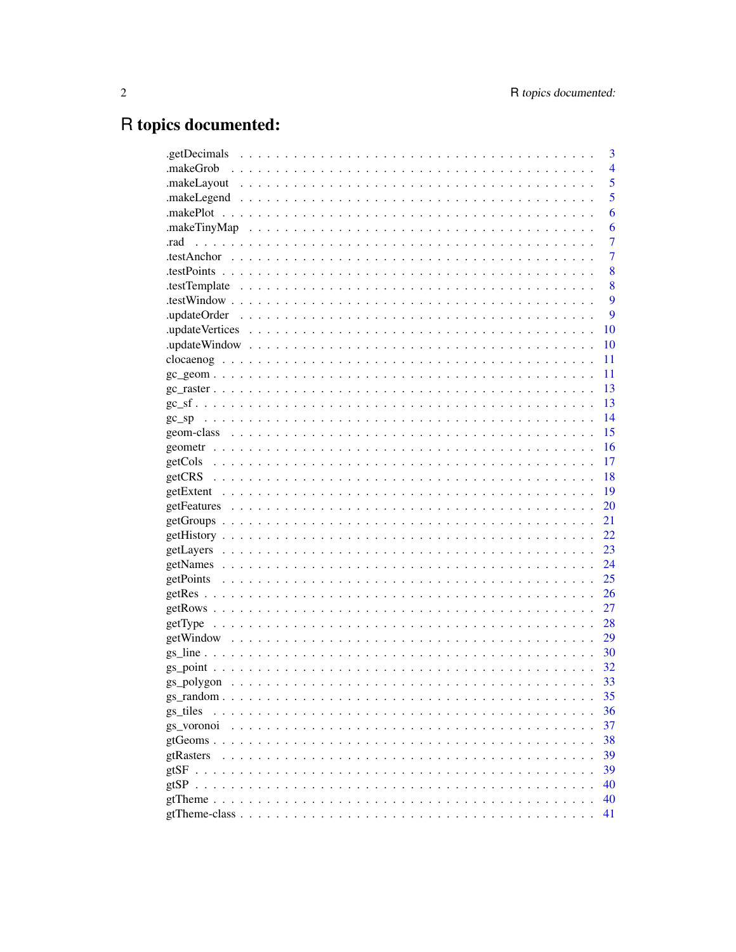# R topics documented:

|            | 3              |
|------------|----------------|
|            | $\overline{4}$ |
|            | 5              |
|            | 5              |
|            | 6              |
|            | 6              |
| .rad       | 7              |
|            | $\overline{7}$ |
|            | 8              |
|            | 8              |
|            | 9              |
|            | 9              |
|            | 10             |
|            | 10             |
|            | 11             |
|            | 11             |
|            | -13            |
|            | -13            |
|            | 14             |
|            | 15             |
|            | 16             |
|            | 17             |
|            | 18             |
|            | 19             |
|            | 20             |
|            | 21             |
|            | 22             |
|            | 23             |
|            | 24             |
|            | 25             |
|            | 26             |
|            | 27             |
|            | 28             |
|            | 29             |
|            | 30             |
|            | 32             |
|            | 33             |
|            | 35             |
| gs tiles   | 36             |
| gs voronoi | 37             |
|            | 38             |
| gtRasters  | 39             |
| gtSF       | 39             |
| gtSP       | 40             |
|            | 40             |
|            | 41             |
|            |                |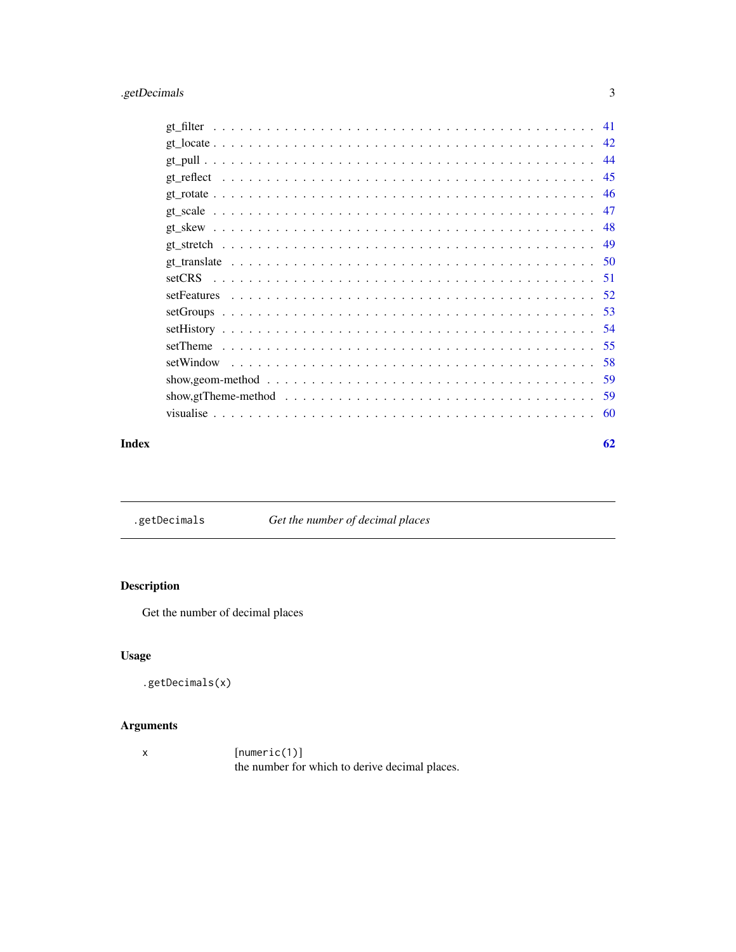## <span id="page-2-0"></span>.getDecimals 3

| -46 |
|-----|
|     |
|     |
|     |
|     |
|     |
|     |
|     |
|     |
|     |
|     |
|     |
|     |
|     |
|     |

### $\blacksquare$  Index  $\blacksquare$

.getDecimals *Get the number of decimal places*

## Description

Get the number of decimal places

## Usage

```
.getDecimals(x)
```
## Arguments

x [numeric(1)] the number for which to derive decimal places.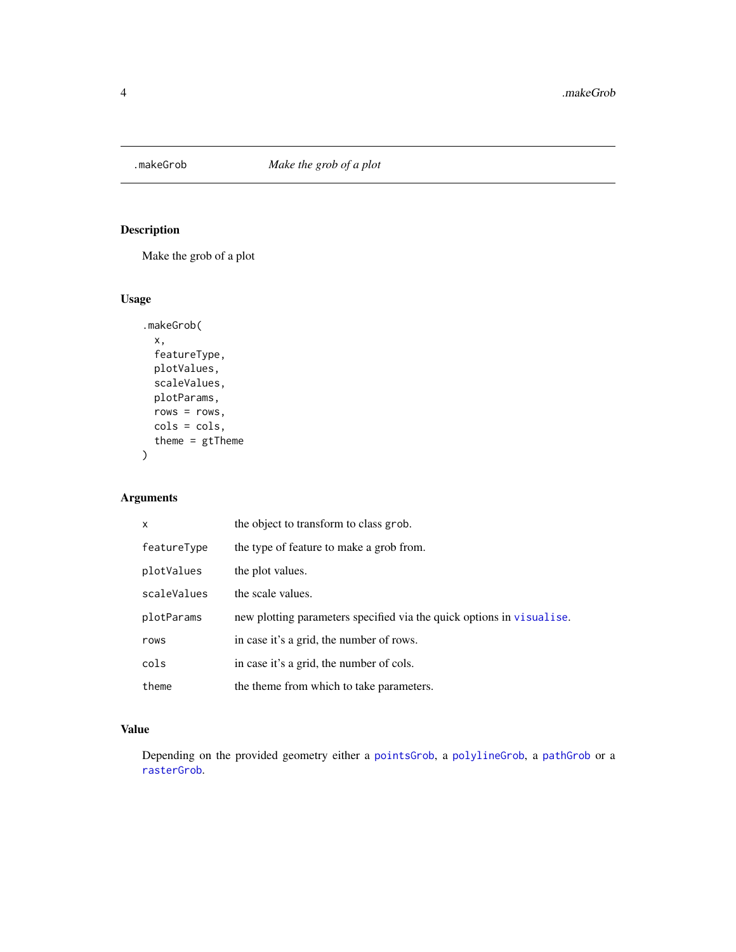<span id="page-3-0"></span>

Make the grob of a plot

### Usage

```
.makeGrob(
 x,
  featureType,
 plotValues,
 scaleValues,
 plotParams,
 rows = rows,
 cols = cols,
 theme = gtTheme
)
```
## Arguments

| X           | the object to transform to class grob.                                |
|-------------|-----------------------------------------------------------------------|
| featureType | the type of feature to make a grob from.                              |
| plotValues  | the plot values.                                                      |
| scaleValues | the scale values.                                                     |
| plotParams  | new plotting parameters specified via the quick options in visualise. |
| rows        | in case it's a grid, the number of rows.                              |
| cols        | in case it's a grid, the number of cols.                              |
| theme       | the theme from which to take parameters.                              |

### Value

Depending on the provided geometry either a [pointsGrob](#page-0-0), a [polylineGrob](#page-0-0), a [pathGrob](#page-0-0) or a [rasterGrob](#page-0-0).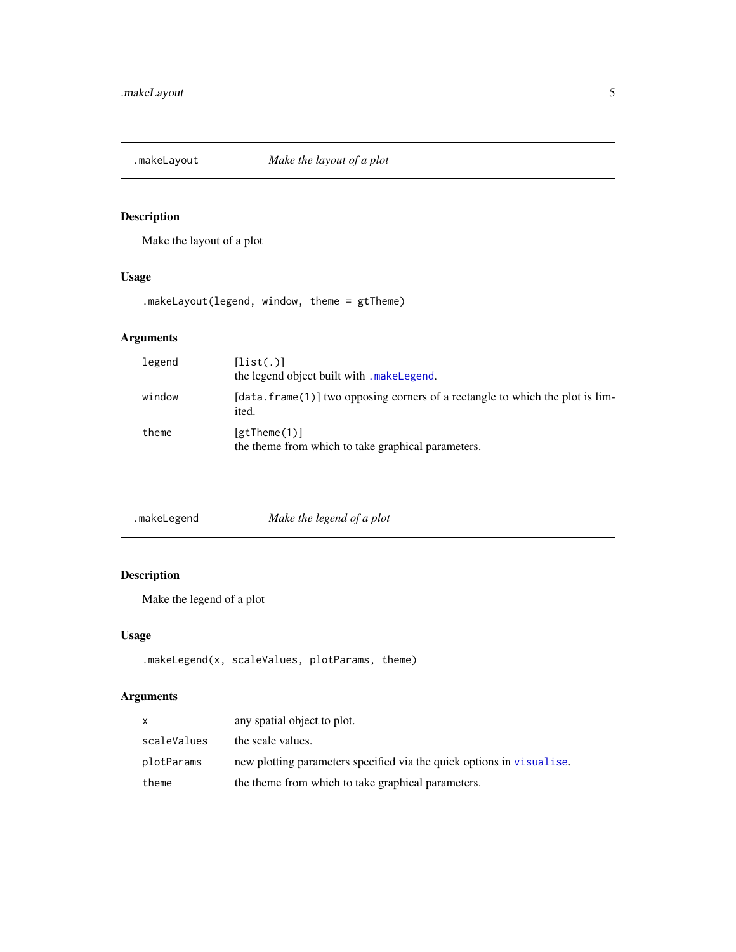<span id="page-4-0"></span>

Make the layout of a plot

## Usage

.makeLayout(legend, window, theme = gtTheme)

## Arguments

| legend | [list(.)]<br>the legend object built with make Legend.                                       |
|--------|----------------------------------------------------------------------------------------------|
| window | $[data.f$ rame $(1)]$ two opposing corners of a rectangle to which the plot is lim-<br>ited. |
| theme  | $[$ gtTheme $(1)$ ]<br>the theme from which to take graphical parameters.                    |

<span id="page-4-1"></span>

| Make the legend of a plot<br>.makeLegend |
|------------------------------------------|
|------------------------------------------|

## Description

Make the legend of a plot

## Usage

```
.makeLegend(x, scaleValues, plotParams, theme)
```
## Arguments

| X           | any spatial object to plot.                                           |
|-------------|-----------------------------------------------------------------------|
| scaleValues | the scale values.                                                     |
| plotParams  | new plotting parameters specified via the quick options in visualise. |
| theme       | the theme from which to take graphical parameters.                    |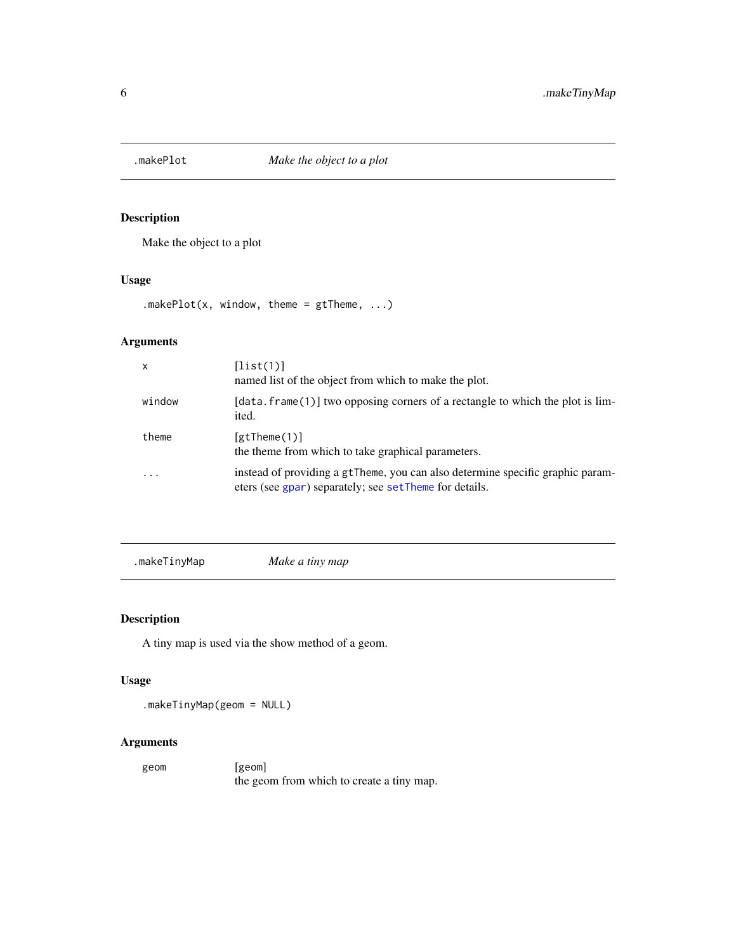<span id="page-5-0"></span>

Make the object to a plot

### Usage

.makePlot(x, window, theme =  $gt$ Theme, ...)

## Arguments

| $\boldsymbol{\mathsf{x}}$ | [list(1)]<br>named list of the object from which to make the plot.                                                                       |
|---------------------------|------------------------------------------------------------------------------------------------------------------------------------------|
| window                    | [data. frame(1)] two opposing corners of a rectangle to which the plot is lim-<br>ited.                                                  |
| theme                     | $[$ gtTheme $(1)$ ]<br>the theme from which to take graphical parameters.                                                                |
| $\cdot$ $\cdot$ $\cdot$   | instead of providing a gtTheme, you can also determine specific graphic param-<br>eters (see gpar) separately; see setTheme for details. |

```
.makeTinyMap Make a tiny map
```
### Description

A tiny map is used via the show method of a geom.

### Usage

```
.makeTinyMap(geom = NULL)
```
### Arguments

geom [geom] the geom from which to create a tiny map.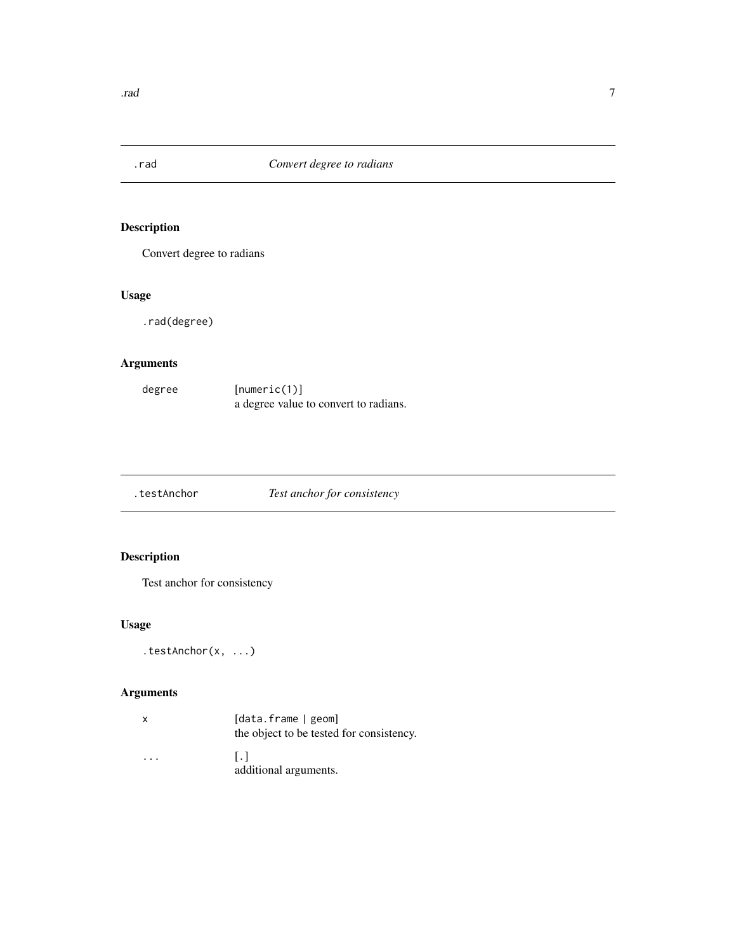<span id="page-6-0"></span>

Convert degree to radians

## Usage

.rad(degree)

### Arguments

| degree | [numeric(1)]                          |
|--------|---------------------------------------|
|        | a degree value to convert to radians. |

| .testAnchor | Test anchor for consistency |
|-------------|-----------------------------|
|             |                             |

## Description

Test anchor for consistency

## Usage

```
.testAnchor(x, ...)
```
## Arguments

| X | [data.frame   geom]<br>the object to be tested for consistency. |
|---|-----------------------------------------------------------------|
| . | $\mathbf{L}$<br>additional arguments.                           |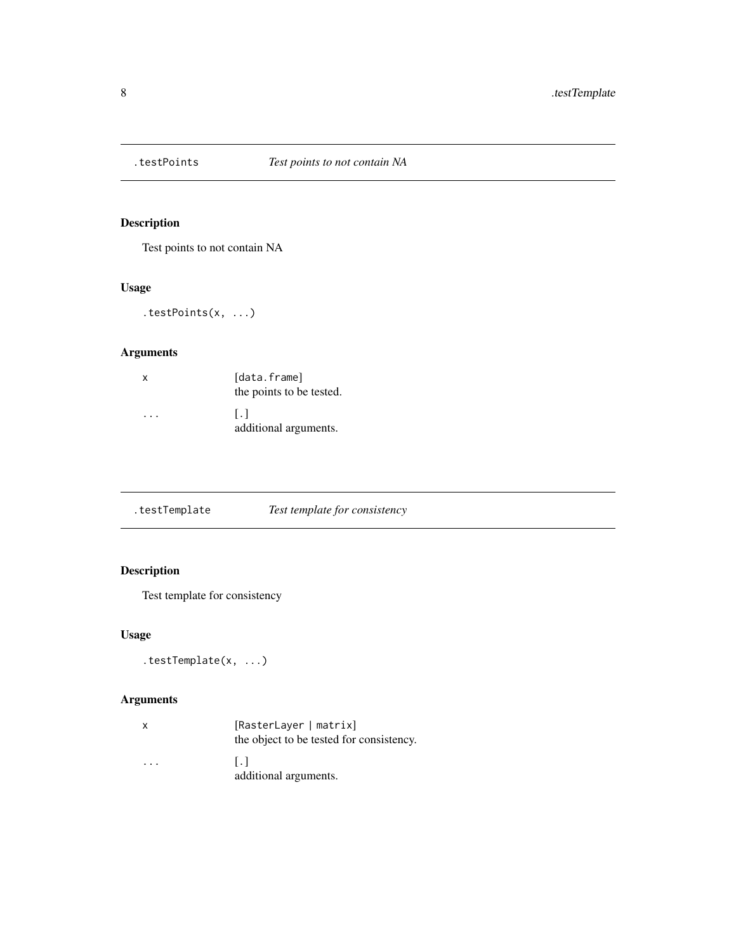<span id="page-7-0"></span>

Test points to not contain NA

## Usage

```
.testPoints(x, ...)
```
## Arguments

| x | [data.frame]<br>the points to be tested. |
|---|------------------------------------------|
| . | $\mathsf{L}$<br>additional arguments.    |

.testTemplate *Test template for consistency*

## Description

Test template for consistency

## Usage

```
.testTemplate(x, ...)
```
## Arguments

| x | [RasterLayer   matrix]<br>the object to be tested for consistency. |
|---|--------------------------------------------------------------------|
| . | $\perp$ .<br>additional arguments.                                 |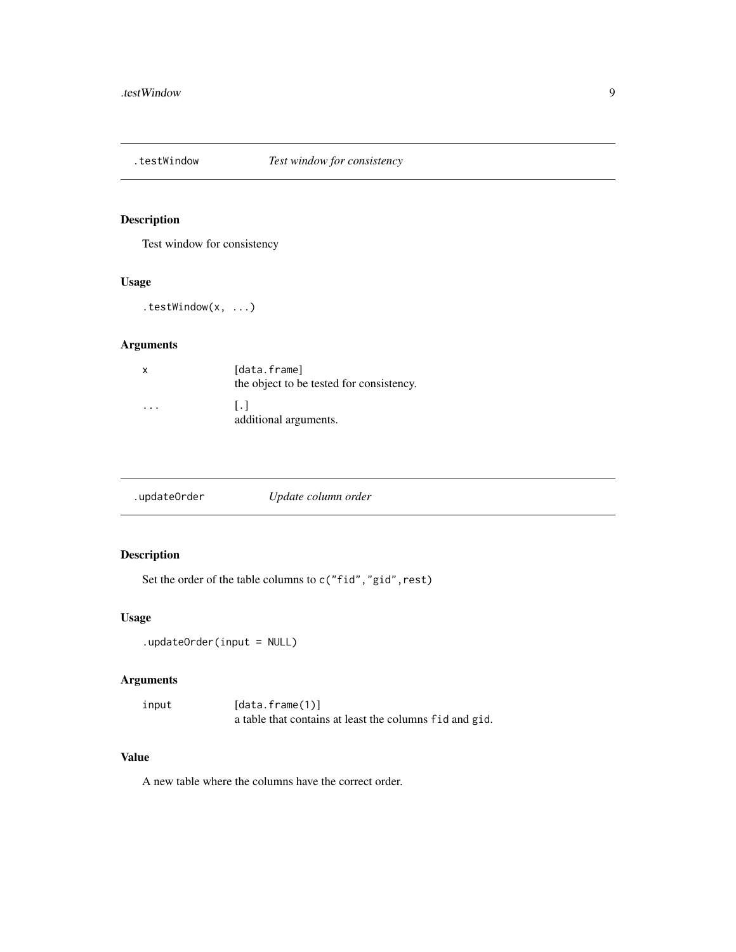<span id="page-8-0"></span>

Test window for consistency

#### Usage

.testWindow(x, ...)

## Arguments

| x                       | [data.frame]<br>the object to be tested for consistency. |
|-------------------------|----------------------------------------------------------|
| $\cdot$ $\cdot$ $\cdot$ | $\overline{1.1}$<br>additional arguments.                |

|--|

## Description

Set the order of the table columns to  $c("fid", "gid", rest)$ 

## Usage

```
.updateOrder(input = NULL)
```
### Arguments

input [data.frame(1)] a table that contains at least the columns fid and gid.

## Value

A new table where the columns have the correct order.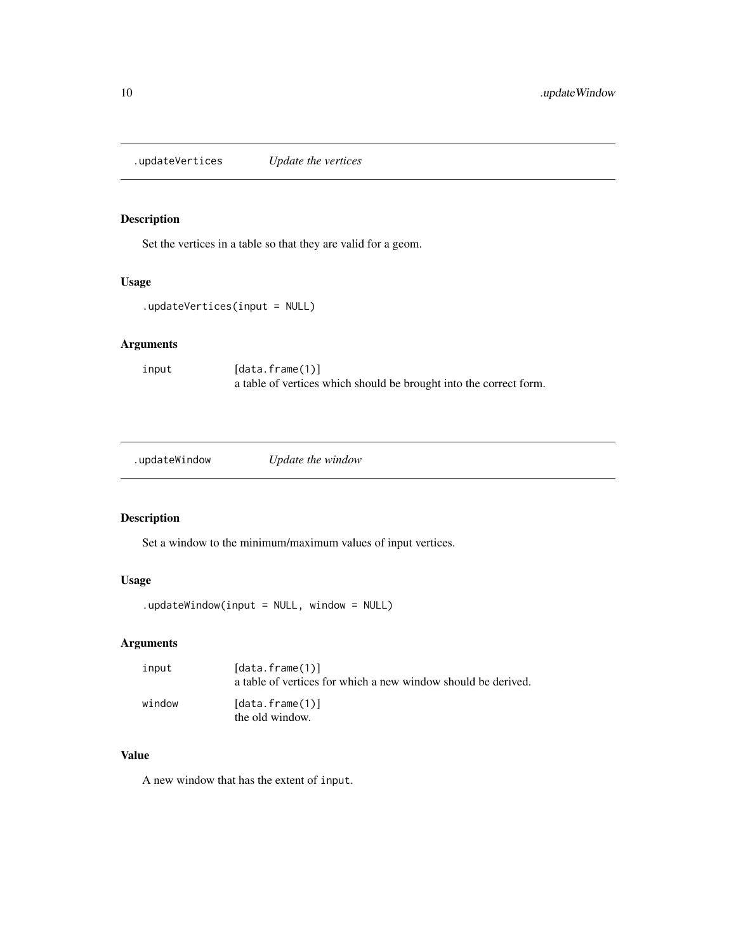<span id="page-9-0"></span>.updateVertices *Update the vertices*

### Description

Set the vertices in a table so that they are valid for a geom.

#### Usage

```
.updateVertices(input = NULL)
```
## Arguments

input [data.frame(1)] a table of vertices which should be brought into the correct form.

.updateWindow *Update the window*

### Description

Set a window to the minimum/maximum values of input vertices.

### Usage

 $u$ updateWindow(input = NULL, window = NULL)

### Arguments

| input  | [data.frame(1)]<br>a table of vertices for which a new window should be derived. |
|--------|----------------------------------------------------------------------------------|
| window | [data.frame(1)]<br>the old window.                                               |

### Value

A new window that has the extent of input.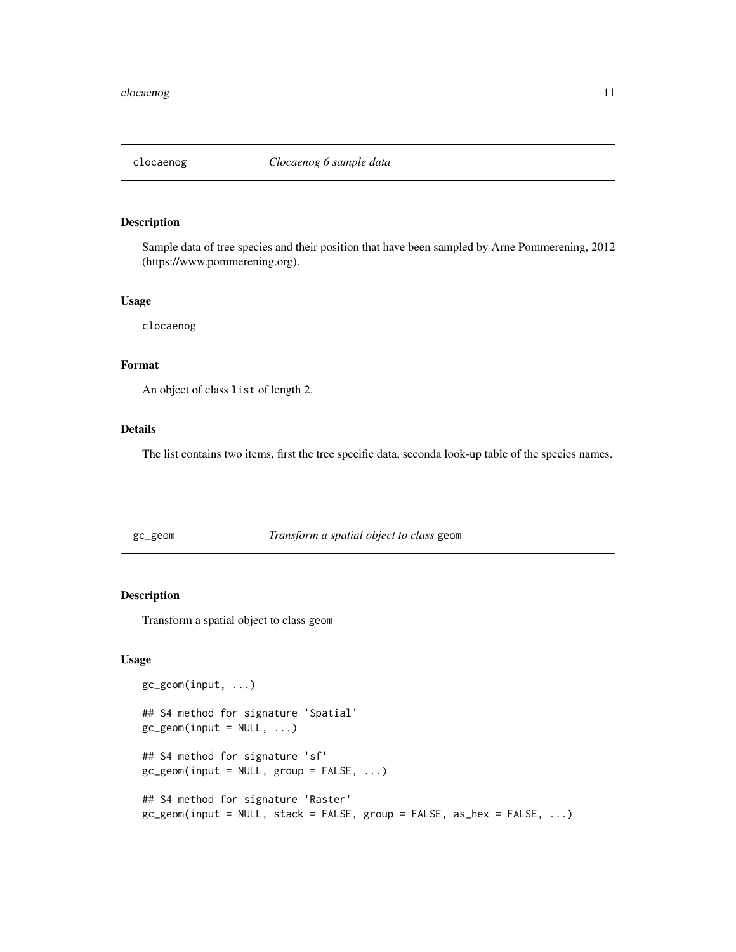<span id="page-10-0"></span>

Sample data of tree species and their position that have been sampled by Arne Pommerening, 2012 (https://www.pommerening.org).

#### Usage

clocaenog

### Format

An object of class list of length 2.

### Details

The list contains two items, first the tree specific data, seconda look-up table of the species names.

<span id="page-10-1"></span>gc\_geom *Transform a spatial object to class* geom

### Description

Transform a spatial object to class geom

#### Usage

```
gc_geom(input, ...)
## S4 method for signature 'Spatial'
gc\_geom(input = NULL, ...)## S4 method for signature 'sf'
gc\_geom(input = NULL, group = FALSE, ...)## S4 method for signature 'Raster'
gc_geom(input = NULL, stack = FALSE, group = FALSE, as_hex = FALSE, ...)
```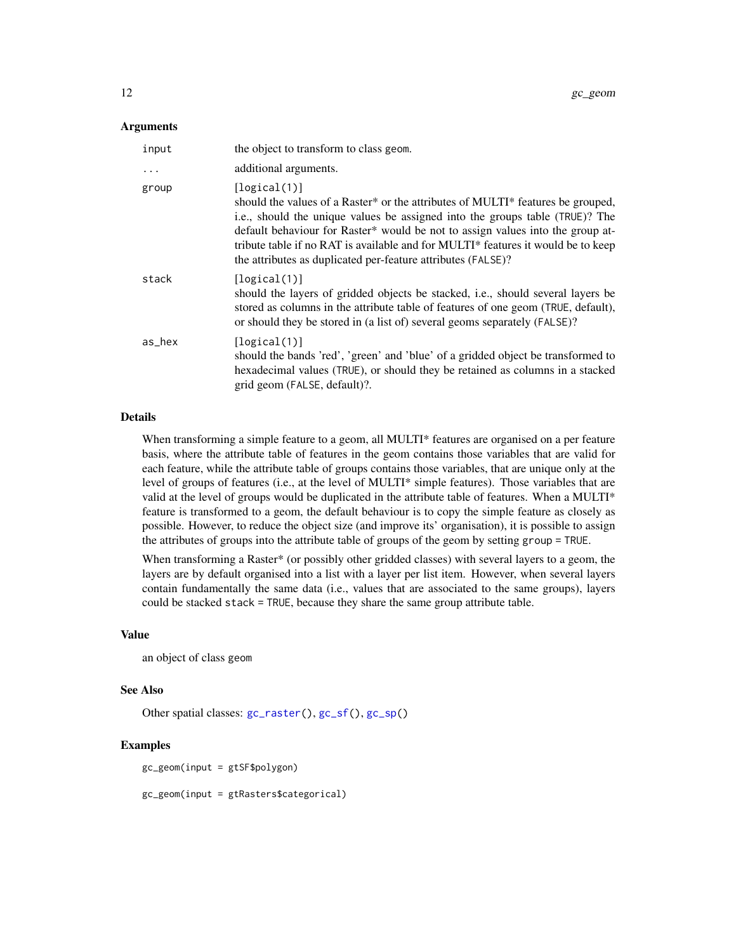#### <span id="page-11-0"></span>Arguments

| input     | the object to transform to class geom.                                                                                                                                                                                                                                                                                                                                                                                |
|-----------|-----------------------------------------------------------------------------------------------------------------------------------------------------------------------------------------------------------------------------------------------------------------------------------------------------------------------------------------------------------------------------------------------------------------------|
| $\ddotsc$ | additional arguments.                                                                                                                                                                                                                                                                                                                                                                                                 |
| group     | [logical(1)]<br>should the values of a Raster* or the attributes of MULTI* features be grouped,<br>i.e., should the unique values be assigned into the groups table (TRUE)? The<br>default behaviour for Raster* would be not to assign values into the group at-<br>tribute table if no RAT is available and for MULTI* features it would be to keep<br>the attributes as duplicated per-feature attributes (FALSE)? |
| stack     | [logical(1)]<br>should the layers of gridded objects be stacked, i.e., should several layers be<br>stored as columns in the attribute table of features of one geom (TRUE, default),<br>or should they be stored in (a list of) several geoms separately (FALSE)?                                                                                                                                                     |
| as_hex    | [logical(1)]<br>should the bands 'red', 'green' and 'blue' of a gridded object be transformed to<br>hexadecimal values (TRUE), or should they be retained as columns in a stacked<br>grid geom (FALSE, default)?.                                                                                                                                                                                                     |

### Details

When transforming a simple feature to a geom, all MULTI\* features are organised on a per feature basis, where the attribute table of features in the geom contains those variables that are valid for each feature, while the attribute table of groups contains those variables, that are unique only at the level of groups of features (i.e., at the level of MULTI\* simple features). Those variables that are valid at the level of groups would be duplicated in the attribute table of features. When a MULTI\* feature is transformed to a geom, the default behaviour is to copy the simple feature as closely as possible. However, to reduce the object size (and improve its' organisation), it is possible to assign the attributes of groups into the attribute table of groups of the geom by setting group = TRUE.

When transforming a Raster\* (or possibly other gridded classes) with several layers to a geom, the layers are by default organised into a list with a layer per list item. However, when several layers contain fundamentally the same data (i.e., values that are associated to the same groups), layers could be stacked stack = TRUE, because they share the same group attribute table.

### Value

an object of class geom

### See Also

Other spatial classes: [gc\\_raster\(](#page-12-1)), [gc\\_sf\(](#page-12-2)), [gc\\_sp\(](#page-13-1))

#### Examples

gc\_geom(input = gtSF\$polygon)

gc\_geom(input = gtRasters\$categorical)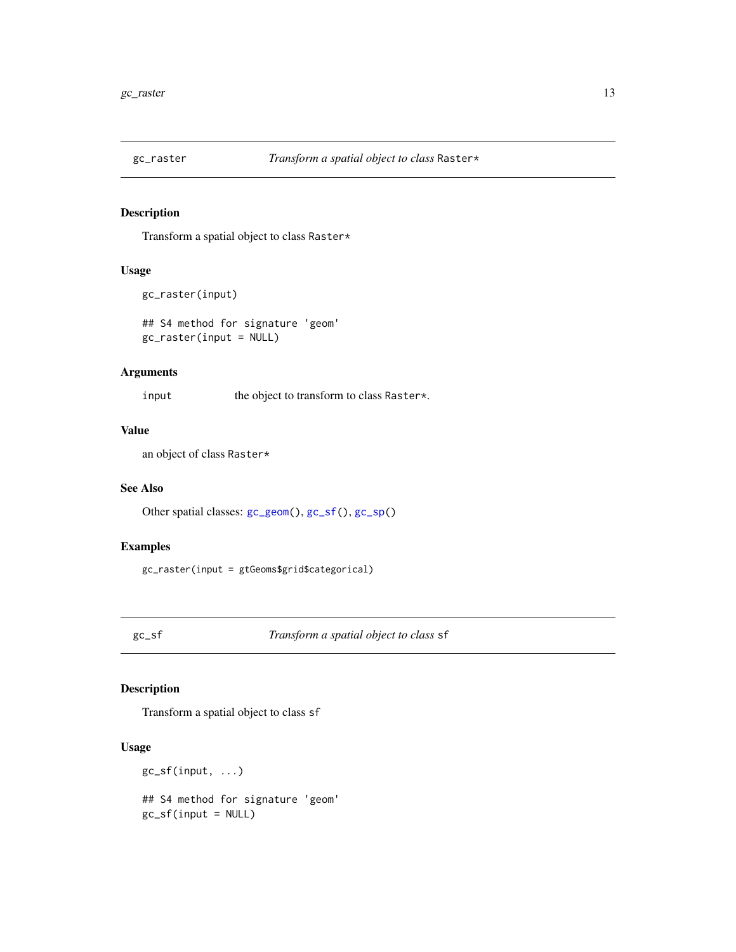<span id="page-12-1"></span><span id="page-12-0"></span>

Transform a spatial object to class Raster\*

### Usage

```
gc_raster(input)
```
## S4 method for signature 'geom' gc\_raster(input = NULL)

### Arguments

input the object to transform to class Raster\*.

### Value

an object of class Raster\*

### See Also

Other spatial classes: [gc\\_geom\(](#page-10-1)), [gc\\_sf\(](#page-12-2)), [gc\\_sp\(](#page-13-1))

### Examples

gc\_raster(input = gtGeoms\$grid\$categorical)

<span id="page-12-2"></span>gc\_sf *Transform a spatial object to class* sf

### Description

Transform a spatial object to class sf

## Usage

gc\_sf(input, ...) ## S4 method for signature 'geom'  $gc_sf(input = NULL)$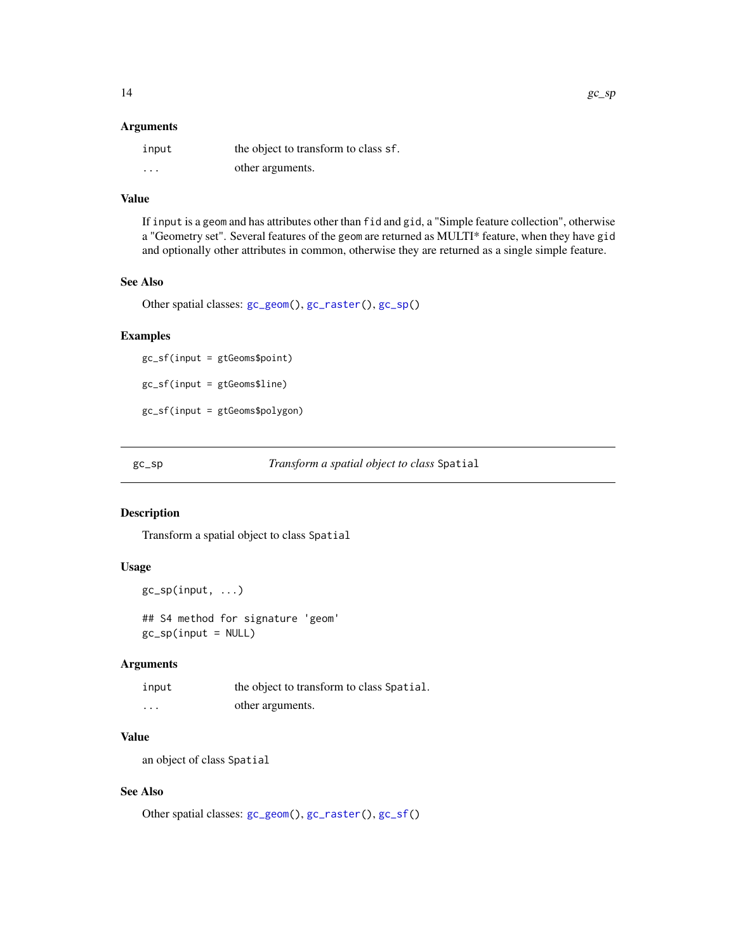#### <span id="page-13-0"></span>Arguments

| input    | the object to transform to class sf. |
|----------|--------------------------------------|
| $\cdots$ | other arguments.                     |

### Value

If input is a geom and has attributes other than fid and gid, a "Simple feature collection", otherwise a "Geometry set". Several features of the geom are returned as MULTI\* feature, when they have gid and optionally other attributes in common, otherwise they are returned as a single simple feature.

#### See Also

Other spatial classes: [gc\\_geom\(](#page-10-1)), [gc\\_raster\(](#page-12-1)), [gc\\_sp\(](#page-13-1))

### Examples

gc\_sf(input = gtGeoms\$point) gc\_sf(input = gtGeoms\$line) gc\_sf(input = gtGeoms\$polygon)

<span id="page-13-1"></span>gc\_sp *Transform a spatial object to class* Spatial

#### Description

Transform a spatial object to class Spatial

#### Usage

 $gc_sp(input, \ldots)$ 

## S4 method for signature 'geom' gc\_sp(input = NULL)

## Arguments

| input    | the object to transform to class Spatial. |
|----------|-------------------------------------------|
| $\cdots$ | other arguments.                          |

## Value

an object of class Spatial

### See Also

Other spatial classes: [gc\\_geom\(](#page-10-1)), [gc\\_raster\(](#page-12-1)), [gc\\_sf\(](#page-12-2))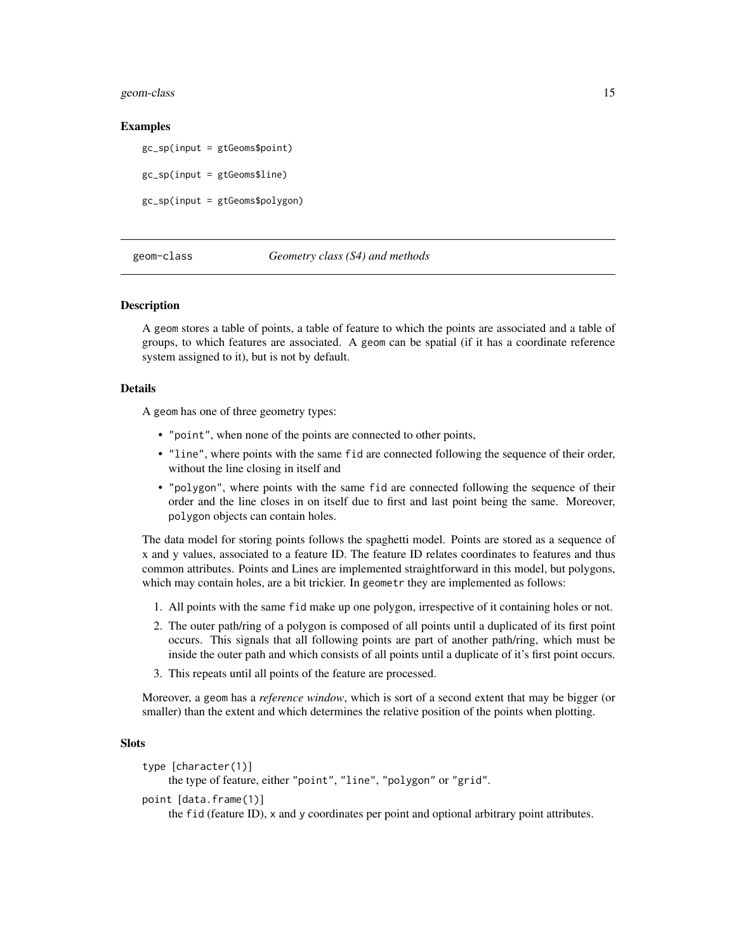<span id="page-14-0"></span>geom-class 15

#### Examples

gc\_sp(input = gtGeoms\$point)

gc\_sp(input = gtGeoms\$line)

gc\_sp(input = gtGeoms\$polygon)

### geom-class *Geometry class (S4) and methods*

#### <span id="page-14-1"></span>**Description**

A geom stores a table of points, a table of feature to which the points are associated and a table of groups, to which features are associated. A geom can be spatial (if it has a coordinate reference system assigned to it), but is not by default.

### Details

A geom has one of three geometry types:

- "point", when none of the points are connected to other points,
- "line", where points with the same fid are connected following the sequence of their order, without the line closing in itself and
- "polygon", where points with the same fid are connected following the sequence of their order and the line closes in on itself due to first and last point being the same. Moreover, polygon objects can contain holes.

The data model for storing points follows the spaghetti model. Points are stored as a sequence of x and y values, associated to a feature ID. The feature ID relates coordinates to features and thus common attributes. Points and Lines are implemented straightforward in this model, but polygons, which may contain holes, are a bit trickier. In geometr they are implemented as follows:

- 1. All points with the same fid make up one polygon, irrespective of it containing holes or not.
- 2. The outer path/ring of a polygon is composed of all points until a duplicated of its first point occurs. This signals that all following points are part of another path/ring, which must be inside the outer path and which consists of all points until a duplicate of it's first point occurs.
- 3. This repeats until all points of the feature are processed.

Moreover, a geom has a *reference window*, which is sort of a second extent that may be bigger (or smaller) than the extent and which determines the relative position of the points when plotting.

### **Slots**

```
type [character(1)]
     the type of feature, either "point", "line", "polygon" or "grid".
point [data.frame(1)]
     the fid (feature ID), x and y coordinates per point and optional arbitrary point attributes.
```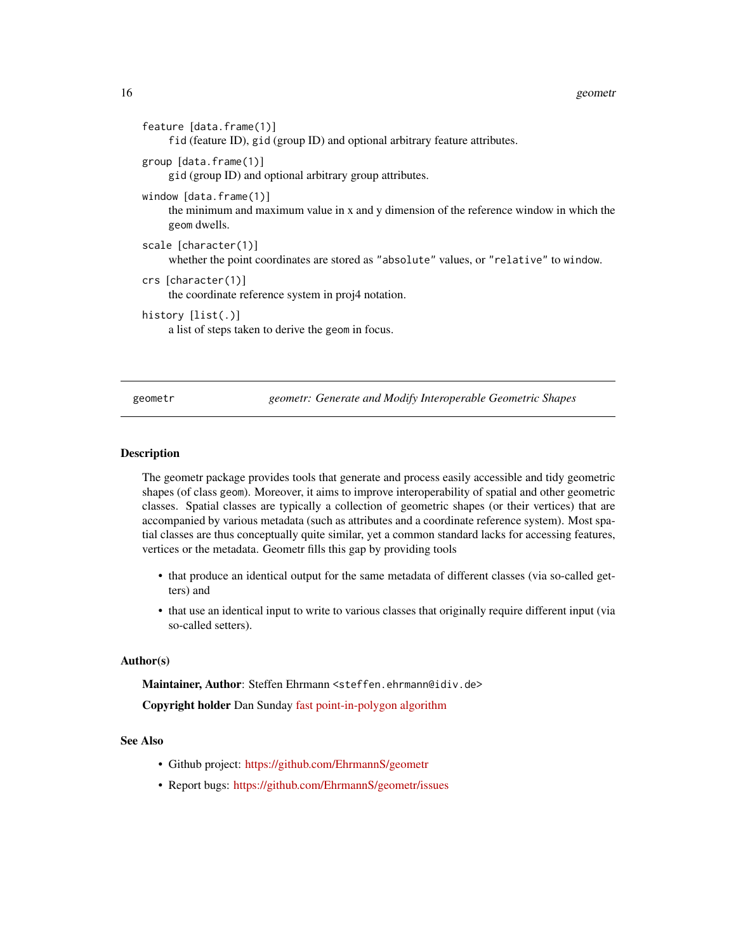| feature $[data-frame(1)]$<br>fid (feature ID), gid (group ID) and optional arbitrary feature attributes.                                |
|-----------------------------------------------------------------------------------------------------------------------------------------|
| group [data.frame(1)]<br>gid (group ID) and optional arbitrary group attributes.                                                        |
| window $[data.f$ rame $(1)]$<br>the minimum and maximum value in x and y dimension of the reference window in which the<br>geom dwells. |
| scale $[character(1)]$<br>whether the point coordinates are stored as "absolute" values, or "relative" to window.                       |
| $crs$ [character(1)]<br>the coordinate reference system in proj4 notation.                                                              |
| history $[list(.)]$<br>a list of steps taken to derive the geomein focus.                                                               |

geometr *geometr: Generate and Modify Interoperable Geometric Shapes*

#### Description

The geometr package provides tools that generate and process easily accessible and tidy geometric shapes (of class geom). Moreover, it aims to improve interoperability of spatial and other geometric classes. Spatial classes are typically a collection of geometric shapes (or their vertices) that are accompanied by various metadata (such as attributes and a coordinate reference system). Most spatial classes are thus conceptually quite similar, yet a common standard lacks for accessing features, vertices or the metadata. Geometr fills this gap by providing tools

- that produce an identical output for the same metadata of different classes (via so-called getters) and
- that use an identical input to write to various classes that originally require different input (via so-called setters).

### Author(s)

Maintainer, Author: Steffen Ehrmann <steffen.ehrmann@idiv.de> Copyright holder Dan Sunday [fast point-in-polygon algorithm](http://www.geomalgorithms.com/algorithms.html)

### See Also

- Github project: <https://github.com/EhrmannS/geometr>
- Report bugs: <https://github.com/EhrmannS/geometr/issues>

<span id="page-15-0"></span>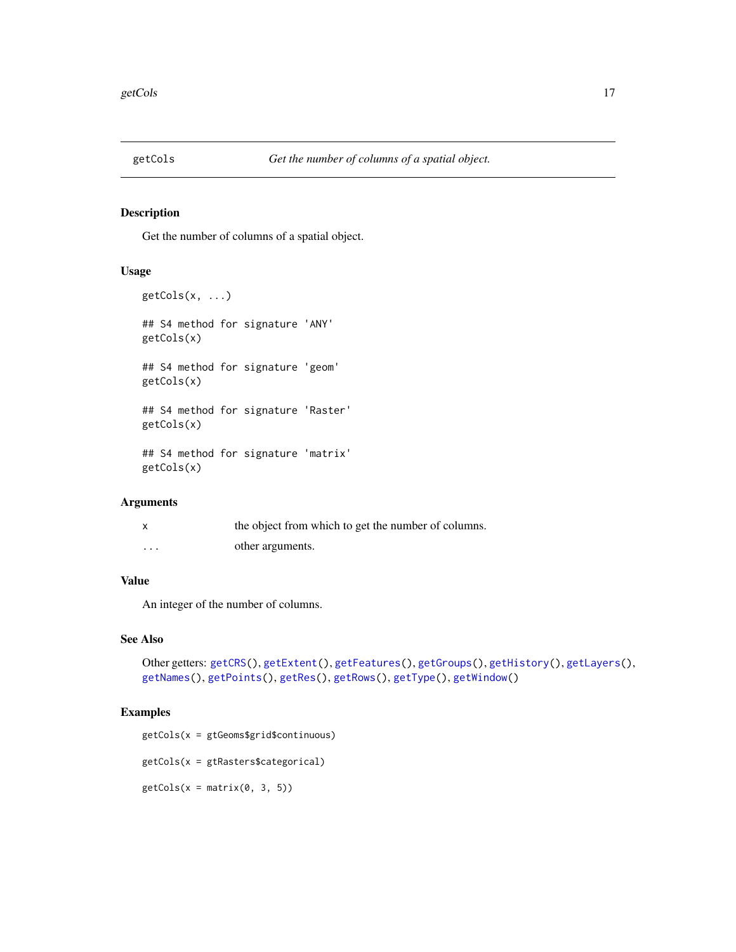<span id="page-16-1"></span><span id="page-16-0"></span>

Get the number of columns of a spatial object.

### Usage

```
getCols(x, ...)
## S4 method for signature 'ANY'
getCols(x)
## S4 method for signature 'geom'
getCols(x)
## S4 method for signature 'Raster'
getCols(x)
## S4 method for signature 'matrix'
getCols(x)
```
### Arguments

|         | the object from which to get the number of columns. |
|---------|-----------------------------------------------------|
| $\cdot$ | other arguments.                                    |

### Value

An integer of the number of columns.

### See Also

```
Other getters: getCRS(), getExtent(), getFeatures(), getGroups(), getHistory(), getLayers(),
getNames(), getPoints(), getRes(), getRows(), getType(), getWindow()
```
### Examples

getCols(x = gtGeoms\$grid\$continuous)

getCols(x = gtRasters\$categorical)

 $getCols(x = matrix(0, 3, 5))$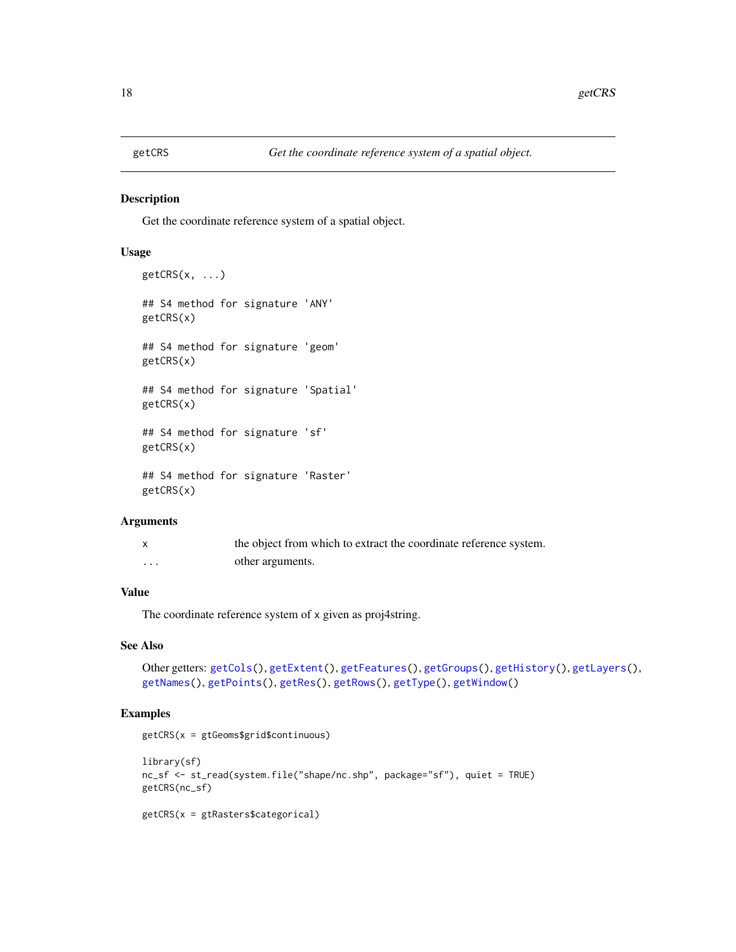<span id="page-17-1"></span><span id="page-17-0"></span>

Get the coordinate reference system of a spatial object.

## Usage

```
getCRS(x, \ldots)## S4 method for signature 'ANY'
getCRS(x)
## S4 method for signature 'geom'
getCRS(x)
## S4 method for signature 'Spatial'
getCRS(x)
## S4 method for signature 'sf'
getCRS(x)
## S4 method for signature 'Raster'
getCRS(x)
```
### Arguments

|          | the object from which to extract the coordinate reference system. |
|----------|-------------------------------------------------------------------|
| $\cdots$ | other arguments.                                                  |

## Value

The coordinate reference system of x given as proj4string.

## See Also

```
Other getters: getCols(), getExtent(), getFeatures(), getGroups(), getHistory(), getLayers(),
getNames(), getPoints(), getRes(), getRows(), getType(), getWindow()
```
### Examples

getCRS(x = gtGeoms\$grid\$continuous)

```
library(sf)
nc_sf <- st_read(system.file("shape/nc.shp", package="sf"), quiet = TRUE)
getCRS(nc_sf)
```

```
getCRS(x = gtRasters$categorical)
```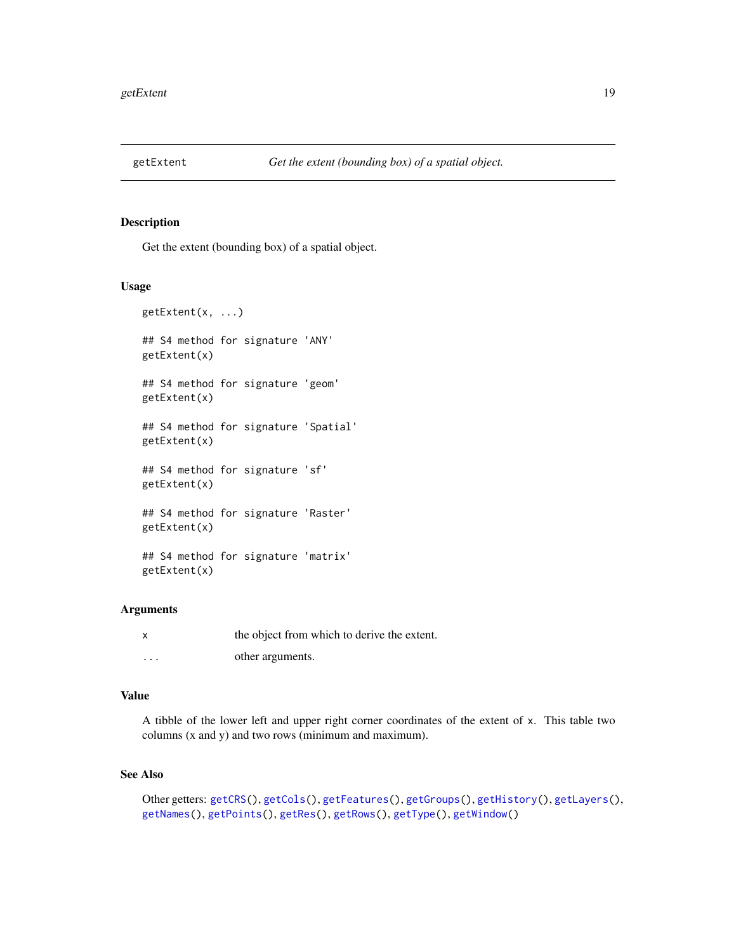<span id="page-18-1"></span><span id="page-18-0"></span>

Get the extent (bounding box) of a spatial object.

### Usage

```
getExtent(x, ...)
## S4 method for signature 'ANY'
getExtent(x)
## S4 method for signature 'geom'
getExtent(x)
## S4 method for signature 'Spatial'
getExtent(x)
## S4 method for signature 'sf'
getExtent(x)
## S4 method for signature 'Raster'
getExtent(x)
## S4 method for signature 'matrix'
getExtent(x)
```
### Arguments

| x        | the object from which to derive the extent. |
|----------|---------------------------------------------|
| $\cdots$ | other arguments.                            |

### Value

A tibble of the lower left and upper right corner coordinates of the extent of x. This table two columns (x and y) and two rows (minimum and maximum).

### See Also

```
Other getters: getCRS(), getCols(), getFeatures(), getGroups(), getHistory(), getLayers(),
getNames(), getPoints(), getRes(), getRows(), getType(), getWindow()
```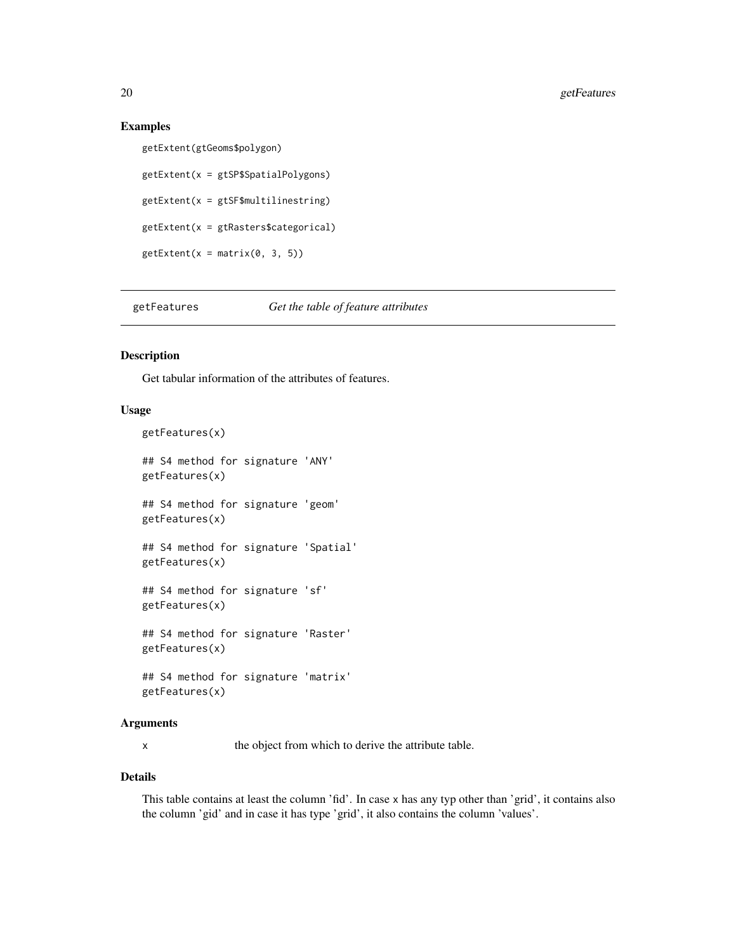#### Examples

```
getExtent(gtGeoms$polygon)
getExtent(x = gtSP$SpatialPolygons)
getExtend(x = gtsF$multilinestring)getExtent(x = gtRasters$categorical)
getExtend(x = matrix(0, 3, 5))
```
<span id="page-19-1"></span>getFeatures *Get the table of feature attributes*

### Description

Get tabular information of the attributes of features.

### Usage

```
getFeatures(x)
## S4 method for signature 'ANY'
getFeatures(x)
## S4 method for signature 'geom'
getFeatures(x)
## S4 method for signature 'Spatial'
getFeatures(x)
## S4 method for signature 'sf'
getFeatures(x)
## S4 method for signature 'Raster'
getFeatures(x)
## S4 method for signature 'matrix'
getFeatures(x)
```
#### Arguments

x the object from which to derive the attribute table.

#### Details

This table contains at least the column 'fid'. In case x has any typ other than 'grid', it contains also the column 'gid' and in case it has type 'grid', it also contains the column 'values'.

<span id="page-19-0"></span>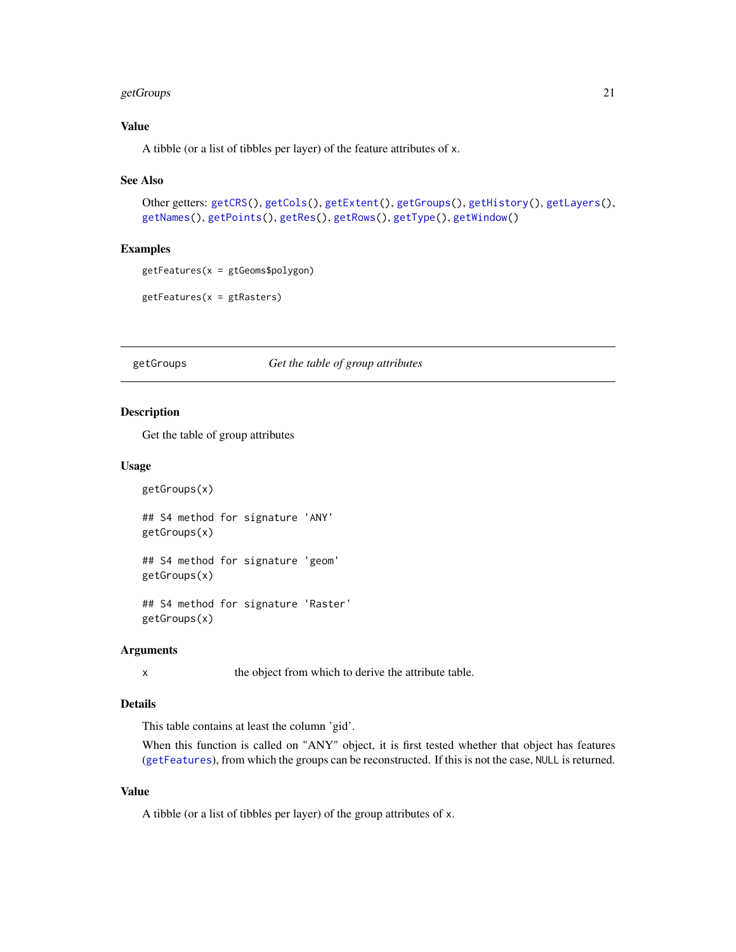### <span id="page-20-0"></span>getGroups 21

### Value

A tibble (or a list of tibbles per layer) of the feature attributes of x.

#### See Also

```
Other getters: getCRS(), getCols(), getExtent(), getGroups(), getHistory(), getLayers(),
getNames(), getPoints(), getRes(), getRows(), getType(), getWindow()
```
#### Examples

```
getFeatures(x = gtGeoms$polygon)
```
getFeatures(x = gtRasters)

### <span id="page-20-1"></span>getGroups *Get the table of group attributes*

#### Description

Get the table of group attributes

#### Usage

```
getGroups(x)
## S4 method for signature 'ANY'
getGroups(x)
## S4 method for signature 'geom'
getGroups(x)
## S4 method for signature 'Raster'
```
#### Arguments

getGroups(x)

x the object from which to derive the attribute table.

#### Details

This table contains at least the column 'gid'.

When this function is called on "ANY" object, it is first tested whether that object has features ([getFeatures](#page-19-1)), from which the groups can be reconstructed. If this is not the case, NULL is returned.

### Value

A tibble (or a list of tibbles per layer) of the group attributes of x.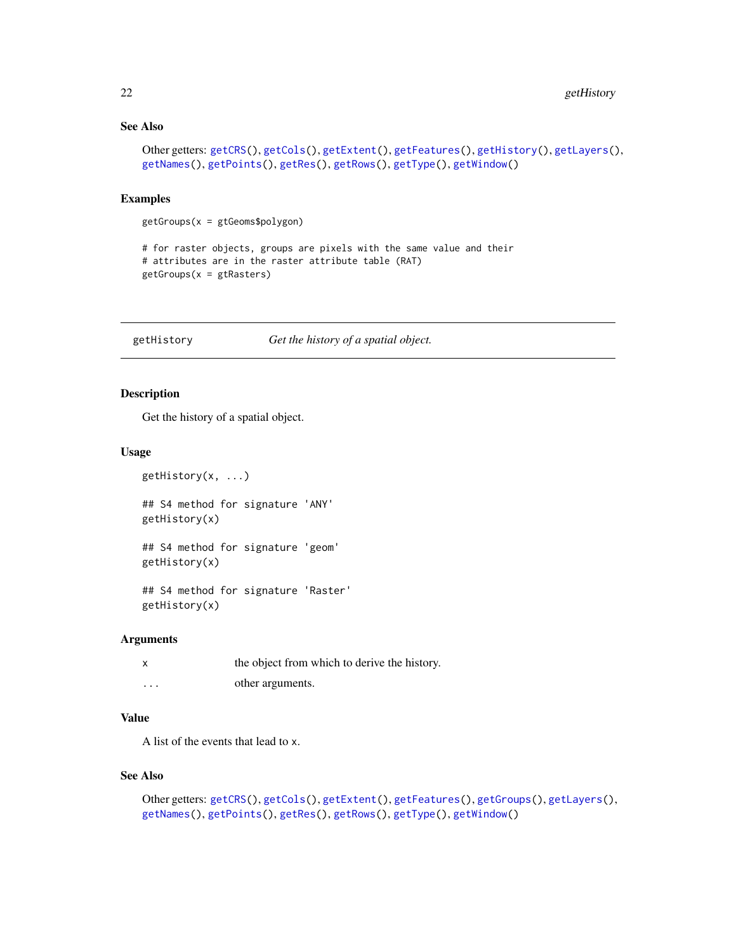### See Also

```
Other getters: getCRS(), getCols(), getExtent(), getFeatures(), getHistory(), getLayers(),
getNames(), getPoints(), getRes(), getRows(), getType(), getWindow()
```
### Examples

getGroups(x = gtGeoms\$polygon)

```
# for raster objects, groups are pixels with the same value and their
# attributes are in the raster attribute table (RAT)
getGroups(x = gtRasters)
```
<span id="page-21-1"></span>getHistory *Get the history of a spatial object.*

### Description

Get the history of a spatial object.

#### Usage

getHistory(x, ...)

## S4 method for signature 'ANY' getHistory(x)

## S4 method for signature 'geom' getHistory(x)

## S4 method for signature 'Raster' getHistory(x)

#### Arguments

| X        | the object from which to derive the history. |
|----------|----------------------------------------------|
| $\cdots$ | other arguments.                             |

### Value

A list of the events that lead to x.

### See Also

```
Other getters: getCRS(), getCols(), getExtent(), getFeatures(), getGroups(), getLayers(),
getNames(), getPoints(), getRes(), getRows(), getType(), getWindow()
```
<span id="page-21-0"></span>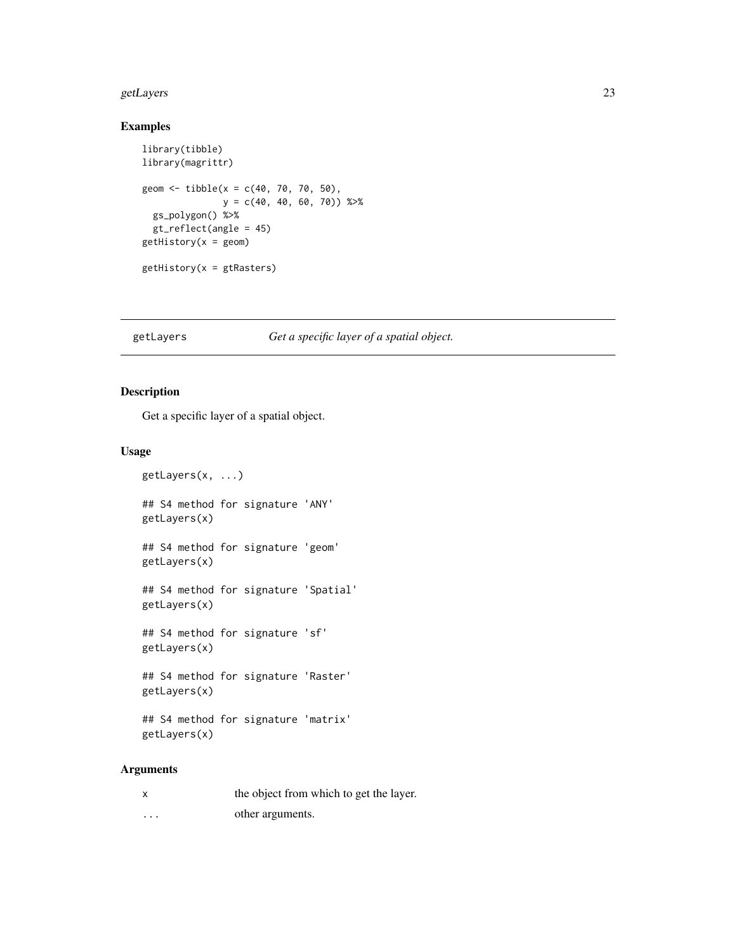#### <span id="page-22-0"></span>getLayers 23

### Examples

```
library(tibble)
library(magrittr)
geom <- tibble(x = c(40, 70, 70, 50),
               y = c(40, 40, 60, 70) %>%
  gs_polygon() %>%
  gt_reflect(angle = 45)
getHistory(x = geom)
getHistory(x = gtRasters)
```
### <span id="page-22-1"></span>getLayers *Get a specific layer of a spatial object.*

### Description

Get a specific layer of a spatial object.

### Usage

```
getLayers(x, ...)
## S4 method for signature 'ANY'
getLayers(x)
## S4 method for signature 'geom'
getLayers(x)
## S4 method for signature 'Spatial'
getLayers(x)
## S4 method for signature 'sf'
getLayers(x)
## S4 method for signature 'Raster'
getLayers(x)
## S4 method for signature 'matrix'
getLayers(x)
```
### Arguments

|   | the object from which to get the layer. |
|---|-----------------------------------------|
| . | other arguments.                        |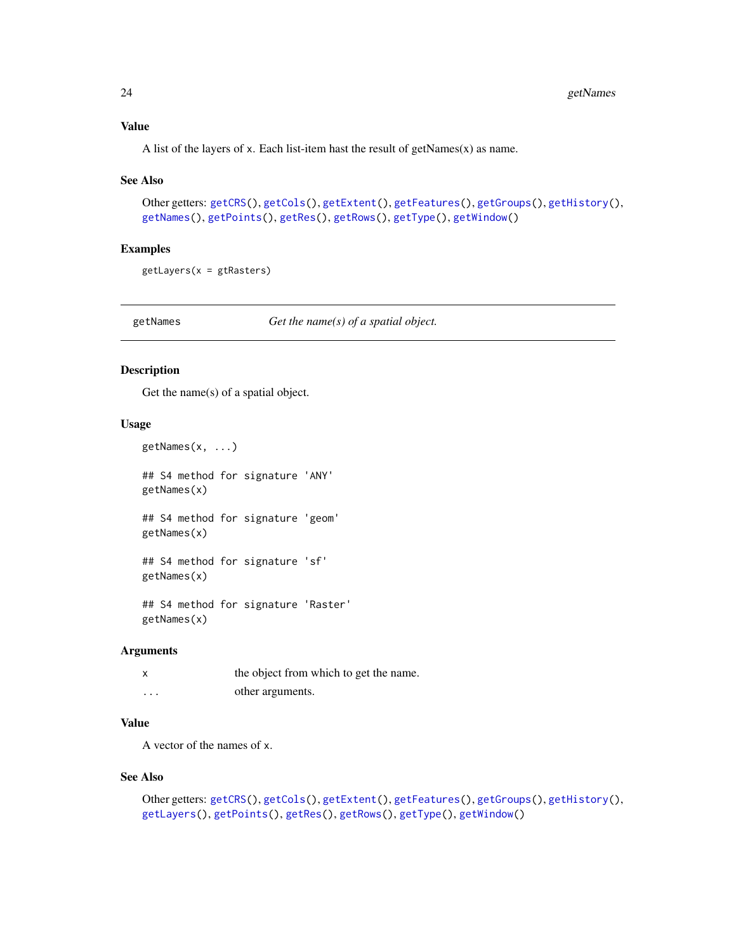### <span id="page-23-0"></span>Value

A list of the layers of x. Each list-item hast the result of getNames $(x)$  as name.

#### See Also

```
Other getters: getCRS(), getCols(), getExtent(), getFeatures(), getGroups(), getHistory(),
getNames(), getPoints(), getRes(), getRows(), getType(), getWindow()
```
#### Examples

getLayers(x = gtRasters)

<span id="page-23-1"></span>getNames *Get the name(s) of a spatial object.*

### Description

Get the name(s) of a spatial object.

#### Usage

```
getNames(x, ...)
## S4 method for signature 'ANY'
getNames(x)
## S4 method for signature 'geom'
getNames(x)
## S4 method for signature 'sf'
getNames(x)
## S4 method for signature 'Raster'
getNames(x)
```
#### Arguments

|                         | the object from which to get the name. |
|-------------------------|----------------------------------------|
| $\cdot$ $\cdot$ $\cdot$ | other arguments.                       |

### Value

A vector of the names of x.

#### See Also

```
Other getters: getCRS(), getCols(), getExtent(), getFeatures(), getGroups(), getHistory(),
getLayers(), getPoints(), getRes(), getRows(), getType(), getWindow()
```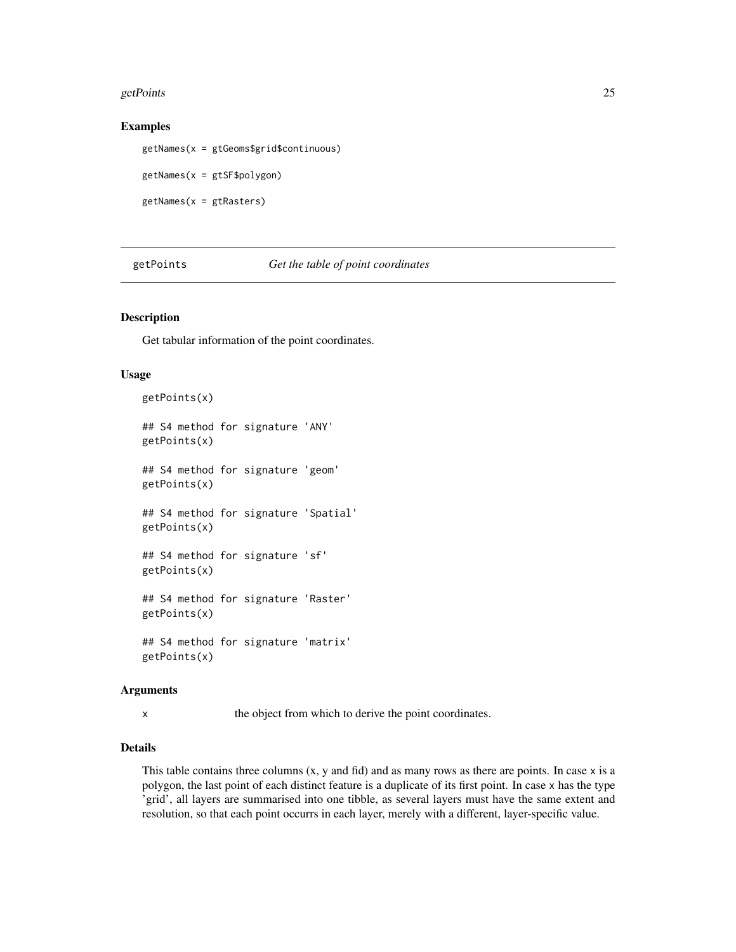#### <span id="page-24-0"></span>getPoints 25

#### Examples

getNames(x = gtGeoms\$grid\$continuous) getNames(x = gtSF\$polygon) getNames(x = gtRasters)

<span id="page-24-1"></span>getPoints *Get the table of point coordinates*

### Description

Get tabular information of the point coordinates.

#### Usage

getPoints(x) ## S4 method for signature 'ANY' getPoints(x) ## S4 method for signature 'geom' getPoints(x) ## S4 method for signature 'Spatial' getPoints(x) ## S4 method for signature 'sf' getPoints(x) ## S4 method for signature 'Raster' getPoints(x) ## S4 method for signature 'matrix' getPoints(x)

#### Arguments

x the object from which to derive the point coordinates.

### Details

This table contains three columns  $(x, y, z)$  and fid) and as many rows as there are points. In case  $x$  is a polygon, the last point of each distinct feature is a duplicate of its first point. In case x has the type 'grid', all layers are summarised into one tibble, as several layers must have the same extent and resolution, so that each point occurrs in each layer, merely with a different, layer-specific value.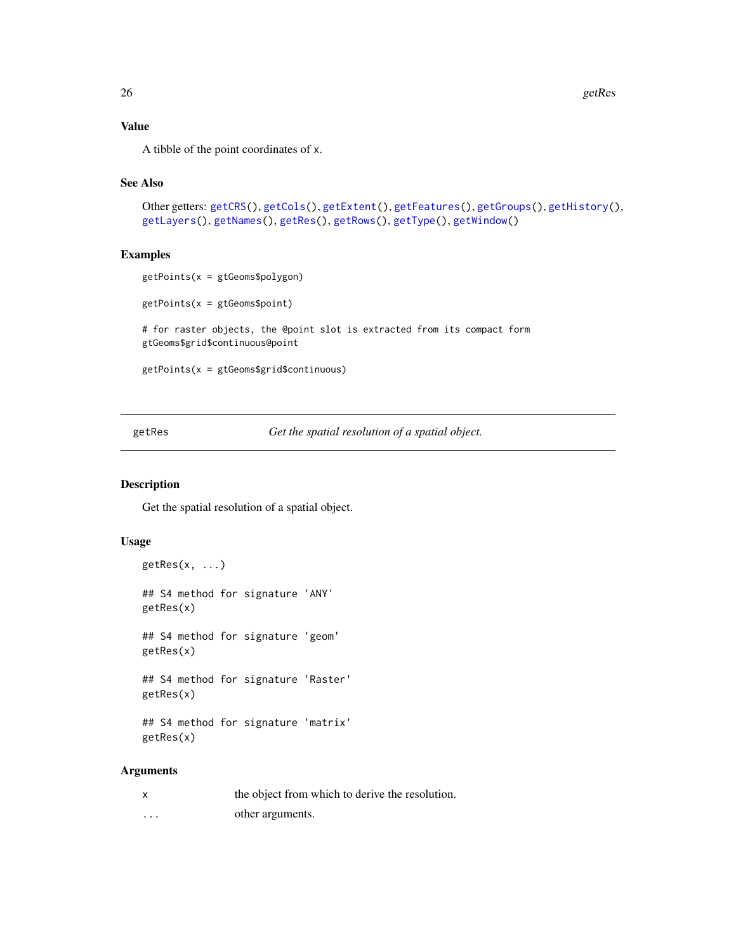### Value

A tibble of the point coordinates of x.

### See Also

```
Other getters: getCRS(), getCols(), getExtent(), getFeatures(), getGroups(), getHistory(),
getLayers(), getNames(), getRes(), getRows(), getType(), getWindow()
```
#### Examples

```
getPoints(x = gtGeoms$polygon)
getPoints(x = gtGeoms$point)
# for raster objects, the @point slot is extracted from its compact form
gtGeoms$grid$continuous@point
getPoints(x = gtGeoms$grid$continuous)
```
<span id="page-25-1"></span>getRes *Get the spatial resolution of a spatial object.*

#### Description

Get the spatial resolution of a spatial object.

### Usage

```
getRes(x, ...)
## S4 method for signature 'ANY'
getRes(x)
```
## S4 method for signature 'geom' getRes(x)

## S4 method for signature 'Raster' getRes(x)

## S4 method for signature 'matrix' getRes(x)

#### Arguments

| x | the object from which to derive the resolution. |
|---|-------------------------------------------------|
| . | other arguments.                                |

<span id="page-25-0"></span>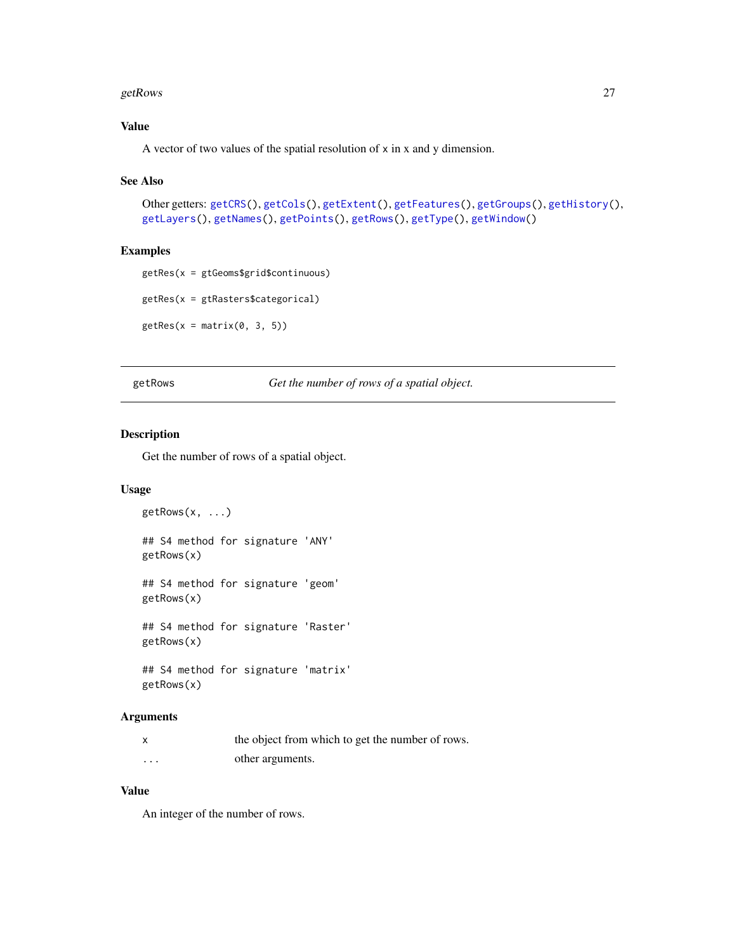#### <span id="page-26-0"></span> $getRows$  27

## Value

A vector of two values of the spatial resolution of x in x and y dimension.

### See Also

```
Other getters: getCRS(), getCols(), getExtent(), getFeatures(), getGroups(), getHistory(),
getLayers(), getNames(), getPoints(), getRows(), getType(), getWindow()
```
### Examples

getRes(x = gtGeoms\$grid\$continuous)

```
getRes(x = gtRasters$categorical)
```

```
getRes(x = matrix(0, 3, 5))
```
<span id="page-26-1"></span>getRows *Get the number of rows of a spatial object.*

### Description

Get the number of rows of a spatial object.

### Usage

 $getRows(x, \ldots)$ ## S4 method for signature 'ANY' getRows(x) ## S4 method for signature 'geom' getRows(x) ## S4 method for signature 'Raster' getRows(x) ## S4 method for signature 'matrix'

#### getRows(x)

#### Arguments

|         | the object from which to get the number of rows. |
|---------|--------------------------------------------------|
| $\cdot$ | other arguments.                                 |

### Value

An integer of the number of rows.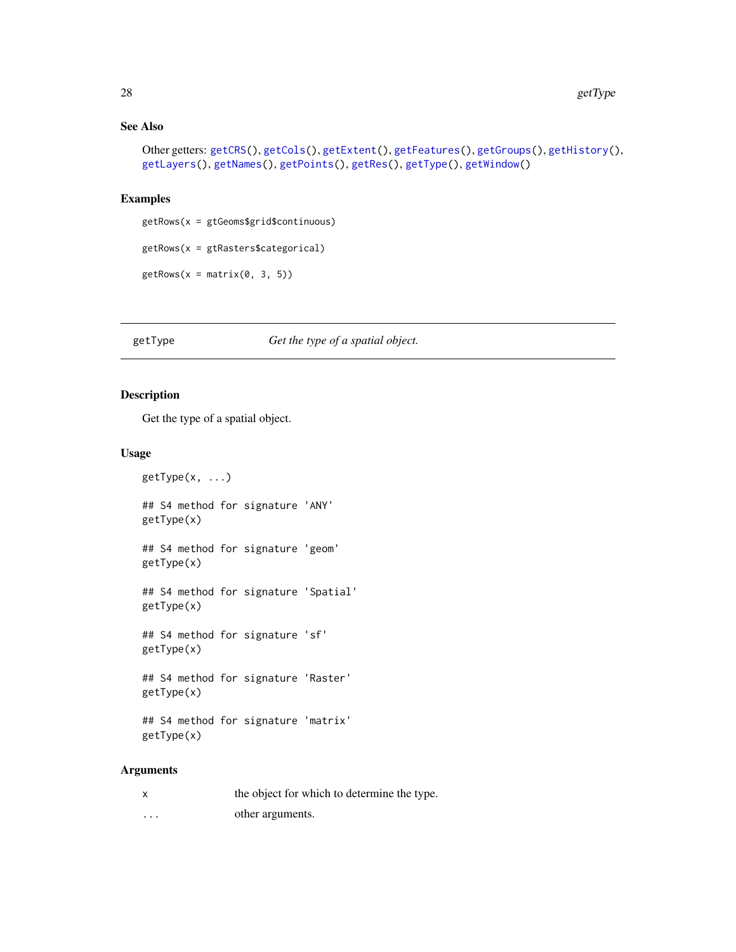### See Also

```
Other getters: getCRS(), getCols(), getExtent(), getFeatures(), getGroups(), getHistory(),
getLayers(), getNames(), getPoints(), getRes(), getType(), getWindow()
```
### Examples

```
getRows(x = gtGeoms$grid$continuous)
getRows(x = gtRasters$categorical)
getRows(x = matrix(0, 3, 5))
```
### <span id="page-27-1"></span>getType *Get the type of a spatial object.*

### Description

Get the type of a spatial object.

#### Usage

getType(x, ...)

## S4 method for signature 'ANY' getType(x)

## S4 method for signature 'geom' getType(x)

## S4 method for signature 'Spatial' getType(x)

## S4 method for signature 'sf' getType(x)

## S4 method for signature 'Raster' getType(x)

## S4 method for signature 'matrix' getType(x)

### Arguments

| x | the object for which to determine the type. |
|---|---------------------------------------------|
| . | other arguments.                            |

<span id="page-27-0"></span>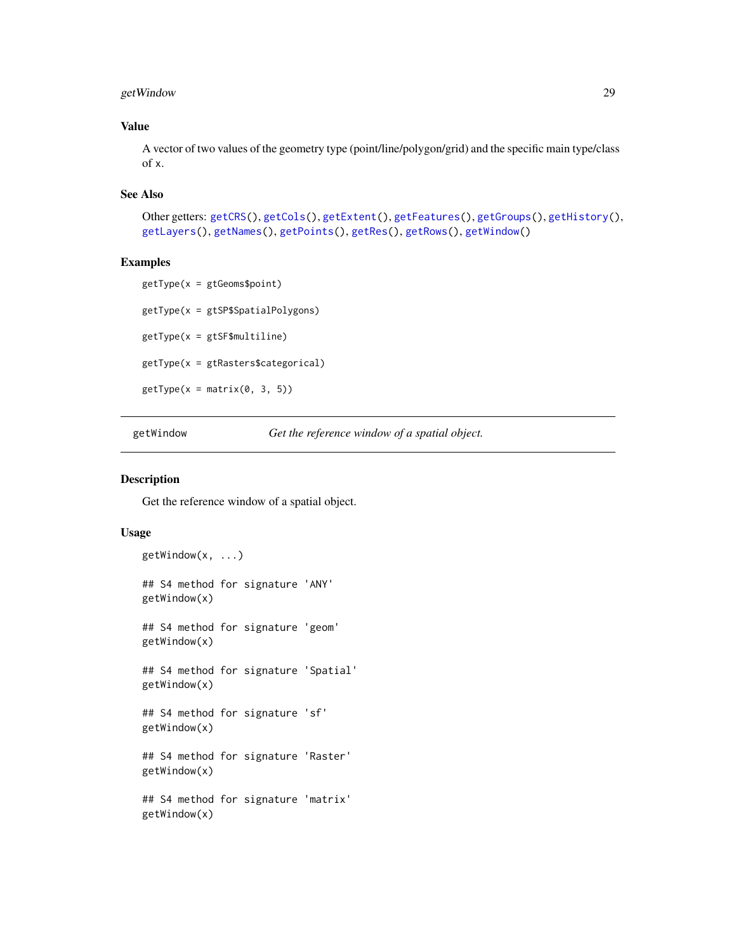### <span id="page-28-0"></span>getWindow 29

### Value

A vector of two values of the geometry type (point/line/polygon/grid) and the specific main type/class of x.

### See Also

```
Other getters: getCRS(), getCols(), getExtent(), getFeatures(), getGroups(), getHistory(),
getLayers(), getNames(), getPoints(), getRes(), getRows(), getWindow()
```
### Examples

```
getType(x = gtGeoms$point)
getType(x = gtSP$SpatialPolygons)
getType(x = gtSF$multiline)
getType(x = gtRasters$categorical)
getType(x = matrix(0, 3, 5))
```
<span id="page-28-1"></span>getWindow *Get the reference window of a spatial object.*

#### Description

Get the reference window of a spatial object.

### Usage

```
getWindow(x, ...)
## S4 method for signature 'ANY'
getWindow(x)
## S4 method for signature 'geom'
getWindow(x)
## S4 method for signature 'Spatial'
getWindow(x)
## S4 method for signature 'sf'
getWindow(x)
## S4 method for signature 'Raster'
getWindow(x)
## S4 method for signature 'matrix'
getWindow(x)
```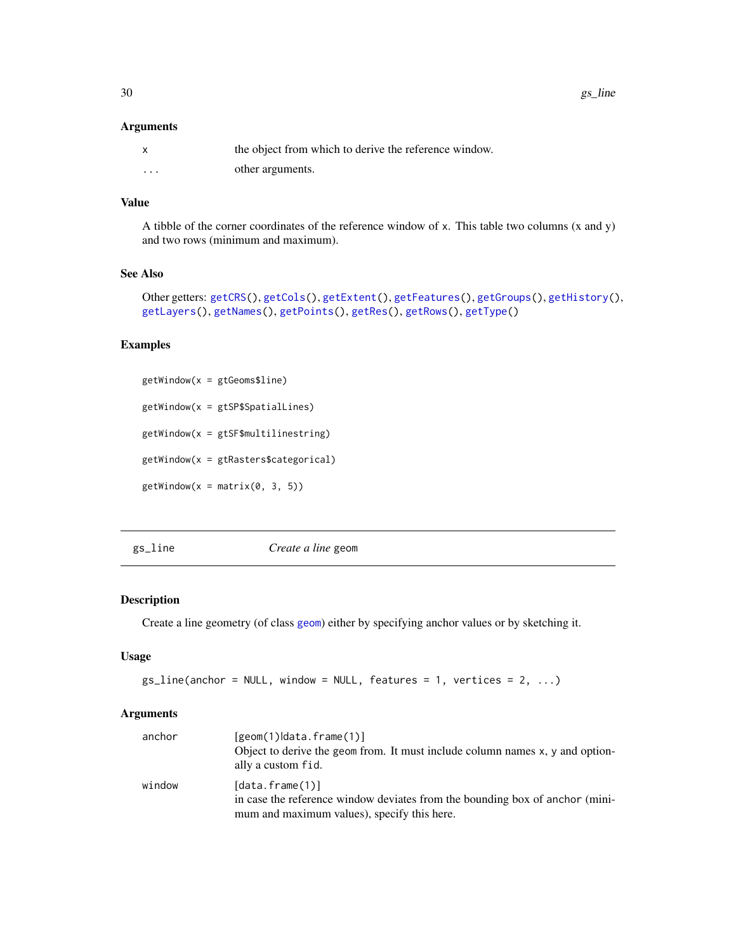### <span id="page-29-0"></span>Arguments

|   | the object from which to derive the reference window. |
|---|-------------------------------------------------------|
| . | other arguments.                                      |

### Value

A tibble of the corner coordinates of the reference window of x. This table two columns (x and y) and two rows (minimum and maximum).

### See Also

```
Other getters: getCRS(), getCols(), getExtent(), getFeatures(), getGroups(), getHistory(),
getLayers(), getNames(), getPoints(), getRes(), getRows(), getType()
```
### Examples

```
getWindow(x = gtGeoms$line)
getWindow(x = gtSP$SpatialLines)
getWindow(x = gtSF$multilinestring)
getWindow(x = gtRasters$categorical)
getWindow(x = matrix(0, 3, 5))
```
<span id="page-29-1"></span>gs\_line *Create a line* geom

### Description

Create a line geometry (of class [geom](#page-14-1)) either by specifying anchor values or by sketching it.

#### Usage

```
gs\_line(anchor = NULL, window = NULL, feature = 1, vertices = 2, ...)
```
### Arguments

| anchor | $[geom(1) data.f$ rame $(1)]$<br>Object to derive the geom from. It must include column names x, y and option-<br>ally a custom fid.           |
|--------|------------------------------------------------------------------------------------------------------------------------------------------------|
| window | [data.frame(1)]<br>in case the reference window deviates from the bounding box of anchor (mini-<br>mum and maximum values), specify this here. |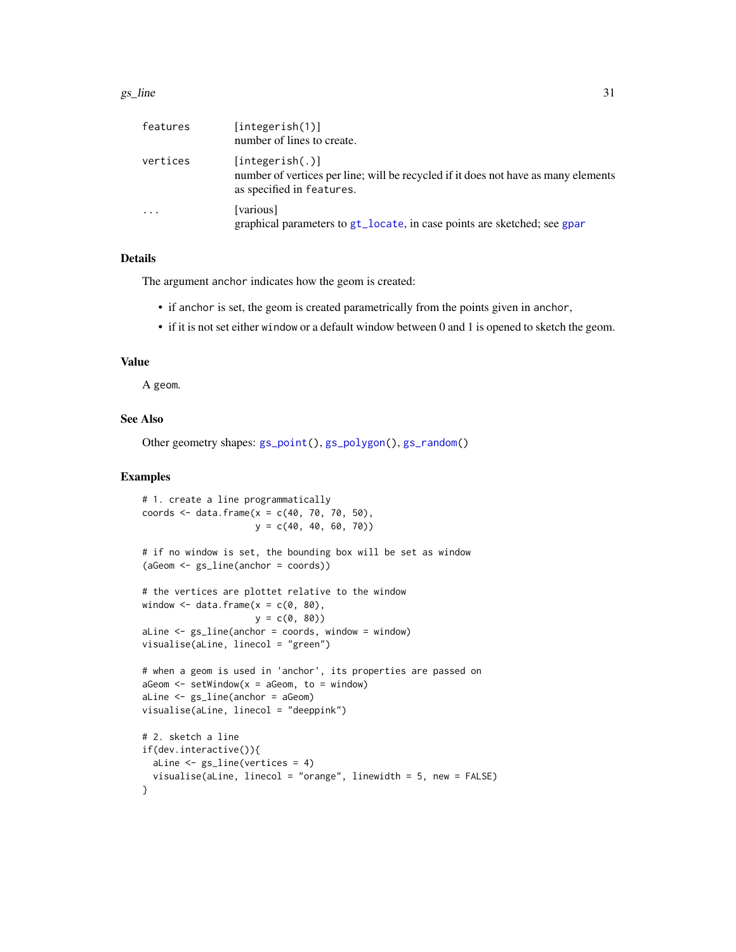#### <span id="page-30-0"></span> $gs\_line$  31

| features | [integerish(1)]<br>number of lines to create.                                                                                      |
|----------|------------------------------------------------------------------------------------------------------------------------------------|
| vertices | [integerish(.)]<br>number of vertices per line; will be recycled if it does not have as many elements<br>as specified in features. |
| $\cdot$  | [various]<br>graphical parameters to gt_locate, in case points are sketched; see gpar                                              |

### Details

The argument anchor indicates how the geom is created:

- if anchor is set, the geom is created parametrically from the points given in anchor,
- if it is not set either window or a default window between 0 and 1 is opened to sketch the geom.

#### Value

A geom.

### See Also

Other geometry shapes: [gs\\_point\(](#page-31-1)), [gs\\_polygon\(](#page-32-1)), [gs\\_random\(](#page-34-1))

### Examples

```
# 1. create a line programmatically
coords <- data.frame(x = c(40, 70, 70, 50),
                     y = c(40, 40, 60, 70)# if no window is set, the bounding box will be set as window
(aGeom <- gs_line(anchor = coords))
# the vertices are plottet relative to the window
window \leq data.frame(x = c(0, 80),
                    y = c(0, 80)aLine \leq gs_line(anchor = coords, window = window)
visualise(aLine, linecol = "green")
# when a geom is used in 'anchor', its properties are passed on
aGeom \leq setWindow(x = aGeom, to = window)
aLine <- gs_line(anchor = aGeom)
visualise(aLine, linecol = "deeppink")
# 2. sketch a line
if(dev.interactive()){
  aLine <- gs_line(vertices = 4)
  visualise(aLine, linecol = "orange", linewidth = 5, new = FALSE)
}
```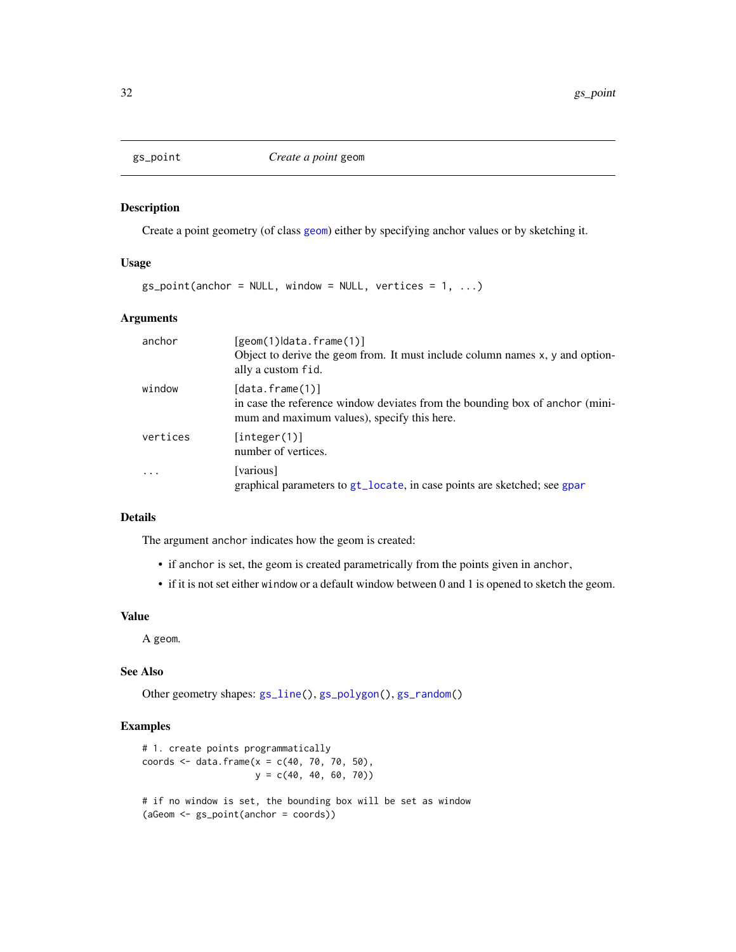<span id="page-31-1"></span><span id="page-31-0"></span>

Create a point geometry (of class [geom](#page-14-1)) either by specifying anchor values or by sketching it.

### Usage

 $gs\_point(anchor = NULL, window = NULL, vertices = 1, ...)$ 

### Arguments

| anchor   | $[geom(1) data.f$ rame $(1)]$<br>Object to derive the geom from. It must include column names x, y and option-<br>ally a custom fid.                 |
|----------|------------------------------------------------------------------------------------------------------------------------------------------------------|
| window   | $[data.f$ rame $(1)]$<br>in case the reference window deviates from the bounding box of anchor (mini-<br>mum and maximum values), specify this here. |
| vertices | [interer(1)]<br>number of vertices.                                                                                                                  |
|          | [various]<br>graphical parameters to gt_locate, in case points are sketched; see gpar                                                                |

## Details

The argument anchor indicates how the geom is created:

- if anchor is set, the geom is created parametrically from the points given in anchor,
- if it is not set either window or a default window between 0 and 1 is opened to sketch the geom.

### Value

A geom.

### See Also

Other geometry shapes: [gs\\_line\(](#page-29-1)), [gs\\_polygon\(](#page-32-1)), [gs\\_random\(](#page-34-1))

### Examples

```
# 1. create points programmatically
coords <- data.frame(x = c(40, 70, 70, 50),
                    y = c(40, 40, 60, 70)# if no window is set, the bounding box will be set as window
(aGeom <- gs_point(anchor = coords))
```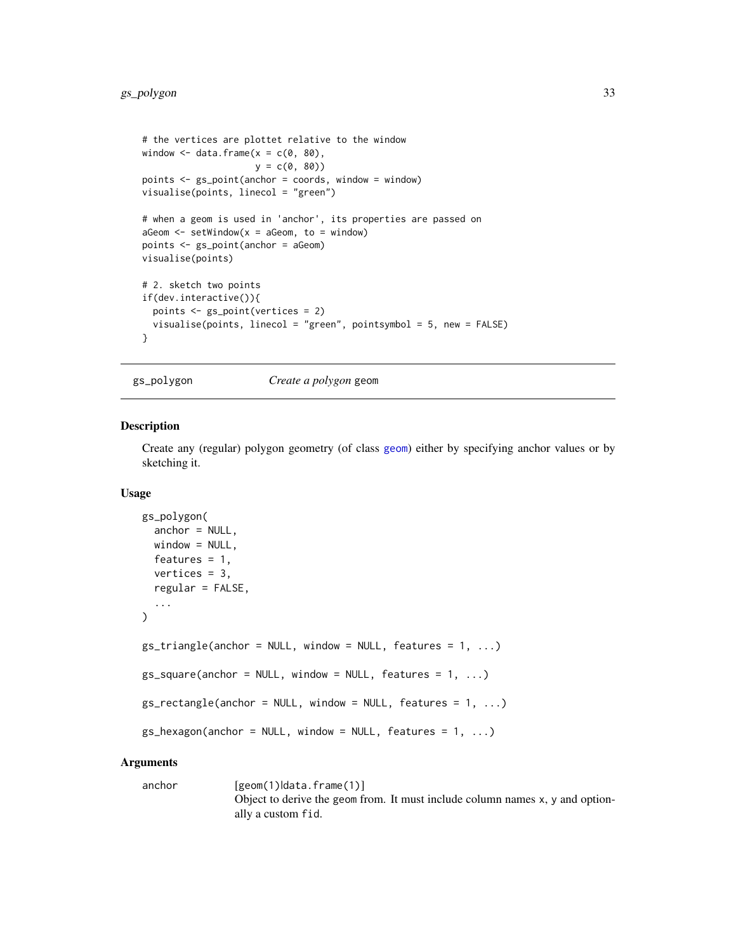```
# the vertices are plottet relative to the window
window \leq data.frame(x = c(0, 80),
                      y = c(0, 80)points <- gs_point(anchor = coords, window = window)
visualise(points, linecol = "green")
# when a geom is used in 'anchor', its properties are passed on
aGeom \leq -\text{setWindow}(x = aGeom, \text{ to } = \text{window})points <- gs_point(anchor = aGeom)
visualise(points)
# 2. sketch two points
if(dev.interactive()){
  points <- gs_point(vertices = 2)
  visualise(points, linecol = "green", pointsymbol = 5, new = FALSE)
}
```
<span id="page-32-1"></span>gs\_polygon *Create a polygon* geom

### Description

Create any (regular) polygon geometry (of class [geom](#page-14-1)) either by specifying anchor values or by sketching it.

#### Usage

```
gs_polygon(
  anchor = NULL,
  window = NULL,features = 1,
  vertices = 3,
  regular = FALSE,
  ...
\lambdags\_triangle(anchor = NULL, window = NULL, feature = 1, ...)gs_square(anchor = NULL, window = NULL, feature = 1, ...)gs\_rectangle(anchor = NULL, window = NULL, feature = 1, ...)gs_{\text{hexagon}}(anchor = NULL, window = NULL, features = 1, ...)
```
#### Arguments

anchor [geom(1)|data.frame(1)] Object to derive the geom from. It must include column names x, y and optionally a custom fid.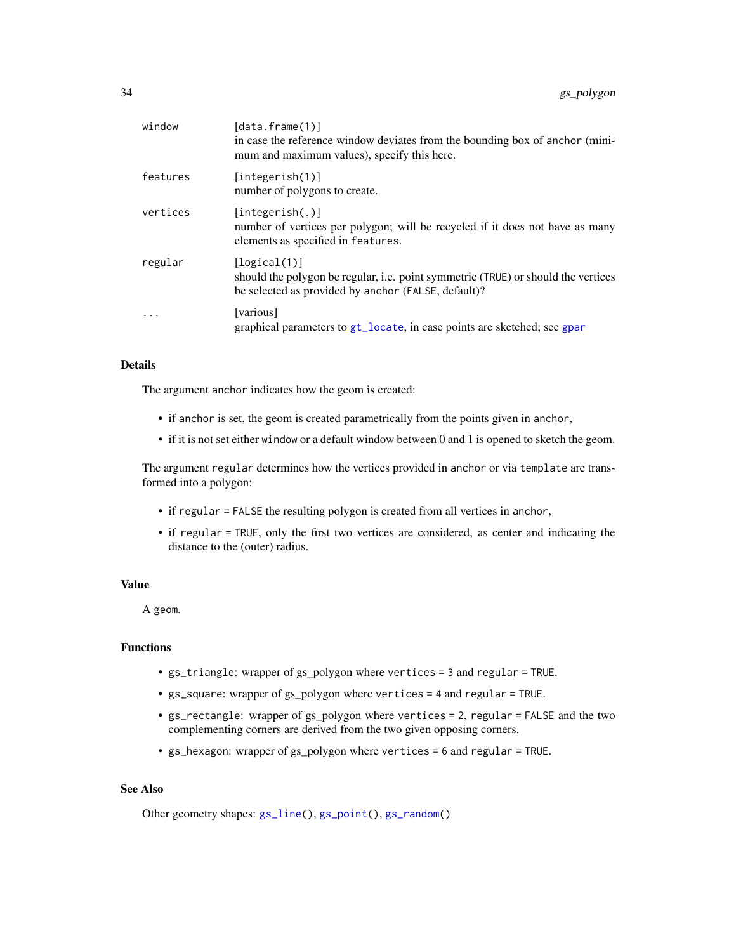<span id="page-33-0"></span>

| window   | [data.frame(1)]<br>in case the reference window deviates from the bounding box of anchor (mini-<br>mum and maximum values), specify this here.           |
|----------|----------------------------------------------------------------------------------------------------------------------------------------------------------|
| features | [integerish(1)]<br>number of polygons to create.                                                                                                         |
| vertices | [integerish(.)]<br>number of vertices per polygon; will be recycled if it does not have as many<br>elements as specified in features.                    |
| regular  | [logical(1)]<br>should the polygon be regular, i.e. point symmetric (TRUE) or should the vertices<br>be selected as provided by anchor (FALSE, default)? |
|          | [various]<br>graphical parameters to gt_locate, in case points are sketched; see gpar                                                                    |

### Details

The argument anchor indicates how the geom is created:

- if anchor is set, the geom is created parametrically from the points given in anchor,
- if it is not set either window or a default window between 0 and 1 is opened to sketch the geom.

The argument regular determines how the vertices provided in anchor or via template are transformed into a polygon:

- if regular = FALSE the resulting polygon is created from all vertices in anchor,
- if regular = TRUE, only the first two vertices are considered, as center and indicating the distance to the (outer) radius.

### Value

A geom.

### Functions

- gs\_triangle: wrapper of gs\_polygon where vertices = 3 and regular = TRUE.
- gs\_square: wrapper of gs\_polygon where vertices = 4 and regular = TRUE.
- gs\_rectangle: wrapper of gs\_polygon where vertices = 2, regular = FALSE and the two complementing corners are derived from the two given opposing corners.
- gs\_hexagon: wrapper of gs\_polygon where vertices = 6 and regular = TRUE.

### See Also

Other geometry shapes:  $gs\_line()$ ,  $gs\_point()$ ,  $gs\_random()$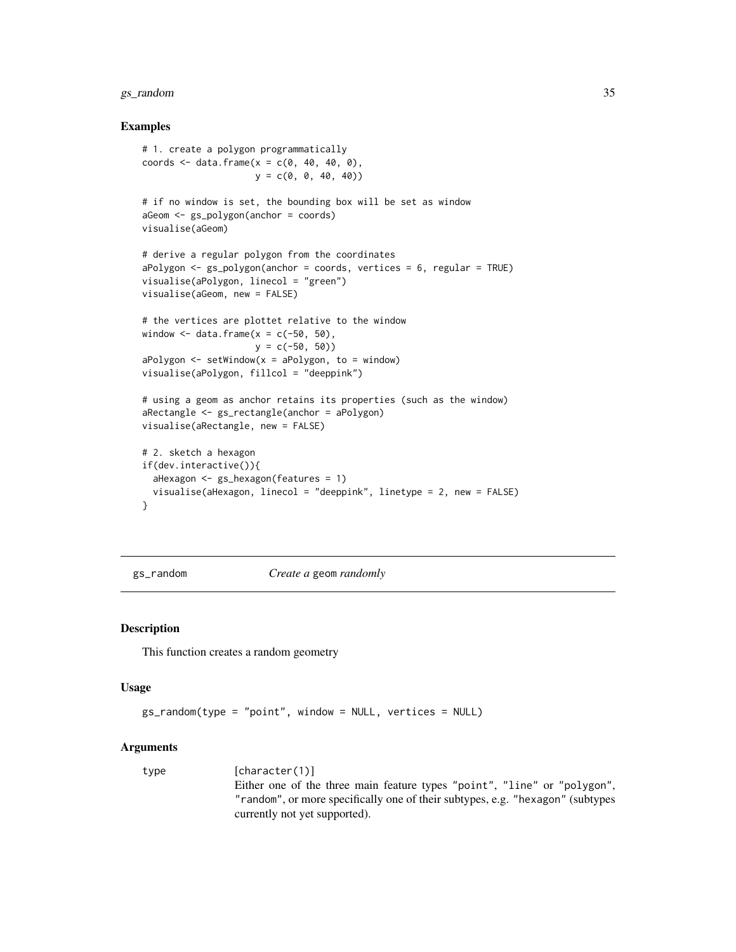### <span id="page-34-0"></span>gs\_random 35

#### Examples

```
# 1. create a polygon programmatically
coords \leq data.frame(x = c(0, 40, 40, 0),
                     y = c(0, 0, 40, 40)# if no window is set, the bounding box will be set as window
aGeom <- gs_polygon(anchor = coords)
visualise(aGeom)
# derive a regular polygon from the coordinates
aPolygon <- gs_polygon(anchor = coords, vertices = 6, regular = TRUE)
visualise(aPolygon, linecol = "green")
visualise(aGeom, new = FALSE)
# the vertices are plottet relative to the window
window \leq data.frame(x = c(-50, 50),
                     y = c(-50, 50)aPolygon \leq setWindow(x = aPolygon, to = window)visualise(aPolygon, fillcol = "deeppink")
# using a geom as anchor retains its properties (such as the window)
aRectangle <- gs_rectangle(anchor = aPolygon)
visualise(aRectangle, new = FALSE)
# 2. sketch a hexagon
if(dev.interactive()){
  aHexagon <- gs_hexagon(features = 1)
  visualise(aHexagon, linecol = "deeppink", linetype = 2, new = FALSE)
}
```
<span id="page-34-1"></span>gs\_random *Create a* geom *randomly*

#### Description

This function creates a random geometry

#### Usage

```
gs_random(type = "point", window = NULL, vertices = NULL)
```
#### Arguments

type [character(1)] Either one of the three main feature types "point", "line" or "polygon", "random", or more specifically one of their subtypes, e.g. "hexagon" (subtypes currently not yet supported).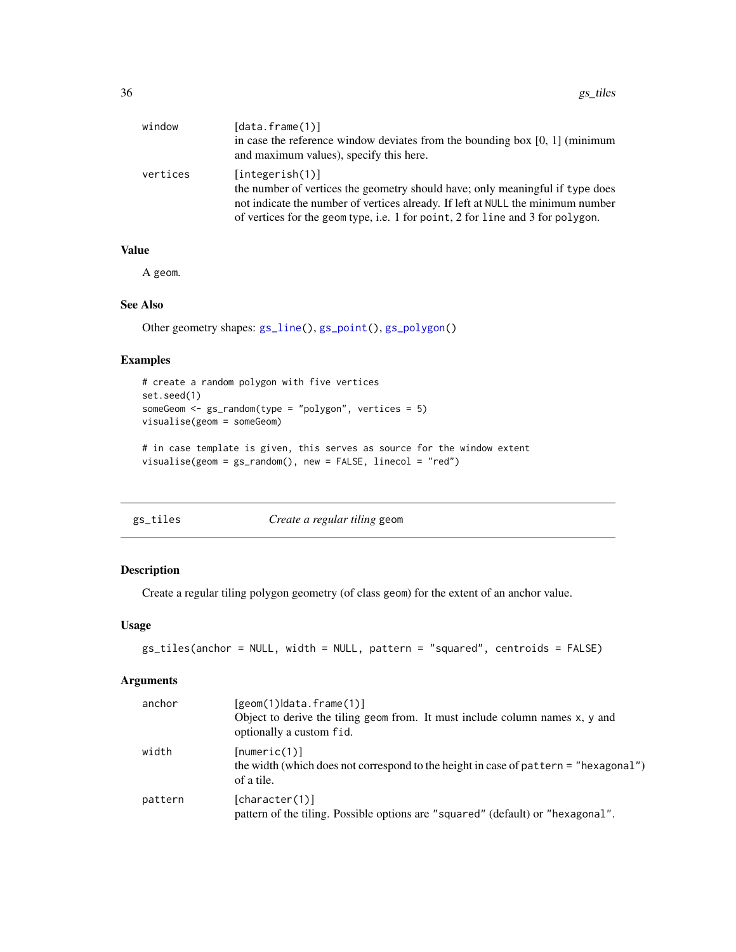<span id="page-35-0"></span>

| window   | [data.frame(1)]<br>in case the reference window deviates from the bounding box $[0, 1]$ (minimum<br>and maximum values), specify this here.                                                                                                                           |
|----------|-----------------------------------------------------------------------------------------------------------------------------------------------------------------------------------------------------------------------------------------------------------------------|
| vertices | [integerish(1)]<br>the number of vertices the geometry should have; only meaningful if type does<br>not indicate the number of vertices already. If left at NULL the minimum number<br>of vertices for the geom type, i.e. 1 for point, 2 for line and 3 for polygon. |

### Value

A geom.

### See Also

Other geometry shapes: [gs\\_line\(](#page-29-1)), [gs\\_point\(](#page-31-1)), [gs\\_polygon\(](#page-32-1))

### Examples

```
# create a random polygon with five vertices
set.seed(1)
someGeom <- gs_random(type = "polygon", vertices = 5)
visualise(geom = someGeom)
# in case template is given, this serves as source for the window extent
visualise(geom = gs_random(), new = FALSE, linecol = "red")
```
<span id="page-35-1"></span>

| øς | ∷iles |  |
|----|-------|--|
|    |       |  |

*Create a regular tiling* geom

### Description

Create a regular tiling polygon geometry (of class geom) for the extent of an anchor value.

#### Usage

```
gs_tiles(anchor = NULL, width = NULL, pattern = "squared", centroids = FALSE)
```
### Arguments

| anchor  | $[geom(1) data.f$ rame $(1)]$<br>Object to derive the tiling geom from. It must include column names x, y and<br>optionally a custom fid. |
|---------|-------------------------------------------------------------------------------------------------------------------------------------------|
| width   | [numeric(1)]<br>the width (which does not correspond to the height in case of pattern = "hexagonal")<br>of a tile.                        |
| pattern | [character(1)]<br>pattern of the tiling. Possible options are "squared" (default) or "hexagonal".                                         |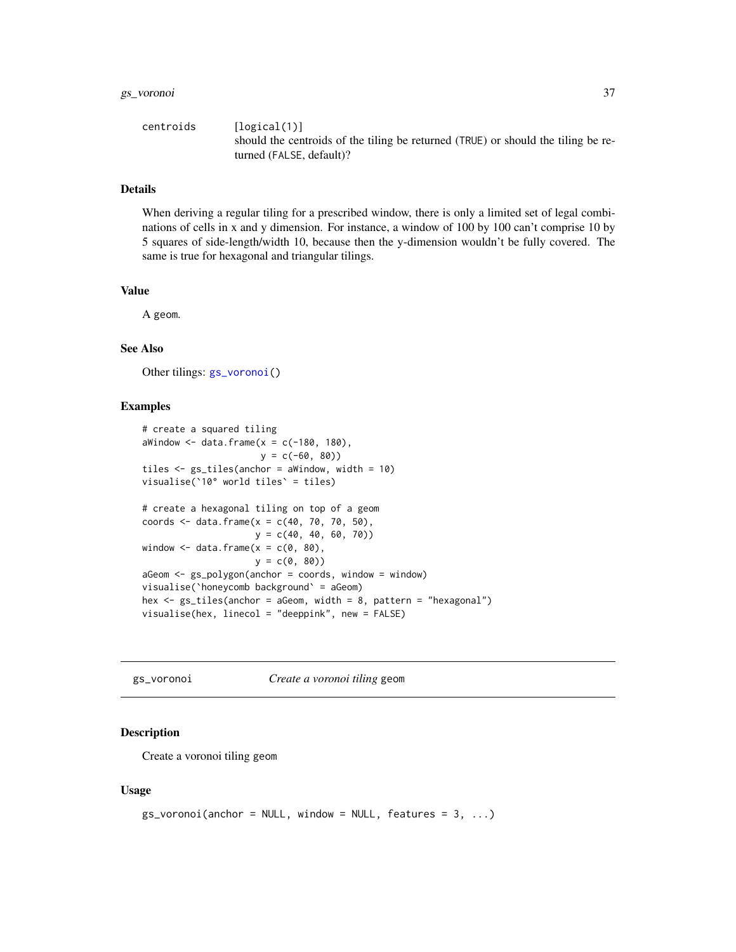### <span id="page-36-0"></span>gs\_voronoi 37

| centroids | [logical(1)]                                                                      |
|-----------|-----------------------------------------------------------------------------------|
|           | should the centroids of the tiling be returned (TRUE) or should the tiling be re- |
|           | turned (FALSE, default)?                                                          |

#### Details

When deriving a regular tiling for a prescribed window, there is only a limited set of legal combinations of cells in x and y dimension. For instance, a window of 100 by 100 can't comprise 10 by 5 squares of side-length/width 10, because then the y-dimension wouldn't be fully covered. The same is true for hexagonal and triangular tilings.

### Value

A geom.

#### See Also

Other tilings: [gs\\_voronoi\(](#page-36-1))

#### Examples

```
# create a squared tiling
aWindow \leq data.frame(x = c(-180, 180),
                      y = c(-60, 80)tiles <- gs_tiles(anchor = aWindow, width = 10)
visualise(`10° world tiles` = tiles)
# create a hexagonal tiling on top of a geom
coords <- data.frame(x = c(40, 70, 70, 50),
                    y = c(40, 40, 60, 70))
window \leq data.frame(x = c(0, 80),
                    y = c(0, 80)aGeom <- gs_polygon(anchor = coords, window = window)
visualise(`honeycomb background` = aGeom)
hex <- gs_tiles(anchor = aGeom, width = 8, pattern = "hexagonal")
visualise(hex, linecol = "deeppink", new = FALSE)
```
<span id="page-36-1"></span>gs\_voronoi *Create a voronoi tiling* geom

### **Description**

Create a voronoi tiling geom

#### Usage

```
gs_voronoi(anchor = NULL, window = NULL, features = 3, ...)
```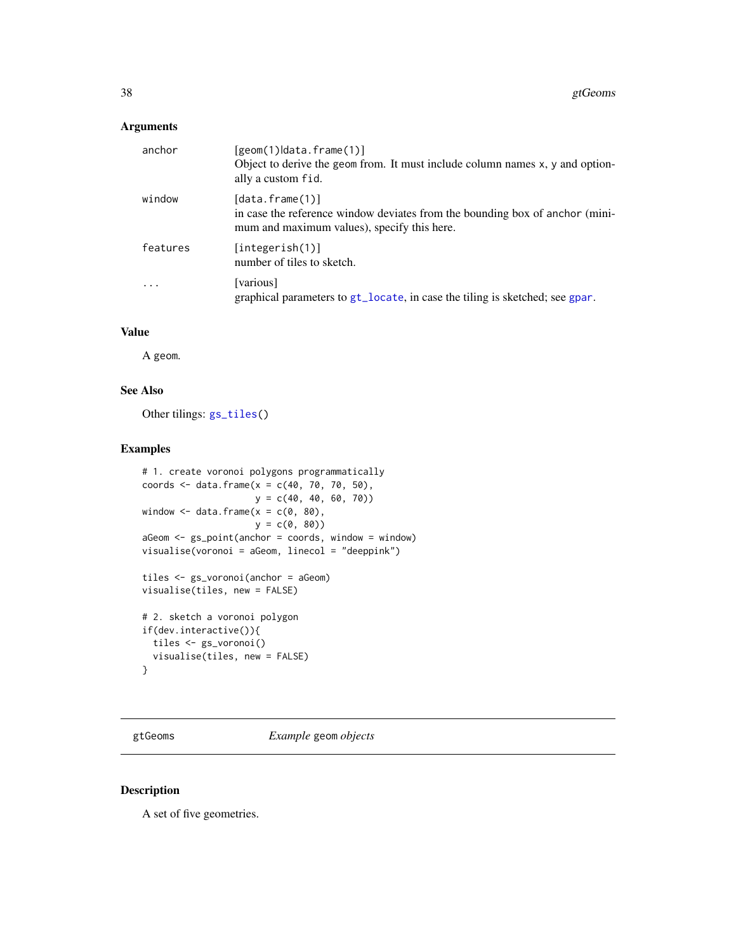### <span id="page-37-0"></span>Arguments

| anchor                  | $[geom(1) data.f$ rame $(1)]$<br>Object to derive the geom from. It must include column names x, y and option-<br>ally a custom fid.                 |
|-------------------------|------------------------------------------------------------------------------------------------------------------------------------------------------|
| window                  | $[data.f$ rame $(1)]$<br>in case the reference window deviates from the bounding box of anchor (mini-<br>mum and maximum values), specify this here. |
| features                | [integerish(1)]<br>number of tiles to sketch.                                                                                                        |
| $\cdot$ $\cdot$ $\cdot$ | [various]<br>graphical parameters to gt_locate, in case the tiling is sketched; see gpar.                                                            |

### Value

A geom.

### See Also

Other tilings: [gs\\_tiles\(](#page-35-1))

### Examples

```
# 1. create voronoi polygons programmatically
coords <- data.frame(x = c(40, 70, 70, 50),
                    y = c(40, 40, 60, 70)window \leq data.frame(x = c(0, 80),
                    y = c(0, 80)aGeom <- gs_point(anchor = coords, window = window)
visualise(voronoi = aGeom, linecol = "deeppink")
tiles <- gs_voronoi(anchor = aGeom)
visualise(tiles, new = FALSE)
# 2. sketch a voronoi polygon
if(dev.interactive()){
  tiles <- gs_voronoi()
  visualise(tiles, new = FALSE)
```

```
}
```
gtGeoms *Example* geom *objects*

### Description

A set of five geometries.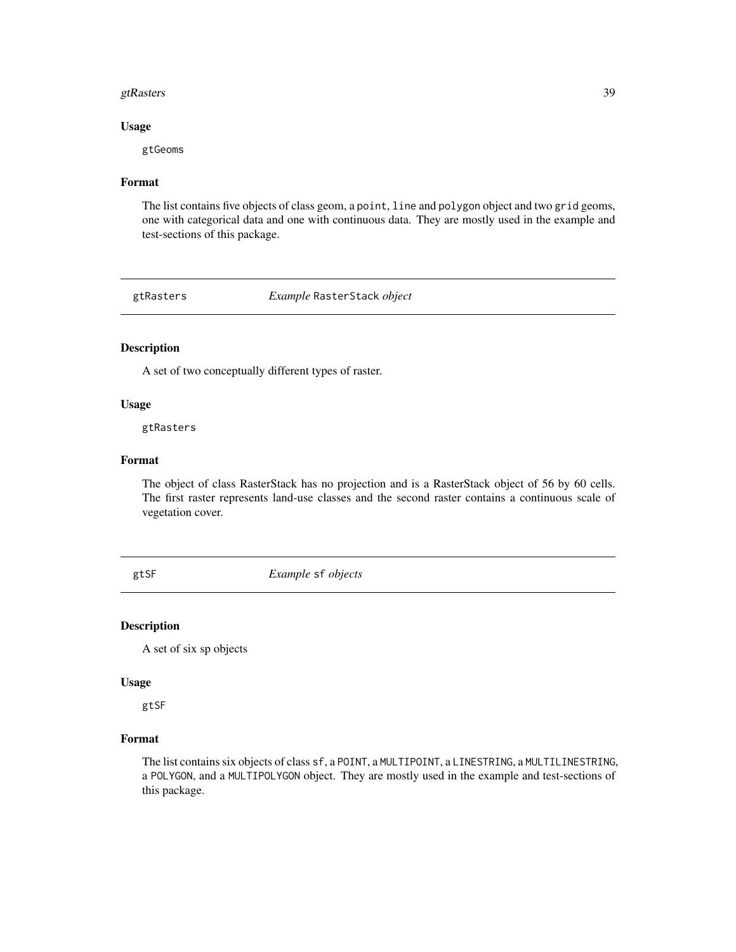#### <span id="page-38-0"></span>gtRasters 39

### Usage

gtGeoms

### Format

The list contains five objects of class geom, a point, line and polygon object and two grid geoms, one with categorical data and one with continuous data. They are mostly used in the example and test-sections of this package.

gtRasters *Example* RasterStack *object*

### Description

A set of two conceptually different types of raster.

### Usage

gtRasters

#### Format

The object of class RasterStack has no projection and is a RasterStack object of 56 by 60 cells. The first raster represents land-use classes and the second raster contains a continuous scale of vegetation cover.

gtSF *Example* sf *objects*

#### Description

A set of six sp objects

#### Usage

gtSF

### Format

The list contains six objects of class sf, a POINT, a MULTIPOINT, a LINESTRING, a MULTILINESTRING, a POLYGON, and a MULTIPOLYGON object. They are mostly used in the example and test-sections of this package.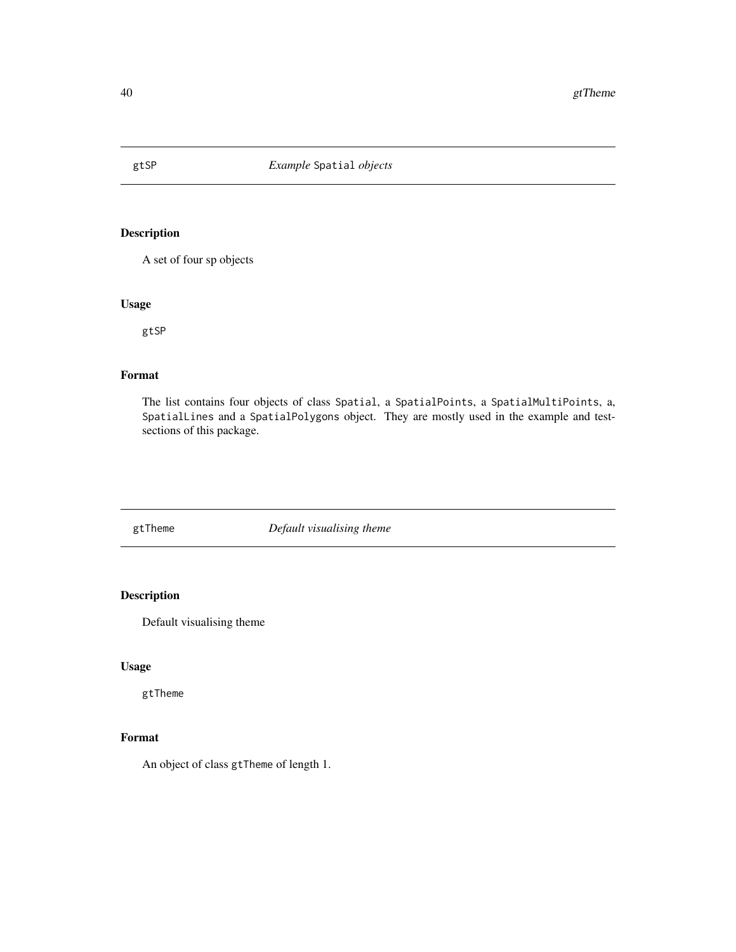<span id="page-39-0"></span>

A set of four sp objects

### Usage

gtSP

### Format

The list contains four objects of class Spatial, a SpatialPoints, a SpatialMultiPoints, a, SpatialLines and a SpatialPolygons object. They are mostly used in the example and testsections of this package.

gtTheme *Default visualising theme*

## Description

Default visualising theme

### Usage

gtTheme

### Format

An object of class gtTheme of length 1.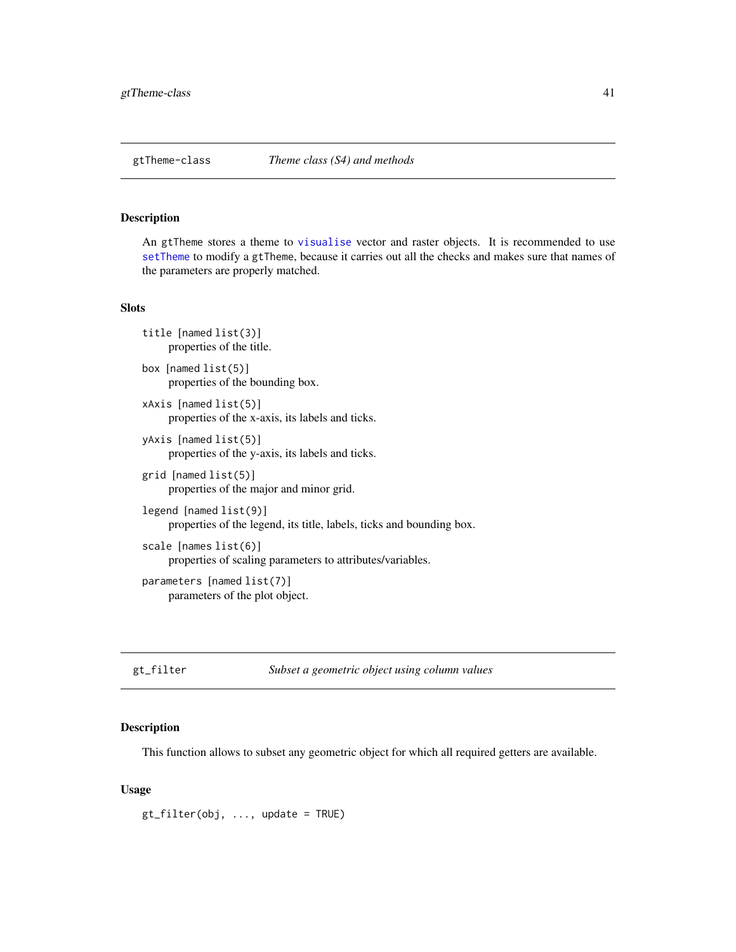<span id="page-40-0"></span>

An gtTheme stores a theme to [visualise](#page-59-1) vector and raster objects. It is recommended to use [setTheme](#page-54-1) to modify a gtTheme, because it carries out all the checks and makes sure that names of the parameters are properly matched.

#### **Slots**

```
title [named list(3)]
     properties of the title.
```
box [named list(5)] properties of the bounding box.

```
xAxis [named list(5)]
     properties of the x-axis, its labels and ticks.
```
- yAxis [named list(5)] properties of the y-axis, its labels and ticks.
- grid [named list(5)] properties of the major and minor grid.
- legend [named list(9)] properties of the legend, its title, labels, ticks and bounding box.

```
scale [names list(6)]
     properties of scaling parameters to attributes/variables.
parameters [named list(7)]
     parameters of the plot object.
```

```
gt_filter Subset a geometric object using column values
```
### Description

This function allows to subset any geometric object for which all required getters are available.

#### Usage

 $gt_f filter(obj, ..., update = TRUE)$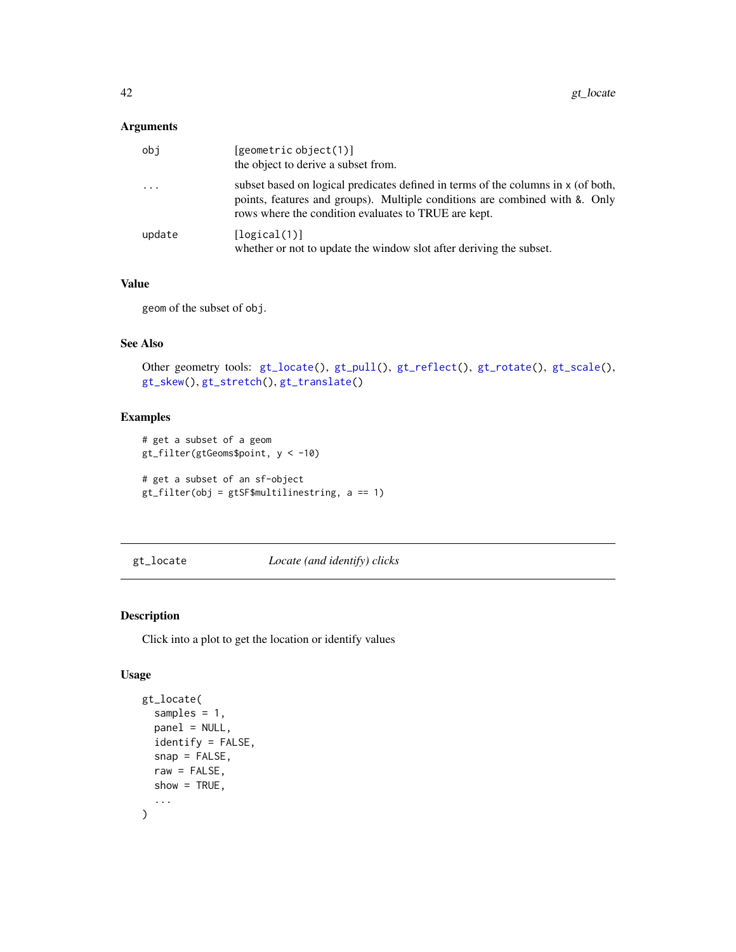### <span id="page-41-0"></span>Arguments

| obj        | [geometric object(1)]<br>the object to derive a subset from.                                                                                                                                                             |
|------------|--------------------------------------------------------------------------------------------------------------------------------------------------------------------------------------------------------------------------|
| $\ddots$ . | subset based on logical predicates defined in terms of the columns in x (of both,<br>points, features and groups). Multiple conditions are combined with &. Only<br>rows where the condition evaluates to TRUE are kept. |
| update     | [logical(1)]<br>whether or not to update the window slot after deriving the subset.                                                                                                                                      |

### Value

geom of the subset of obj.

### See Also

```
gt_locate(gt_pull(gt_reflect(gt_rotate(gt_scale(),
gt_skew(), gt_stretch(), gt_translate()
```
## Examples

```
# get a subset of a geom
gt_filter(gtGeoms$point, y < -10)
# get a subset of an sf-object
gt_filter(obj = gtSF$multilinestring, a == 1)
```
<span id="page-41-1"></span>gt\_locate *Locate (and identify) clicks*

### Description

Click into a plot to get the location or identify values

### Usage

```
gt_locate(
  samples = 1,
  panel = NULL,
  identify = FALSE,
  snap = FALSE,
  raw = FALSE,
  show = TRUE,
  ...
\mathcal{L}
```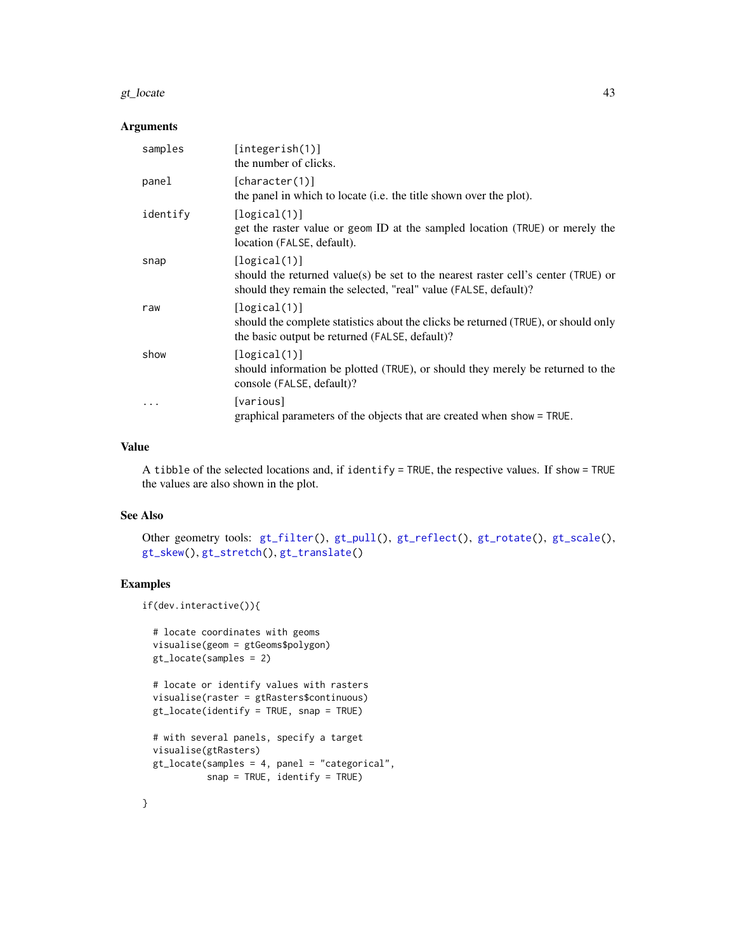#### <span id="page-42-0"></span>gt\_locate 43

### Arguments

| samples  | [integerish(1)]<br>the number of clicks.                                                                                                                             |
|----------|----------------------------------------------------------------------------------------------------------------------------------------------------------------------|
| panel    | [character(1)]<br>the panel in which to locate (i.e. the title shown over the plot).                                                                                 |
| identify | [logical(1)]<br>get the raster value or geom ID at the sampled location (TRUE) or merely the<br>location (FALSE, default).                                           |
| snap     | [logical(1)]<br>should the returned value(s) be set to the nearest raster cell's center (TRUE) or<br>should they remain the selected, "real" value (FALSE, default)? |
| raw      | [logical(1)]<br>should the complete statistics about the clicks be returned (TRUE), or should only<br>the basic output be returned (FALSE, default)?                 |
| show     | [logical(1)]<br>should information be plotted (TRUE), or should they merely be returned to the<br>console (FALSE, default)?                                          |
| .        | [various]<br>graphical parameters of the objects that are created when show = TRUE.                                                                                  |

#### Value

A tibble of the selected locations and, if identify = TRUE, the respective values. If show = TRUE the values are also shown in the plot.

## See Also

Other geometry tools: [gt\\_filter\(](#page-40-1)), [gt\\_pull\(](#page-43-1)), [gt\\_reflect\(](#page-44-1)), [gt\\_rotate\(](#page-45-1)), [gt\\_scale\(](#page-46-1)), [gt\\_skew\(](#page-47-1)), [gt\\_stretch\(](#page-48-1)), [gt\\_translate\(](#page-49-1))

### Examples

```
if(dev.interactive()){
```

```
# locate coordinates with geoms
visualise(geom = gtGeoms$polygon)
gt_locate(samples = 2)
```

```
# locate or identify values with rasters
visualise(raster = gtRasters$continuous)
gt_locate(identify = TRUE, snap = TRUE)
```

```
# with several panels, specify a target
visualise(gtRasters)
gt_locate(samples = 4, panel = "categorical",
         snap = TRUE, identify = TRUE)
```
}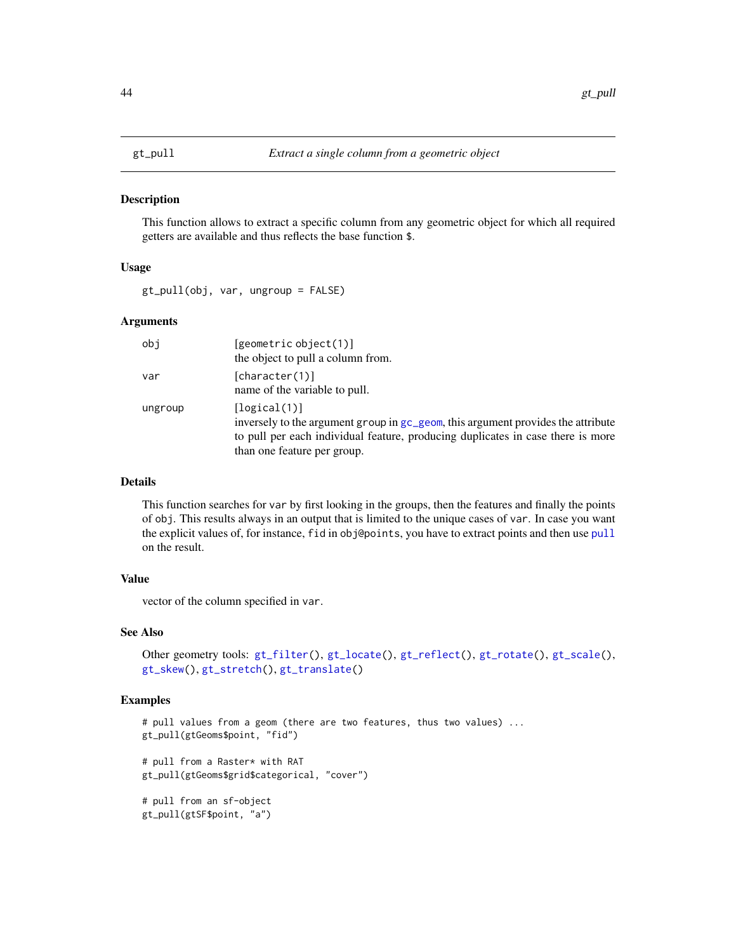<span id="page-43-1"></span><span id="page-43-0"></span>This function allows to extract a specific column from any geometric object for which all required getters are available and thus reflects the base function \$.

#### Usage

gt\_pull(obj, var, ungroup = FALSE)

### Arguments

| obj     | [geometric object(1)]<br>the object to pull a column from.                                                                                                                                                         |
|---------|--------------------------------------------------------------------------------------------------------------------------------------------------------------------------------------------------------------------|
| var     | [character(1)]<br>name of the variable to pull.                                                                                                                                                                    |
| ungroup | [logical(1)]<br>inversely to the argument group in gc_geom, this argument provides the attribute<br>to pull per each individual feature, producing duplicates in case there is more<br>than one feature per group. |

### Details

This function searches for var by first looking in the groups, then the features and finally the points of obj. This results always in an output that is limited to the unique cases of var. In case you want the explicit values of, for instance, fid in obj@points, you have to extract points and then use [pull](#page-0-0) on the result.

### Value

vector of the column specified in var.

### See Also

```
Other geometry tools: gt_filter(), gt_locate(), gt_reflect(), gt_rotate(), gt_scale(),
gt_skew(), gt_stretch(), gt_translate()
```
### Examples

```
# pull values from a geom (there are two features, thus two values) ...
gt_pull(gtGeoms$point, "fid")
# pull from a Raster* with RAT
gt_pull(gtGeoms$grid$categorical, "cover")
# pull from an sf-object
gt_pull(gtSF$point, "a")
```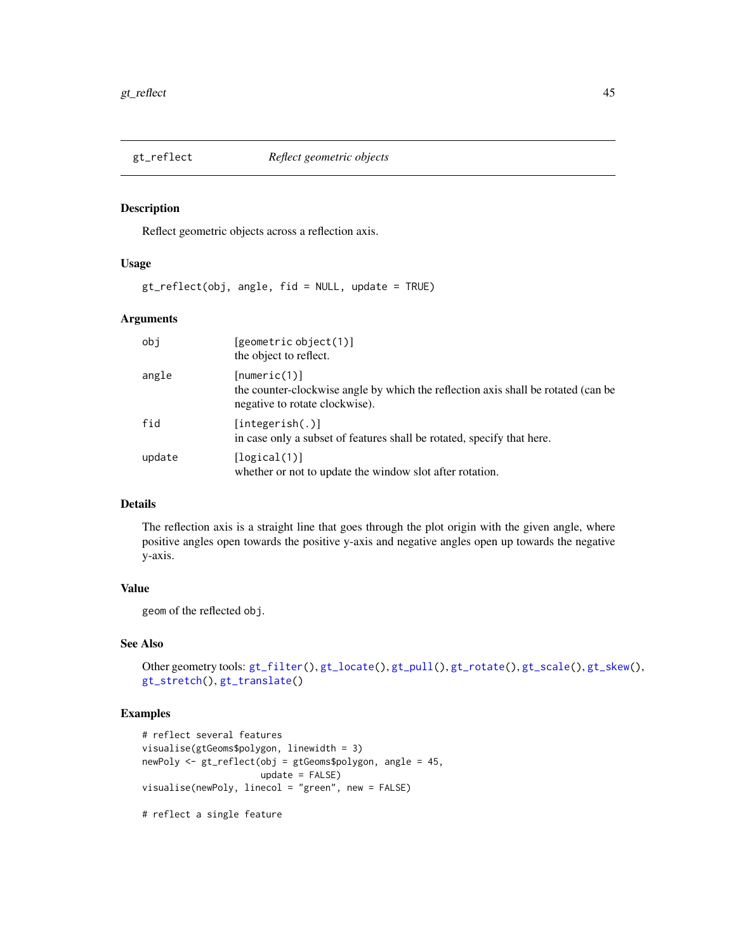<span id="page-44-1"></span><span id="page-44-0"></span>

Reflect geometric objects across a reflection axis.

### Usage

gt\_reflect(obj, angle, fid = NULL, update = TRUE)

### Arguments

| obj    | [geometric object(1)]<br>the object to reflect.                                                                                     |
|--------|-------------------------------------------------------------------------------------------------------------------------------------|
| angle  | [numeric(1)]<br>the counter-clockwise angle by which the reflection axis shall be rotated (can be<br>negative to rotate clockwise). |
| fid    | [integerish(.)]<br>in case only a subset of features shall be rotated, specify that here.                                           |
| update | [logical(1)]<br>whether or not to update the window slot after rotation.                                                            |

### Details

The reflection axis is a straight line that goes through the plot origin with the given angle, where positive angles open towards the positive y-axis and negative angles open up towards the negative y-axis.

## Value

geom of the reflected obj.

## See Also

```
gt_filter(gt_locate(gt_pull(gt_rotate(gt_scale(gt_skew(),
gt_stretch(), gt_translate()
```
### Examples

```
# reflect several features
visualise(gtGeoms$polygon, linewidth = 3)
newPoly <- gt_reflect(obj = gtGeoms$polygon, angle = 45,
                     update = FALSE)visualise(newPoly, linecol = "green", new = FALSE)
```
# reflect a single feature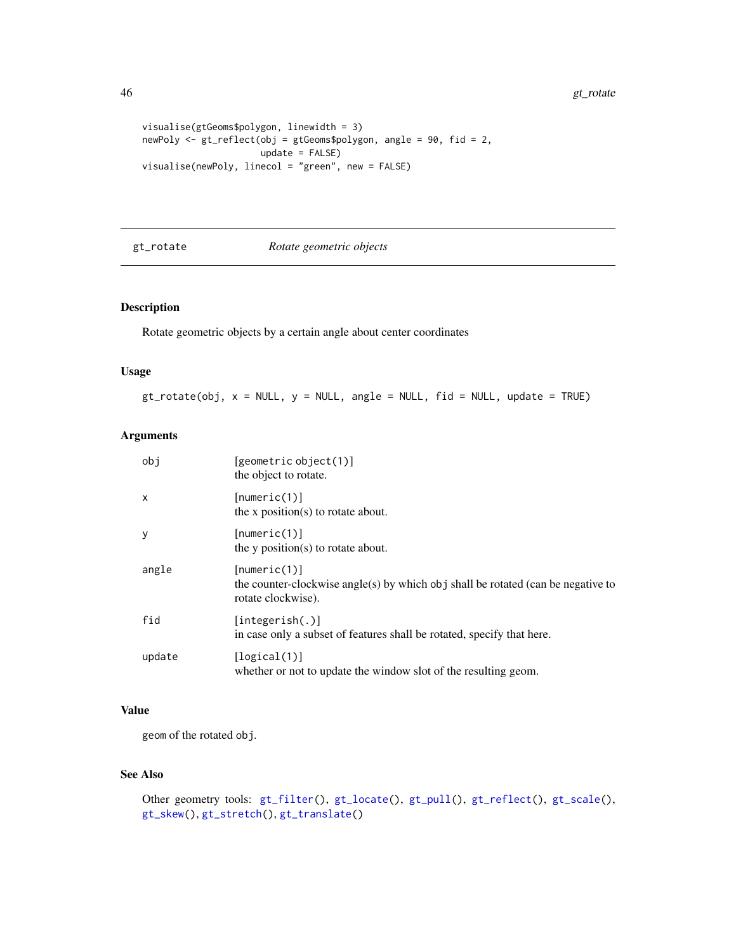```
visualise(gtGeoms$polygon, linewidth = 3)
newPoly <- gt_reflect(obj = gtGeoms$polygon, angle = 90, fid = 2,
                     update = FALSE)
visualise(newPoly, linecol = "green", new = FALSE)
```
#### <span id="page-45-1"></span>gt\_rotate *Rotate geometric objects*

## Description

Rotate geometric objects by a certain angle about center coordinates

### Usage

 $gt$ \_rotate(obj,  $x = NULL$ ,  $y = NULL$ , angle = NULL, fid = NULL, update = TRUE)

### Arguments

| obi          | [geometric object(1)]<br>the object to rotate.                                                                         |
|--------------|------------------------------------------------------------------------------------------------------------------------|
| $\mathsf{x}$ | [numeric(1)]<br>the x position(s) to rotate about.                                                                     |
| y            | [numeric(1)]<br>the $y$ position( $s$ ) to rotate about.                                                               |
| angle        | [numeric(1)]<br>the counter-clockwise angle(s) by which obj shall be rotated (can be negative to<br>rotate clockwise). |
| fid          | [integerish(.)]<br>in case only a subset of features shall be rotated, specify that here.                              |
| update       | [logical(1)]<br>whether or not to update the window slot of the resulting geom.                                        |

### Value

geom of the rotated obj.

### See Also

```
gt_filter(gt_locate(gt_pull(gt_reflect(gt_scale(),
gt_skew(), gt_stretch(), gt_translate()
```
<span id="page-45-0"></span>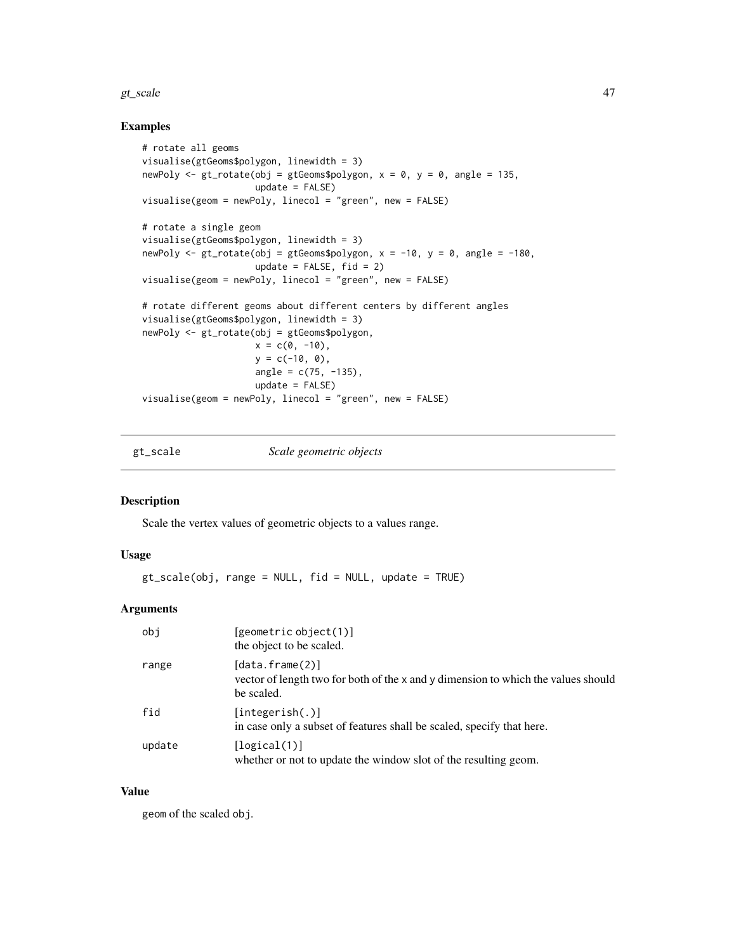#### <span id="page-46-0"></span>gt\_scale 47

#### Examples

```
# rotate all geoms
visualise(gtGeoms$polygon, linewidth = 3)
newPoly \leq gt_rotate(obj = gtGeoms$polygon, x = 0, y = 0, angle = 135,
                     update = FALSE)visualise(geom = newPoly, linecol = "green", new = FALSE)
# rotate a single geom
visualise(gtGeoms$polygon, linewidth = 3)
newPoly \le gt_rotate(obj = gtGeoms$polygon, x = -10, y = 0, angle = -180,
                    update = FALSE, fid = 2)visualise(geom = newPoly, linecol = "green", new = FALSE)
# rotate different geoms about different centers by different angles
visualise(gtGeoms$polygon, linewidth = 3)
newPoly <- gt_rotate(obj = gtGeoms$polygon,
                     x = c(0, -10),
                     y = c(-10, 0),
                     angle = c(75, -135),
                     update = FALSE)
visualise(geom = newPoly, linecol = "green", new = FALSE)
```
<span id="page-46-1"></span>gt\_scale *Scale geometric objects*

#### Description

Scale the vertex values of geometric objects to a values range.

#### Usage

gt\_scale(obj, range = NULL, fid = NULL, update = TRUE)

#### Arguments

| obi    | [geometric object(1)]<br>the object to be scaled.                                                                        |
|--------|--------------------------------------------------------------------------------------------------------------------------|
| range  | $[data.f$ rame $(2)]$<br>vector of length two for both of the x and y dimension to which the values should<br>be scaled. |
| fid    | [integerish(.)]<br>in case only a subset of features shall be scaled, specify that here.                                 |
| update | [logical(1)]<br>whether or not to update the window slot of the resulting geom.                                          |

### Value

geom of the scaled obj.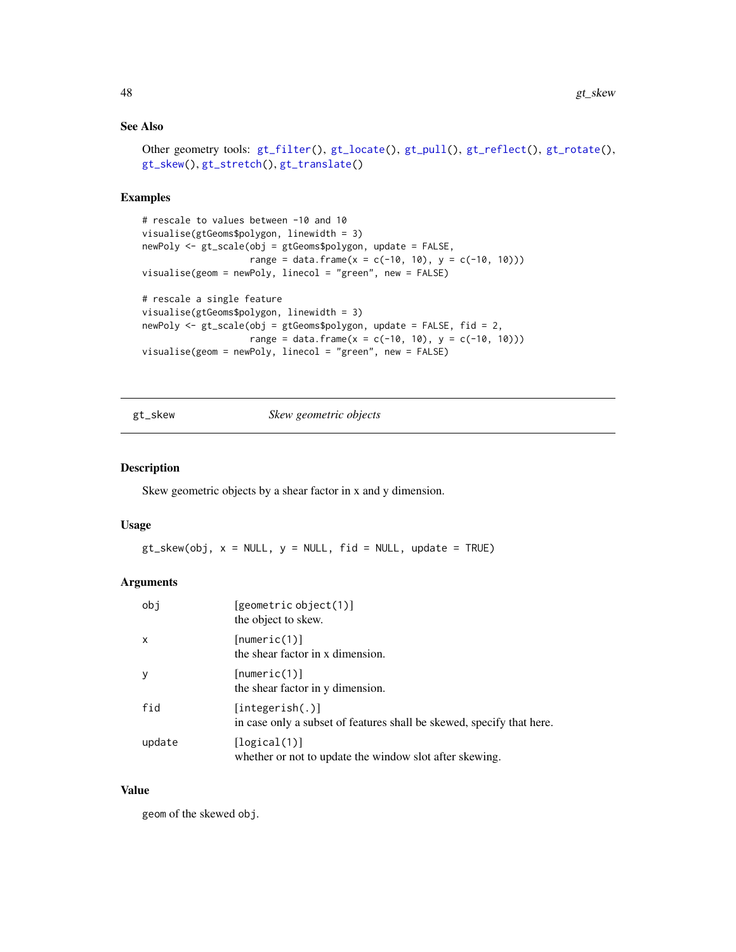### <span id="page-47-0"></span>See Also

```
gt_filter(gt_locate(gt_pull(gt_reflect(gt_rotate(),
gt_skew(), gt_stretch(), gt_translate()
```
### Examples

```
# rescale to values between -10 and 10
visualise(gtGeoms$polygon, linewidth = 3)
newPoly <- gt_scale(obj = gtGeoms$polygon, update = FALSE,
                    range = data.frame(x = c(-10, 10), y = c(-10, 10))
visualise(geom = newPoly, linecol = "green", new = FALSE)
# rescale a single feature
visualise(gtGeoms$polygon, linewidth = 3)
newPoly <- gt_scale(obj = gtGeoms$polygon, update = FALSE, fid = 2,
                   range = data.frame(x = c(-10, 10), y = c(-10, 10))
visualise(geom = newPoly, linecol = "green", new = FALSE)
```
<span id="page-47-1"></span>gt\_skew *Skew geometric objects*

#### Description

Skew geometric objects by a shear factor in x and y dimension.

#### Usage

 $gt\_skew(obj, x = NULL, y = NULL, fid = NULL, update = TRUE)$ 

### Arguments

| obi    | [geometric object(1)]<br>the object to skew.                                             |
|--------|------------------------------------------------------------------------------------------|
| X      | [numeric(1)]<br>the shear factor in x dimension.                                         |
| y      | [numeric(1)]<br>the shear factor in y dimension.                                         |
| fid    | [integerish(.)]<br>in case only a subset of features shall be skewed, specify that here. |
| update | [logical(1)]<br>whether or not to update the window slot after skewing.                  |

#### Value

geom of the skewed obj.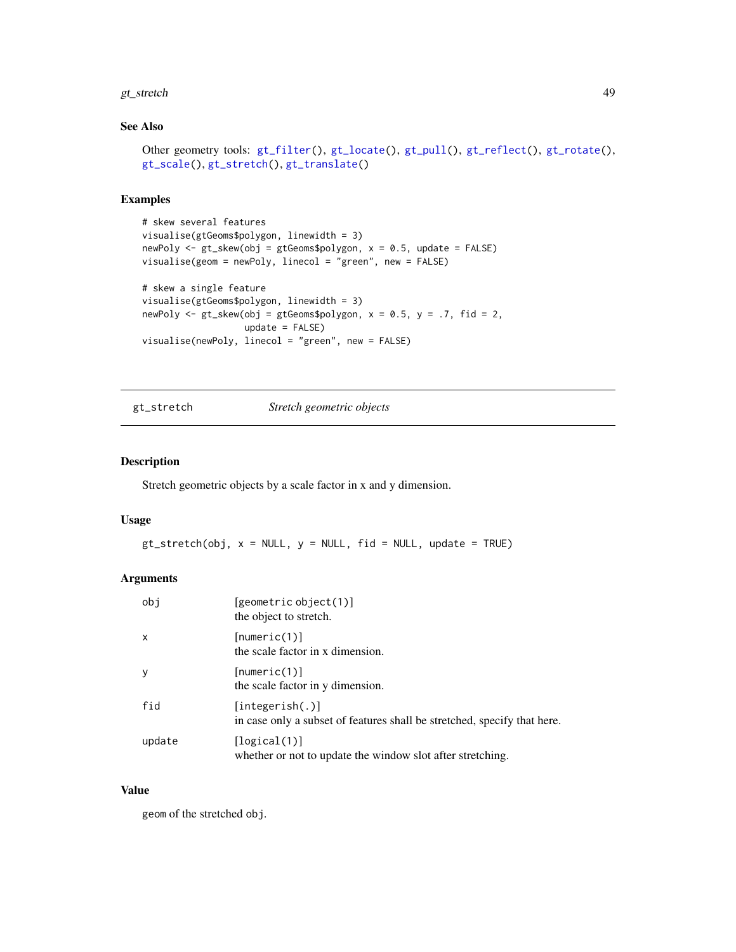#### <span id="page-48-0"></span>gt\_stretch and the control of the control of the control of the control of the control of the control of the control of the control of the control of the control of the control of the control of the control of the control

### See Also

```
gt_filter(gt_locate(gt_pull(gt_reflect(gt_rotate(),
gt_scale(), gt_stretch(), gt_translate()
```
### Examples

```
# skew several features
visualise(gtGeoms$polygon, linewidth = 3)
newPoly <- gt_skew(obj = gtGeoms$polygon, x = 0.5, update = FALSE)
visualise(geom = newPoly, linecol = "green", new = FALSE)
# skew a single feature
visualise(gtGeoms$polygon, linewidth = 3)
newPoly \leq gt_skew(obj = gtGeoms$polygon, x = 0.5, y = .7, fid = 2,
                   update = FALSE)
visualise(newPoly, linecol = "green", new = FALSE)
```
<span id="page-48-1"></span>gt\_stretch *Stretch geometric objects*

### **Description**

Stretch geometric objects by a scale factor in x and y dimension.

### Usage

 $gt\_stretch(obj, x = NULL, y = NULL, fid = NULL, update = TRUE)$ 

### Arguments

| obi          | [geometric object(1)]<br>the object to stretch.                                             |
|--------------|---------------------------------------------------------------------------------------------|
| $\mathsf{x}$ | [numeric(1)]<br>the scale factor in x dimension.                                            |
| y            | [numeric(1)]<br>the scale factor in y dimension.                                            |
| fid          | [integerish(.)]<br>in case only a subset of features shall be stretched, specify that here. |
| update       | [logical(1)]<br>whether or not to update the window slot after stretching.                  |

#### Value

geom of the stretched obj.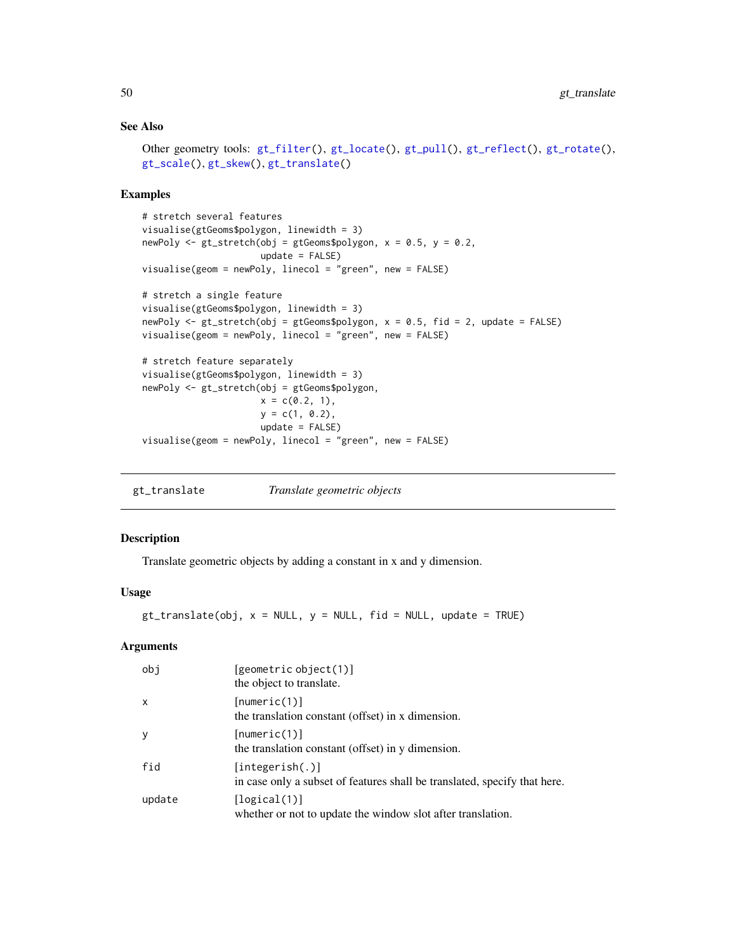### See Also

```
gt_filter(gt_locate(gt_pull(gt_reflect(gt_rotate(),
gt_scale(), gt_skew(), gt_translate()
```
#### Examples

```
# stretch several features
visualise(gtGeoms$polygon, linewidth = 3)
newPoly <- gt_stretch(obj = gtGeoms$polygon, x = 0.5, y = 0.2,
                      update = FALSE)visualise(geom = newPoly, linecol = "green", new = FALSE)
# stretch a single feature
visualise(gtGeoms$polygon, linewidth = 3)
newPoly <- gt_stretch(obj = gtGeoms$polygon, x = 0.5, fid = 2, update = FALSE)
visualise(geom = newPoly, linecol = "green", new = FALSE)
# stretch feature separately
visualise(gtGeoms$polygon, linewidth = 3)
newPoly <- gt_stretch(obj = gtGeoms$polygon,
                     x = c(0.2, 1),y = c(1, 0.2),
                     update = FALSE)
visualise(geom = newPoly, linecol = "green", new = FALSE)
```
<span id="page-49-1"></span>gt\_translate *Translate geometric objects*

#### Description

Translate geometric objects by adding a constant in x and y dimension.

### Usage

 $gt_{\text{translate}}(obj, x = NULL, y = NULL, fid = NULL, update = TRUE)$ 

#### Arguments

| obi          | [geometric object(1)]<br>the object to translate.                                            |
|--------------|----------------------------------------------------------------------------------------------|
| $\mathsf{x}$ | [numeric(1)]<br>the translation constant (offset) in x dimension.                            |
| <sub>V</sub> | [numeric(1)]<br>the translation constant (offset) in y dimension.                            |
| fid          | [integerish(.)]<br>in case only a subset of features shall be translated, specify that here. |
| update       | [logical(1)]<br>whether or not to update the window slot after translation.                  |

<span id="page-49-0"></span>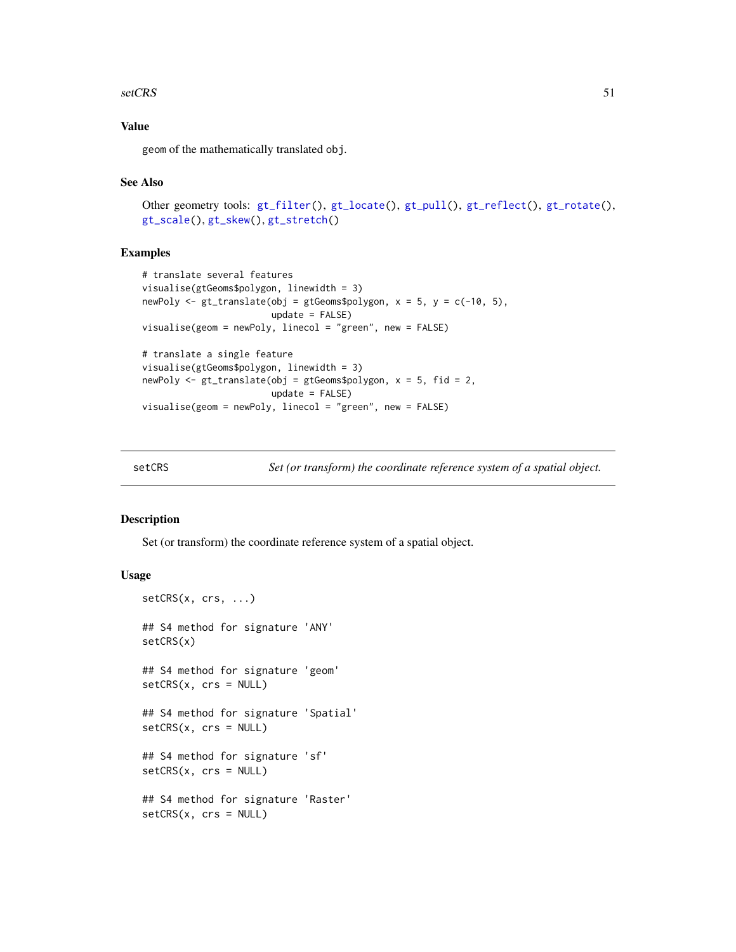#### <span id="page-50-0"></span>setCRS 51

### Value

geom of the mathematically translated obj.

### See Also

```
Other geometry tools: gt_filter(), gt_locate(), gt_pull(), gt_reflect(), gt_rotate(),
gt_scale(), gt_skew(), gt_stretch()
```
### Examples

```
# translate several features
visualise(gtGeoms$polygon, linewidth = 3)
newPoly \leq gt_translate(obj = gtGeoms$polygon, x = 5, y = c(-10, 5),
                       update = FALSE)visualise(geom = newPoly, linecol = "green", new = FALSE)
# translate a single feature
visualise(gtGeoms$polygon, linewidth = 3)
newPoly <- gt_translate(obj = gtGeoms$polygon, x = 5, fid = 2,
                       update = FALSE)visualise(geom = newPoly, linecol = "green", new = FALSE)
```
<span id="page-50-1"></span>setCRS *Set (or transform) the coordinate reference system of a spatial object.*

#### Description

Set (or transform) the coordinate reference system of a spatial object.

### Usage

```
setCRS(x, crs, ...)## S4 method for signature 'ANY'
setCRS(x)
## S4 method for signature 'geom'
setCRS(x, crs = NULL)## S4 method for signature 'Spatial'
setCRS(x, crs = NULL)
## S4 method for signature 'sf'
setCRS(x, crs = NULL)## S4 method for signature 'Raster'
setCRS(x, crs = NULL)
```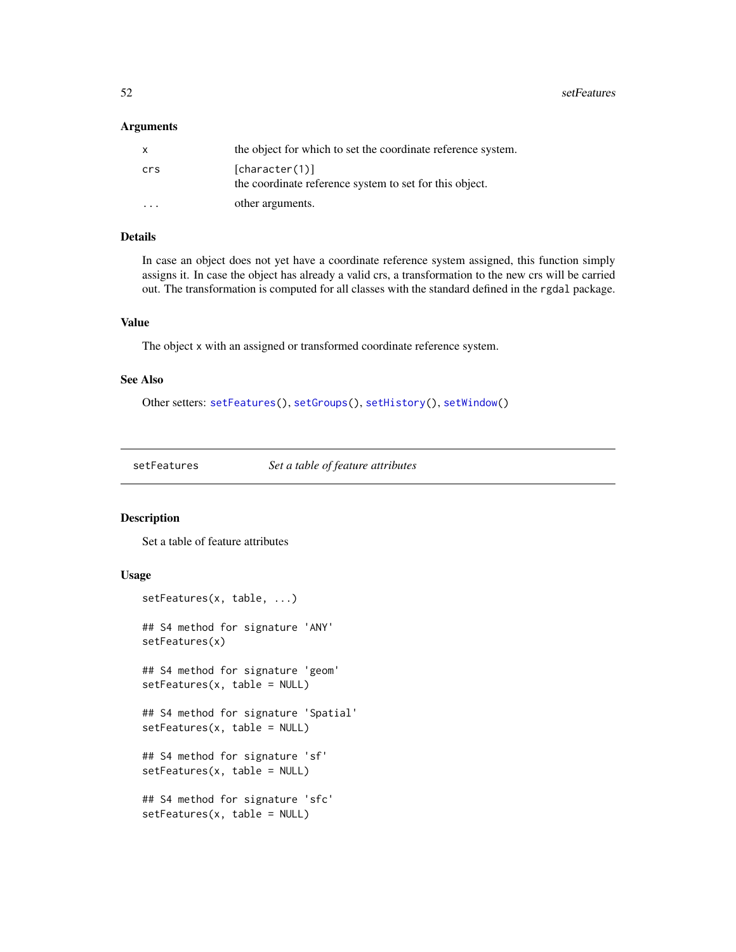<span id="page-51-0"></span>52 setFeatures and the setFeatures of the setFeatures setFeatures setFeatures setFeatures

#### Arguments

| X                       | the object for which to set the coordinate reference system.              |
|-------------------------|---------------------------------------------------------------------------|
| crs                     | [character(1)]<br>the coordinate reference system to set for this object. |
| $\cdot$ $\cdot$ $\cdot$ | other arguments.                                                          |

### Details

In case an object does not yet have a coordinate reference system assigned, this function simply assigns it. In case the object has already a valid crs, a transformation to the new crs will be carried out. The transformation is computed for all classes with the standard defined in the rgdal package.

#### Value

The object x with an assigned or transformed coordinate reference system.

#### See Also

Other setters: [setFeatures\(](#page-51-1)), [setGroups\(](#page-52-1)), [setHistory\(](#page-53-1)), [setWindow\(](#page-57-1))

<span id="page-51-1"></span>setFeatures *Set a table of feature attributes*

### Description

Set a table of feature attributes

### Usage

```
setFeatures(x, table, ...)
## S4 method for signature 'ANY'
setFeatures(x)
## S4 method for signature 'geom'
setFeatures(x, table = NULL)
## S4 method for signature 'Spatial'
setFeatures(x, table = NULL)
## S4 method for signature 'sf'
setFeatures(x, table = NULL)
## S4 method for signature 'sfc'
setFeatures(x, table = NULL)
```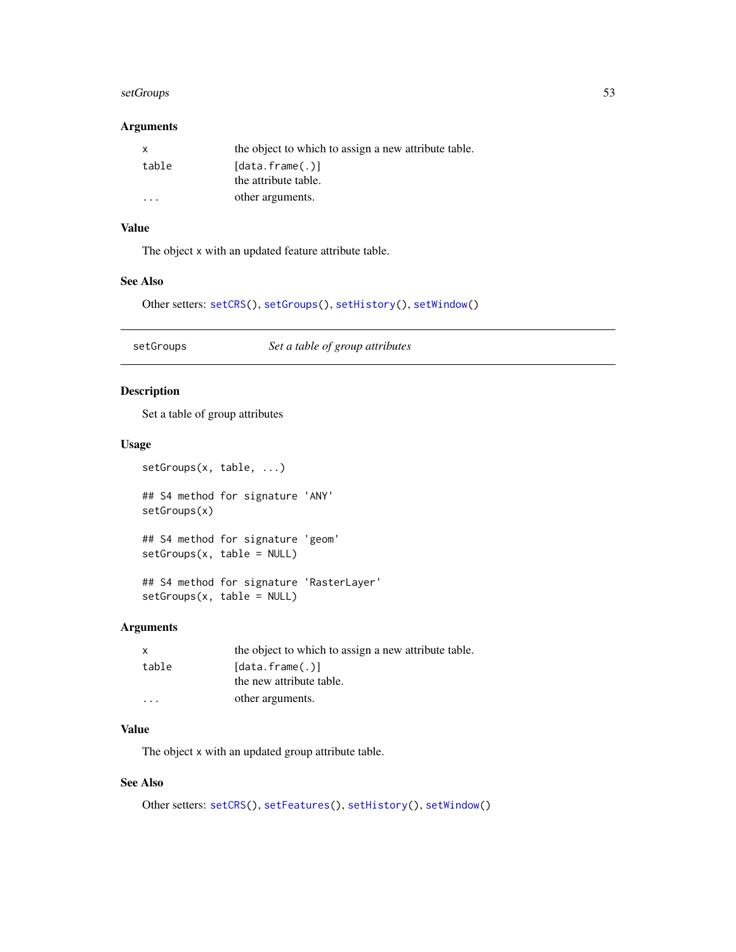#### <span id="page-52-0"></span>setGroups 53 and 53 and 53 and 53 and 53 and 53 and 53 and 53 and 53 and 53 and 53 and 53 and 53 and 53 and 53

### Arguments

| x     | the object to which to assign a new attribute table. |
|-------|------------------------------------------------------|
| table | [data.frame(.)]                                      |
|       | the attribute table.                                 |
| .     | other arguments.                                     |

### Value

The object x with an updated feature attribute table.

#### See Also

Other setters: [setCRS\(](#page-50-1)), [setGroups\(](#page-52-1)), [setHistory\(](#page-53-1)), [setWindow\(](#page-57-1))

<span id="page-52-1"></span>setGroups *Set a table of group attributes*

### Description

Set a table of group attributes

setGroups(x, table = NULL)

### Usage

setGroups(x, table, ...) ## S4 method for signature 'ANY' setGroups(x) ## S4 method for signature 'geom' setGroups(x, table = NULL) ## S4 method for signature 'RasterLayer'

#### Arguments

| x       | the object to which to assign a new attribute table. |
|---------|------------------------------------------------------|
| table   | [data.frame(.)]                                      |
|         | the new attribute table.                             |
| $\cdot$ | other arguments.                                     |

### Value

The object x with an updated group attribute table.

### See Also

Other setters: [setCRS\(](#page-50-1)), [setFeatures\(](#page-51-1)), [setHistory\(](#page-53-1)), [setWindow\(](#page-57-1))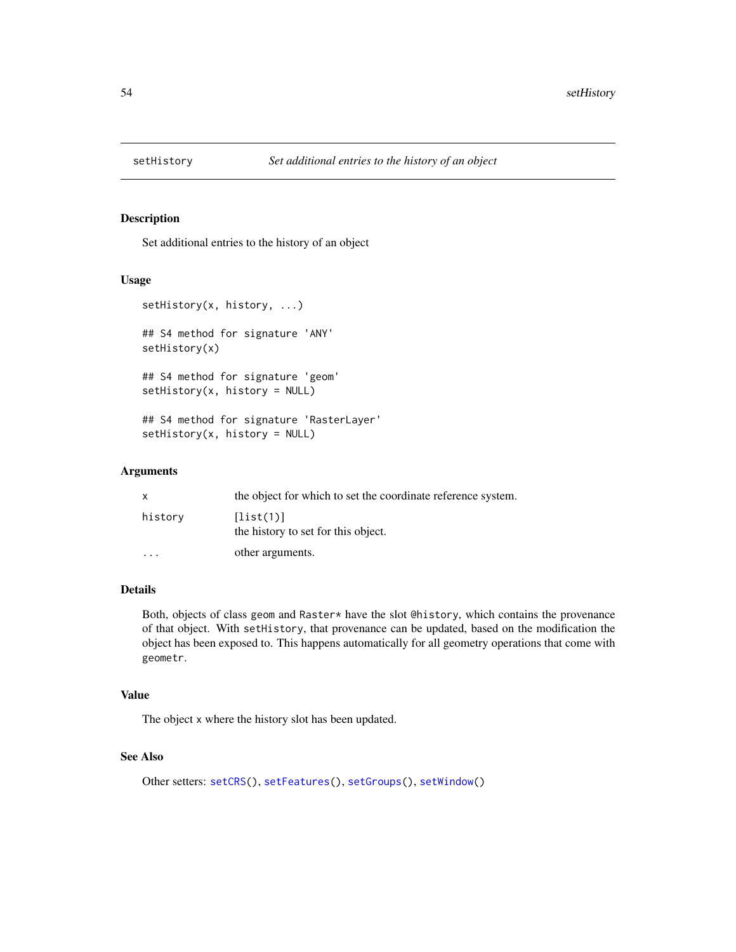<span id="page-53-1"></span><span id="page-53-0"></span>

Set additional entries to the history of an object

#### Usage

```
setHistory(x, history, ...)
## S4 method for signature 'ANY'
setHistory(x)
## S4 method for signature 'geom'
setHistory(x, history = NULL)
## S4 method for signature 'RasterLayer'
setHistory(x, history = NULL)
```
### Arguments

| $\mathsf{x}$            | the object for which to set the coordinate reference system. |
|-------------------------|--------------------------------------------------------------|
| history                 | [list(1)]<br>the history to set for this object.             |
| $\cdot$ $\cdot$ $\cdot$ | other arguments.                                             |

### Details

Both, objects of class geom and Raster\* have the slot @history, which contains the provenance of that object. With setHistory, that provenance can be updated, based on the modification the object has been exposed to. This happens automatically for all geometry operations that come with geometr.

### Value

The object x where the history slot has been updated.

### See Also

Other setters: [setCRS\(](#page-50-1)), [setFeatures\(](#page-51-1)), [setGroups\(](#page-52-1)), [setWindow\(](#page-57-1))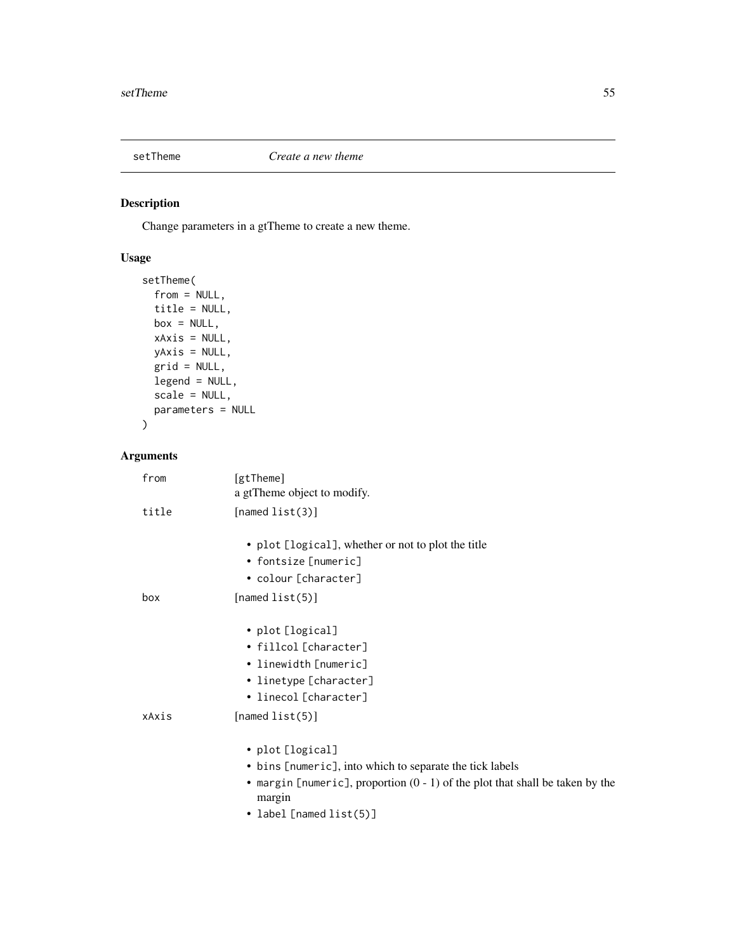<span id="page-54-1"></span><span id="page-54-0"></span>

Change parameters in a gtTheme to create a new theme.

## Usage

```
setTheme(
 from = NULL,title = NULL,
 box = NULL,xAxis = NULL,
 yAxis = NULL,
 grid = NULL,
 legend = NULL,
 scale = NULL,
 parameters = NULL
)
```
## Arguments

| from  | [gtTheme]<br>a gtTheme object to modify.                                                  |
|-------|-------------------------------------------------------------------------------------------|
| title | [named $list(3)]$                                                                         |
|       | • plot [logical], whether or not to plot the title                                        |
|       | • fontsize [numeric]                                                                      |
|       | • colour [character]                                                                      |
| box   | [named $list(5)$ ]                                                                        |
|       | • plot [logical]                                                                          |
|       | • fillcol [character]                                                                     |
|       | • linewidth [numeric]                                                                     |
|       | • linetype [character]                                                                    |
|       | • linecol [character]                                                                     |
| xAxis | [named $list(5)$ ]                                                                        |
|       | • plot [logical]                                                                          |
|       | • bins [numeric], into which to separate the tick labels                                  |
|       | • margin [numeric], proportion $(0 - 1)$ of the plot that shall be taken by the<br>margin |
|       | • label [named list(5)]                                                                   |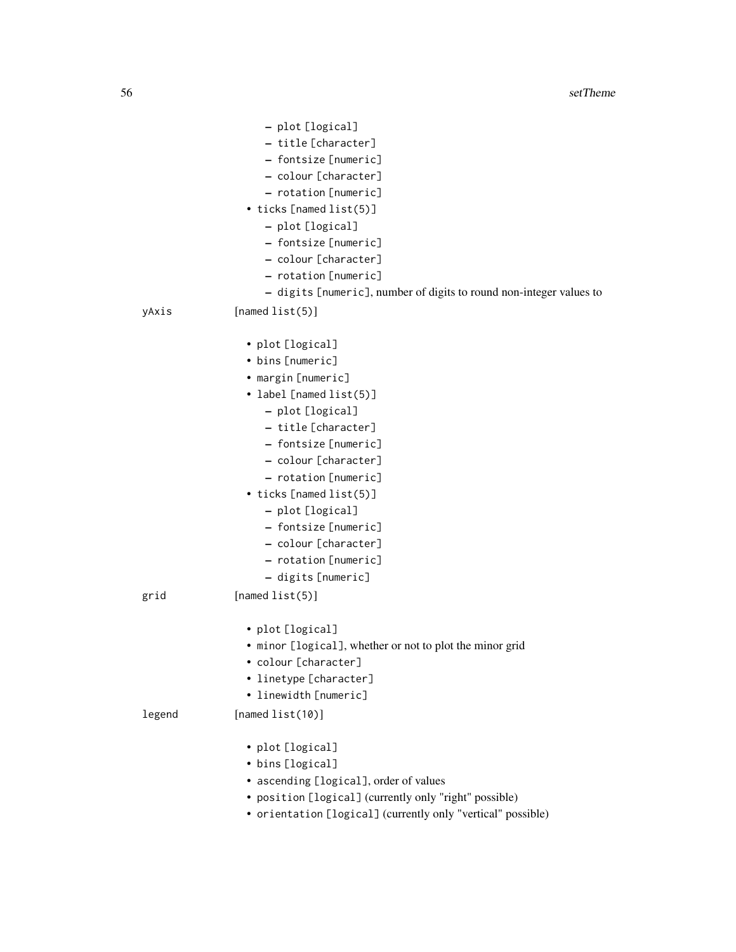|        | - plot [logical]                                                    |
|--------|---------------------------------------------------------------------|
|        | - title [character]                                                 |
|        | - fontsize [numeric]                                                |
|        | - colour [character]                                                |
|        | - rotation [numeric]                                                |
|        | • ticks [named list(5)]                                             |
|        | - plot [logical]                                                    |
|        | - fontsize [numeric]                                                |
|        | - colour [character]                                                |
|        | - rotation [numeric]                                                |
|        | - digits [numeric], number of digits to round non-integer values to |
| yAxis  | [named $list(5)$ ]                                                  |
|        | • plot [logical]                                                    |
|        | • bins [numeric]                                                    |
|        | • margin [numeric]                                                  |
|        | • label [named list(5)]                                             |
|        | - plot [logical]                                                    |
|        | - title [character]                                                 |
|        | - fontsize [numeric]                                                |
|        | - colour [character]                                                |
|        | - rotation [numeric]                                                |
|        | • ticks [named list(5)]                                             |
|        | - plot [logical]                                                    |
|        | - fontsize [numeric]                                                |
|        | - colour [character]                                                |
|        | - rotation [numeric]                                                |
|        | - digits [numeric]                                                  |
| grid   | [named $list(5)]$                                                   |
|        | • plot [logical]                                                    |
|        | • minor [logical], whether or not to plot the minor grid            |
|        | • colour [character]                                                |
|        | • linetype [character]                                              |
|        | • linewidth [numeric]                                               |
| legend | [named $list(10)]$                                                  |
|        | • plot [logical]                                                    |
|        | • bins [logical]                                                    |
|        | • ascending [logical], order of values                              |
|        | • position [logical] (currently only "right" possible)              |
|        | • orientation [logical] (currently only "vertical" possible)        |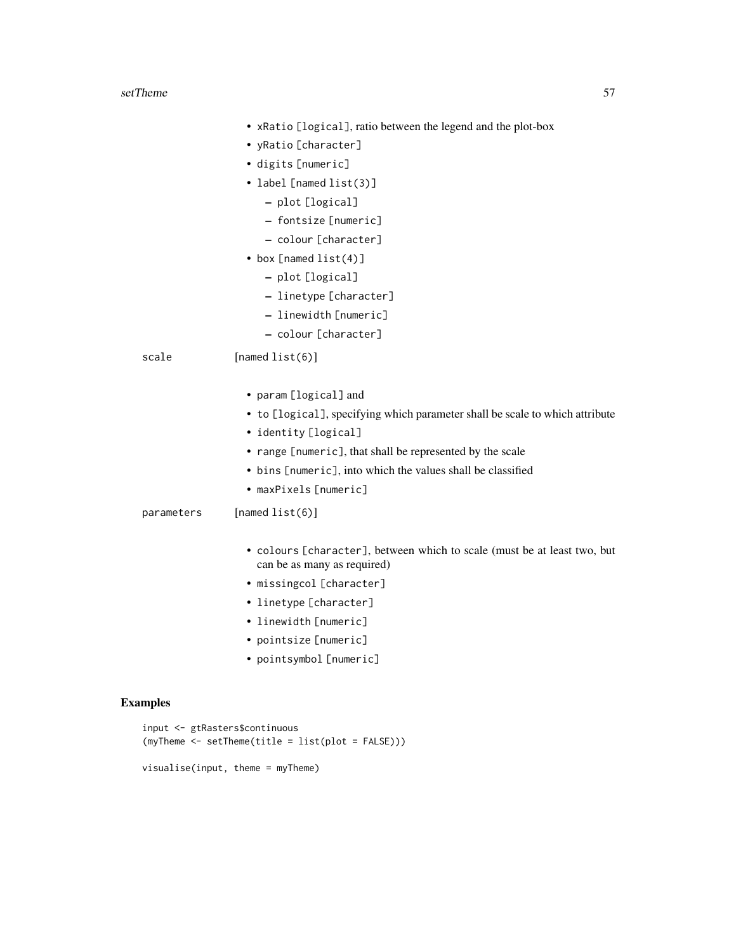#### setTheme 57

|            | • xRatio [logical], ratio between the legend and the plot-box                                           |
|------------|---------------------------------------------------------------------------------------------------------|
|            | • yRatio [character]                                                                                    |
|            | · digits [numeric]                                                                                      |
|            | • label [named list(3)]                                                                                 |
|            | - plot [logical]                                                                                        |
|            | - fontsize [numeric]                                                                                    |
|            | - colour [character]                                                                                    |
|            | • box [named $list(4)]$                                                                                 |
|            | - plot [logical]                                                                                        |
|            | - linetype [character]                                                                                  |
|            | - linewidth [numeric]                                                                                   |
|            | - colour [character]                                                                                    |
| scale      | [named $list(6)$ ]                                                                                      |
|            | • param [logical] and                                                                                   |
|            | • to [logical], specifying which parameter shall be scale to which attribute                            |
|            | • identity [logical]                                                                                    |
|            | • range [numeric], that shall be represented by the scale                                               |
|            | • bins [numeric], into which the values shall be classified                                             |
|            | • maxPixels [numeric]                                                                                   |
| parameters | [named $list(6)$ ]                                                                                      |
|            | • colours [character], between which to scale (must be at least two, but<br>can be as many as required) |
|            | · missingcol [character]                                                                                |
|            | • linetype [character]                                                                                  |
|            | • linewidth [numeric]                                                                                   |

- pointsize [numeric]
- pointsymbol [numeric]

## Examples

```
input <- gtRasters$continuous
(myTheme <- setTheme(title = list(plot = FALSE)))
```
visualise(input, theme = myTheme)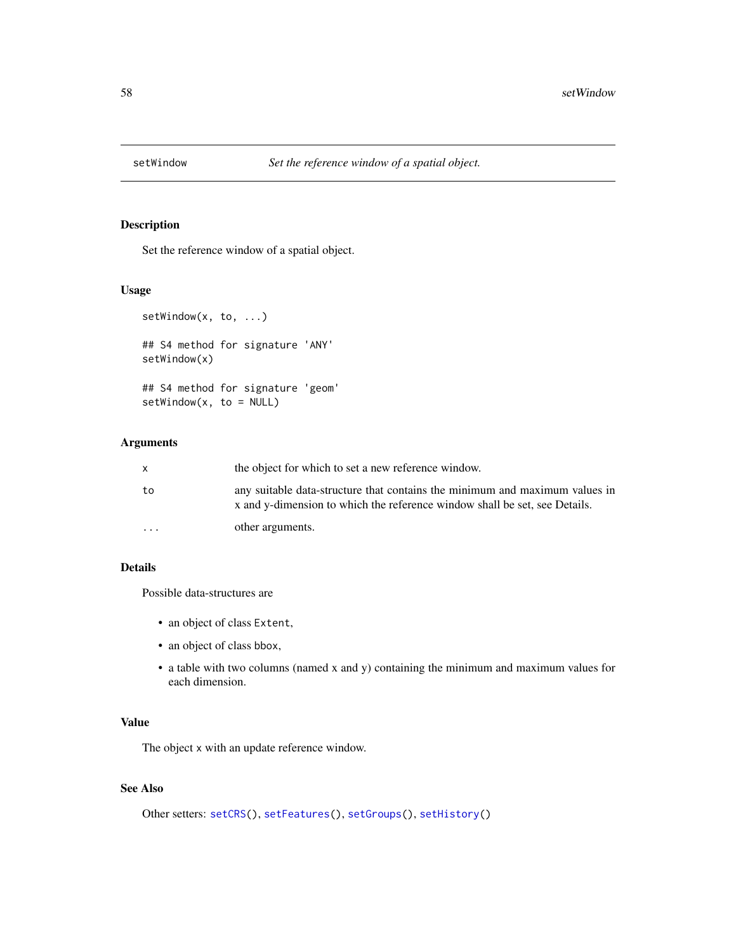<span id="page-57-1"></span><span id="page-57-0"></span>

Set the reference window of a spatial object.

## Usage

```
setWindow(x, to, ...)
## S4 method for signature 'ANY'
setWindow(x)
## S4 method for signature 'geom'
setWindow(x, to = NULL)
```
### Arguments

| X       | the object for which to set a new reference window.                                                                                                       |
|---------|-----------------------------------------------------------------------------------------------------------------------------------------------------------|
| to      | any suitable data-structure that contains the minimum and maximum values in<br>x and y-dimension to which the reference window shall be set, see Details. |
| $\cdot$ | other arguments.                                                                                                                                          |

#### Details

Possible data-structures are

- an object of class Extent,
- an object of class bbox,
- a table with two columns (named x and y) containing the minimum and maximum values for each dimension.

#### Value

The object x with an update reference window.

## See Also

```
Other setters: setCRS(), setFeatures(), setGroups(), setHistory()
```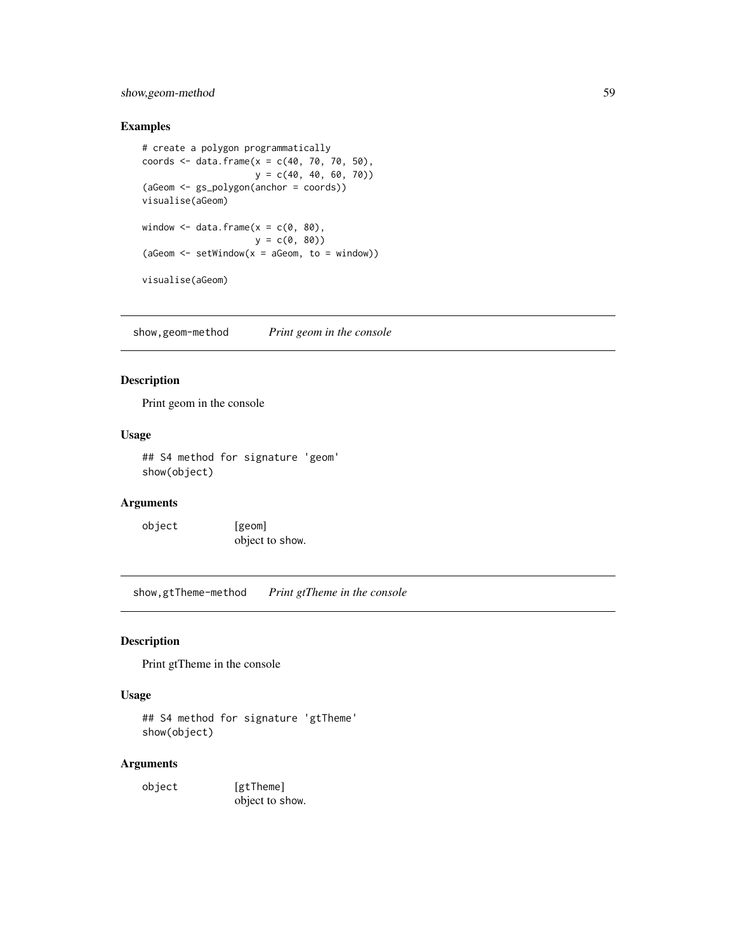### <span id="page-58-0"></span>show,geom-method 59

### Examples

```
# create a polygon programmatically
coords <- data.frame(x = c(40, 70, 70, 50),
                    y = c(40, 40, 60, 70)(aGeom <- gs_polygon(anchor = coords))
visualise(aGeom)
window \leq data.frame(x = c(0, 80),
                    y = c(0, 80)(aGeom \leq -setWindow(x = aGeom, to = window))visualise(aGeom)
```
show,geom-method *Print geom in the console*

### Description

Print geom in the console

### Usage

## S4 method for signature 'geom' show(object)

### Arguments

object [geom] object to show.

show,gtTheme-method *Print gtTheme in the console*

### Description

Print gtTheme in the console

### Usage

## S4 method for signature 'gtTheme' show(object)

### Arguments

object [gtTheme] object to show.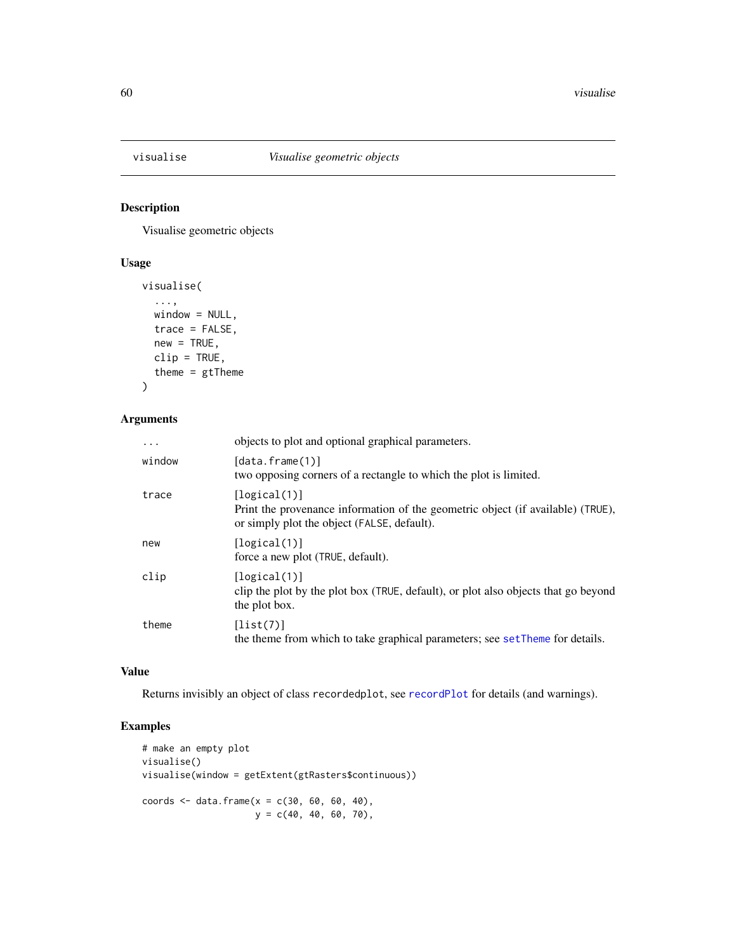<span id="page-59-1"></span><span id="page-59-0"></span>

Visualise geometric objects

#### Usage

```
visualise(
  ...,
 window = NULL,
 trace = FALSE,
 new = TRUE,clip = TRUE,
  theme = gtTheme
)
```
### Arguments

| $\ddotsc$ | objects to plot and optional graphical parameters.                                                                                             |
|-----------|------------------------------------------------------------------------------------------------------------------------------------------------|
| window    | [data.frame(1)]<br>two opposing corners of a rectangle to which the plot is limited.                                                           |
| trace     | [logical(1)]<br>Print the provenance information of the geometric object (if available) (TRUE),<br>or simply plot the object (FALSE, default). |
| new       | [logical(1)]<br>force a new plot (TRUE, default).                                                                                              |
| clip      | [logical(1)]<br>clip the plot by the plot box (TRUE, default), or plot also objects that go beyond<br>the plot box.                            |
| theme     | [list(7)]<br>the theme from which to take graphical parameters; see setTheme for details.                                                      |

### Value

Returns invisibly an object of class recordedplot, see [recordPlot](#page-0-0) for details (and warnings).

### Examples

```
# make an empty plot
visualise()
visualise(window = getExtent(gtRasters$continuous))
coords <- data.frame(x = c(30, 60, 60, 40),
                    y = c(40, 40, 60, 70),
```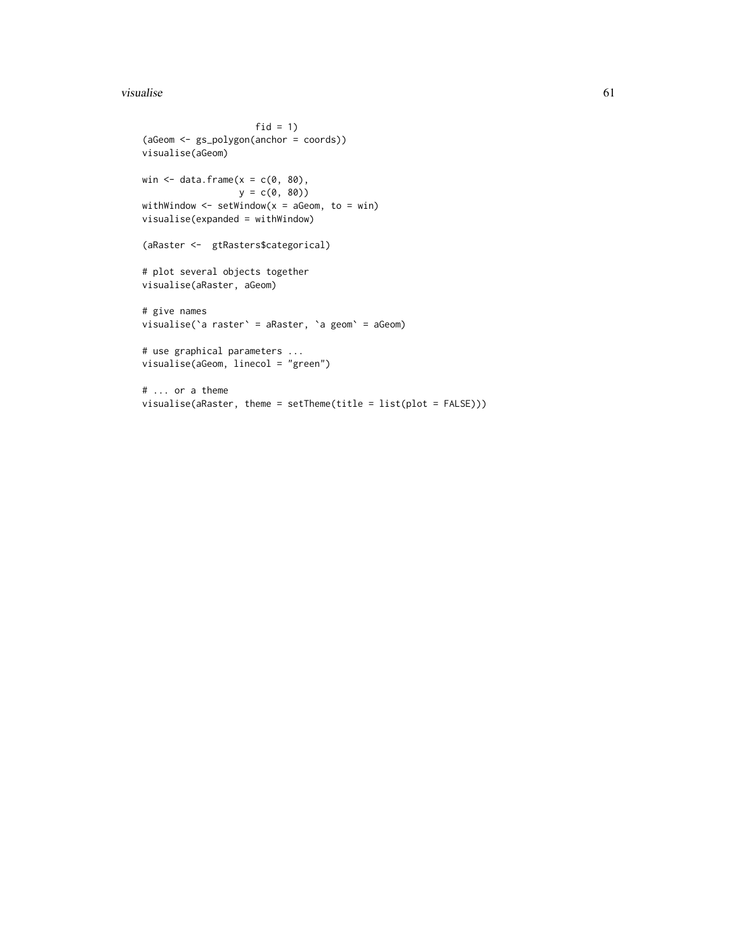#### visualise 61 metal en die 19de eeu n.C. En die 19de eeu n.C. En die 19de eeu n.C. En die 19de eeu n.C. En die 1

```
fid = 1)
(aGeom <- gs_polygon(anchor = coords))
visualise(aGeom)
win \leq data.frame(x = c(0, 80),
                 y = c(0, 80)withWindow \leq setWindow(x = aGeom, to = win)
visualise(expanded = withWindow)
(aRaster <- gtRasters$categorical)
# plot several objects together
visualise(aRaster, aGeom)
# give names
visualise(`a raster` = aRaster, `a geom` = aGeom)
# use graphical parameters ...
visualise(aGeom, linecol = "green")
# ... or a theme
visualise(aRaster, theme = setTheme(title = list(plot = FALSE)))
```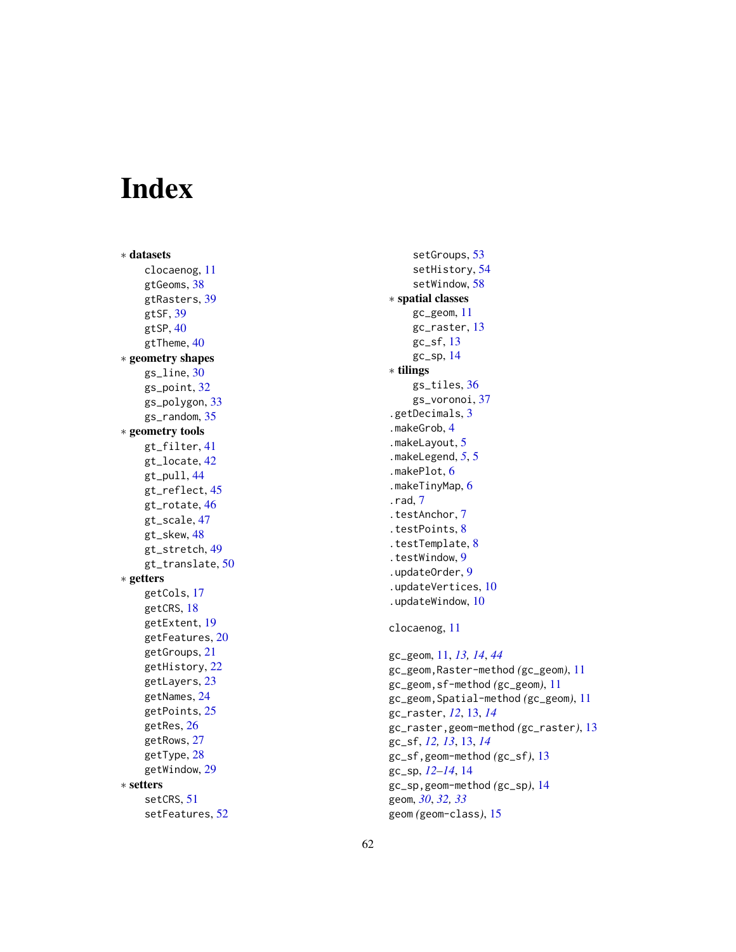# <span id="page-61-0"></span>Index

∗ datasets clocaenog , [11](#page-10-0) gtGeoms , [38](#page-37-0) gtRasters , [39](#page-38-0) gtSF , [39](#page-38-0) gtSP , [40](#page-39-0) gtTheme, [40](#page-39-0) ∗ geometry shapes gs\_line , [30](#page-29-0) gs\_point , [32](#page-31-0) gs\_polygon , [33](#page-32-0) gs\_random , [35](#page-34-0) ∗ geometry tools gt\_filter , [41](#page-40-0) gt\_locate , [42](#page-41-0) gt\_pull , [44](#page-43-0) gt\_reflect , [45](#page-44-0) gt\_rotate , [46](#page-45-0) gt\_scale , [47](#page-46-0) gt\_skew , [48](#page-47-0) gt\_stretch , [49](#page-48-0) gt\_translate, [50](#page-49-0) ∗ getters getCols , [17](#page-16-0) getCRS , [18](#page-17-0) getExtent , [19](#page-18-0) getFeatures , [20](#page-19-0) getGroups , [21](#page-20-0) getHistory , [22](#page-21-0) getLayers , [23](#page-22-0) getNames , [24](#page-23-0) getPoints , [25](#page-24-0) getRes , [26](#page-25-0) getRows , [27](#page-26-0) getType, [28](#page-27-0) getWindow , [29](#page-28-0) ∗ setters setCRS, [51](#page-50-0) setFeatures , [52](#page-51-0)

setGroups , [53](#page-52-0) setHistory , [54](#page-53-0) setWindow , [58](#page-57-0) ∗ spatial classes gc\_geom , [11](#page-10-0) gc\_raster , [13](#page-12-0) gc\_sf , [13](#page-12-0) gc\_sp , [14](#page-13-0) ∗ tilings gs\_tiles , [36](#page-35-0) gs\_voronoi , [37](#page-36-0) .getDecimals , [3](#page-2-0) .makeGrob , [4](#page-3-0) .makeLayout , [5](#page-4-0) .makeLegend , *[5](#page-4-0)* , [5](#page-4-0) .makePlot , [6](#page-5-0) .makeTinyMap , [6](#page-5-0) .rad , [7](#page-6-0) .testAnchor , [7](#page-6-0) .testPoints , [8](#page-7-0) .testTemplate , [8](#page-7-0) .testWindow , [9](#page-8-0) .updateOrder , [9](#page-8-0) .updateVertices , [10](#page-9-0) .updateWindow , [10](#page-9-0) clocaenog , [11](#page-10-0) gc\_geom , [11](#page-10-0) , *[13](#page-12-0) , [14](#page-13-0)* , *[44](#page-43-0)* gc\_geom,Raster-method *(*gc\_geom *)* , [11](#page-10-0) gc\_geom,sf-method *(*gc\_geom *)* , [11](#page-10-0) gc\_geom,Spatial-method *(*gc\_geom *)* , [11](#page-10-0) gc\_raster , *[12](#page-11-0)* , [13](#page-12-0) , *[14](#page-13-0)* gc\_raster,geom-method *(*gc\_raster *)* , [13](#page-12-0) gc\_sf , *[12](#page-11-0) , [13](#page-12-0)* , [13](#page-12-0) , *[14](#page-13-0)* gc\_sf,geom-method *(*gc\_sf *)* , [13](#page-12-0) gc\_sp , *[12](#page-11-0) [–14](#page-13-0)* , [14](#page-13-0) gc\_sp,geom-method *(*gc\_sp *)* , [14](#page-13-0) geom , *[30](#page-29-0)* , *[32](#page-31-0) , [33](#page-32-0)* geom *(*geom-class *)* , [15](#page-14-0)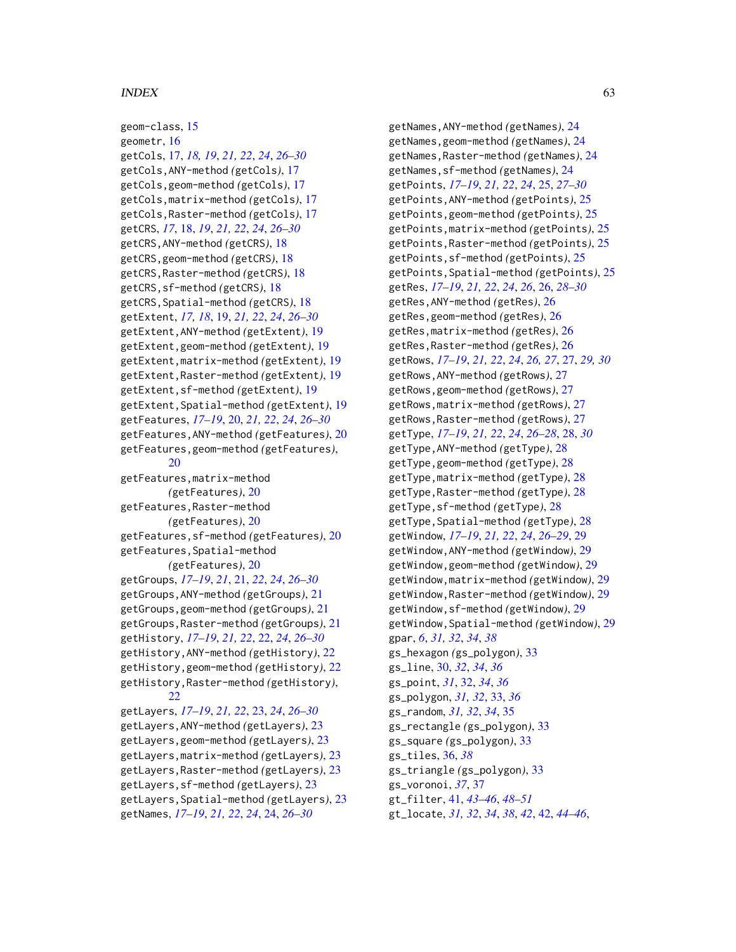#### $I<sub>N</sub>DEX$  63

geom-class, [15](#page-14-0) geometr, [16](#page-15-0) getCols, [17,](#page-16-0) *[18,](#page-17-0) [19](#page-18-0)*, *[21,](#page-20-0) [22](#page-21-0)*, *[24](#page-23-0)*, *[26–](#page-25-0)[30](#page-29-0)* getCols,ANY-method *(*getCols*)*, [17](#page-16-0) getCols,geom-method *(*getCols*)*, [17](#page-16-0) getCols,matrix-method *(*getCols*)*, [17](#page-16-0) getCols,Raster-method *(*getCols*)*, [17](#page-16-0) getCRS, *[17](#page-16-0)*, [18,](#page-17-0) *[19](#page-18-0)*, *[21,](#page-20-0) [22](#page-21-0)*, *[24](#page-23-0)*, *[26–](#page-25-0)[30](#page-29-0)* getCRS,ANY-method *(*getCRS*)*, [18](#page-17-0) getCRS,geom-method *(*getCRS*)*, [18](#page-17-0) getCRS,Raster-method *(*getCRS*)*, [18](#page-17-0) getCRS,sf-method *(*getCRS*)*, [18](#page-17-0) getCRS,Spatial-method *(*getCRS*)*, [18](#page-17-0) getExtent, *[17,](#page-16-0) [18](#page-17-0)*, [19,](#page-18-0) *[21,](#page-20-0) [22](#page-21-0)*, *[24](#page-23-0)*, *[26–](#page-25-0)[30](#page-29-0)* getExtent,ANY-method *(*getExtent*)*, [19](#page-18-0) getExtent,geom-method *(*getExtent*)*, [19](#page-18-0) getExtent,matrix-method *(*getExtent*)*, [19](#page-18-0) getExtent,Raster-method *(*getExtent*)*, [19](#page-18-0) getExtent,sf-method *(*getExtent*)*, [19](#page-18-0) getExtent,Spatial-method *(*getExtent*)*, [19](#page-18-0) getFeatures, *[17](#page-16-0)[–19](#page-18-0)*, [20,](#page-19-0) *[21,](#page-20-0) [22](#page-21-0)*, *[24](#page-23-0)*, *[26–](#page-25-0)[30](#page-29-0)* getFeatures,ANY-method *(*getFeatures*)*, [20](#page-19-0) getFeatures,geom-method *(*getFeatures*)*, [20](#page-19-0) getFeatures,matrix-method *(*getFeatures*)*, [20](#page-19-0) getFeatures,Raster-method *(*getFeatures*)*, [20](#page-19-0) getFeatures,sf-method *(*getFeatures*)*, [20](#page-19-0) getFeatures,Spatial-method *(*getFeatures*)*, [20](#page-19-0) getGroups, *[17](#page-16-0)[–19](#page-18-0)*, *[21](#page-20-0)*, [21,](#page-20-0) *[22](#page-21-0)*, *[24](#page-23-0)*, *[26–](#page-25-0)[30](#page-29-0)* getGroups,ANY-method *(*getGroups*)*, [21](#page-20-0) getGroups,geom-method *(*getGroups*)*, [21](#page-20-0) getGroups,Raster-method *(*getGroups*)*, [21](#page-20-0) getHistory, *[17](#page-16-0)[–19](#page-18-0)*, *[21,](#page-20-0) [22](#page-21-0)*, [22,](#page-21-0) *[24](#page-23-0)*, *[26–](#page-25-0)[30](#page-29-0)* getHistory,ANY-method *(*getHistory*)*, [22](#page-21-0) getHistory,geom-method *(*getHistory*)*, [22](#page-21-0) getHistory,Raster-method *(*getHistory*)*, [22](#page-21-0) getLayers, *[17](#page-16-0)[–19](#page-18-0)*, *[21,](#page-20-0) [22](#page-21-0)*, [23,](#page-22-0) *[24](#page-23-0)*, *[26–](#page-25-0)[30](#page-29-0)* getLayers,ANY-method *(*getLayers*)*, [23](#page-22-0) getLayers,geom-method *(*getLayers*)*, [23](#page-22-0) getLayers,matrix-method *(*getLayers*)*, [23](#page-22-0) getLayers,Raster-method *(*getLayers*)*, [23](#page-22-0)

getLayers,sf-method *(*getLayers*)*, [23](#page-22-0) getLayers,Spatial-method *(*getLayers*)*, [23](#page-22-0) getNames, *[17](#page-16-0)[–19](#page-18-0)*, *[21,](#page-20-0) [22](#page-21-0)*, *[24](#page-23-0)*, [24,](#page-23-0) *[26–](#page-25-0)[30](#page-29-0)*

getNames,ANY-method *(*getNames*)*, [24](#page-23-0) getNames,geom-method *(*getNames*)*, [24](#page-23-0) getNames,Raster-method *(*getNames*)*, [24](#page-23-0) getNames,sf-method *(*getNames*)*, [24](#page-23-0) getPoints, *[17](#page-16-0)[–19](#page-18-0)*, *[21,](#page-20-0) [22](#page-21-0)*, *[24](#page-23-0)*, [25,](#page-24-0) *[27](#page-26-0)[–30](#page-29-0)* getPoints,ANY-method *(*getPoints*)*, [25](#page-24-0) getPoints,geom-method *(*getPoints*)*, [25](#page-24-0) getPoints,matrix-method *(*getPoints*)*, [25](#page-24-0) getPoints,Raster-method *(*getPoints*)*, [25](#page-24-0) getPoints,sf-method *(*getPoints*)*, [25](#page-24-0) getPoints,Spatial-method *(*getPoints*)*, [25](#page-24-0) getRes, *[17](#page-16-0)[–19](#page-18-0)*, *[21,](#page-20-0) [22](#page-21-0)*, *[24](#page-23-0)*, *[26](#page-25-0)*, [26,](#page-25-0) *[28](#page-27-0)[–30](#page-29-0)* getRes,ANY-method *(*getRes*)*, [26](#page-25-0) getRes,geom-method *(*getRes*)*, [26](#page-25-0) getRes,matrix-method *(*getRes*)*, [26](#page-25-0) getRes,Raster-method *(*getRes*)*, [26](#page-25-0) getRows, *[17](#page-16-0)[–19](#page-18-0)*, *[21,](#page-20-0) [22](#page-21-0)*, *[24](#page-23-0)*, *[26,](#page-25-0) [27](#page-26-0)*, [27,](#page-26-0) *[29,](#page-28-0) [30](#page-29-0)* getRows,ANY-method *(*getRows*)*, [27](#page-26-0) getRows,geom-method *(*getRows*)*, [27](#page-26-0) getRows,matrix-method *(*getRows*)*, [27](#page-26-0) getRows,Raster-method *(*getRows*)*, [27](#page-26-0) getType, *[17](#page-16-0)[–19](#page-18-0)*, *[21,](#page-20-0) [22](#page-21-0)*, *[24](#page-23-0)*, *[26](#page-25-0)[–28](#page-27-0)*, [28,](#page-27-0) *[30](#page-29-0)* getType,ANY-method *(*getType*)*, [28](#page-27-0) getType,geom-method *(*getType*)*, [28](#page-27-0) getType,matrix-method *(*getType*)*, [28](#page-27-0) getType,Raster-method *(*getType*)*, [28](#page-27-0) getType,sf-method *(*getType*)*, [28](#page-27-0) getType,Spatial-method *(*getType*)*, [28](#page-27-0) getWindow, *[17](#page-16-0)[–19](#page-18-0)*, *[21,](#page-20-0) [22](#page-21-0)*, *[24](#page-23-0)*, *[26](#page-25-0)[–29](#page-28-0)*, [29](#page-28-0) getWindow,ANY-method *(*getWindow*)*, [29](#page-28-0) getWindow,geom-method *(*getWindow*)*, [29](#page-28-0) getWindow,matrix-method *(*getWindow*)*, [29](#page-28-0) getWindow,Raster-method *(*getWindow*)*, [29](#page-28-0) getWindow,sf-method *(*getWindow*)*, [29](#page-28-0) getWindow,Spatial-method *(*getWindow*)*, [29](#page-28-0) gpar, *[6](#page-5-0)*, *[31,](#page-30-0) [32](#page-31-0)*, *[34](#page-33-0)*, *[38](#page-37-0)* gs\_hexagon *(*gs\_polygon*)*, [33](#page-32-0) gs\_line, [30,](#page-29-0) *[32](#page-31-0)*, *[34](#page-33-0)*, *[36](#page-35-0)* gs\_point, *[31](#page-30-0)*, [32,](#page-31-0) *[34](#page-33-0)*, *[36](#page-35-0)* gs\_polygon, *[31,](#page-30-0) [32](#page-31-0)*, [33,](#page-32-0) *[36](#page-35-0)* gs\_random, *[31,](#page-30-0) [32](#page-31-0)*, *[34](#page-33-0)*, [35](#page-34-0) gs\_rectangle *(*gs\_polygon*)*, [33](#page-32-0) gs\_square *(*gs\_polygon*)*, [33](#page-32-0) gs\_tiles, [36,](#page-35-0) *[38](#page-37-0)* gs\_triangle *(*gs\_polygon*)*, [33](#page-32-0) gs\_voronoi, *[37](#page-36-0)*, [37](#page-36-0) gt\_filter, [41,](#page-40-0) *[43](#page-42-0)[–46](#page-45-0)*, *[48](#page-47-0)[–51](#page-50-0)* gt\_locate, *[31,](#page-30-0) [32](#page-31-0)*, *[34](#page-33-0)*, *[38](#page-37-0)*, *[42](#page-41-0)*, [42,](#page-41-0) *[44](#page-43-0)[–46](#page-45-0)*,